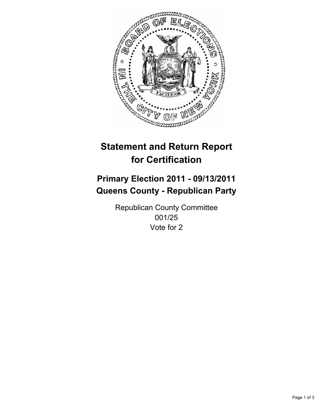

## **Primary Election 2011 - 09/13/2011 Queens County - Republican Party**

Republican County Committee 001/25 Vote for 2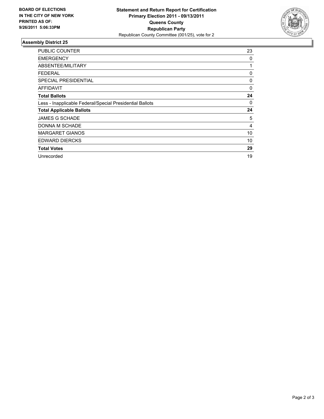

| <b>PUBLIC COUNTER</b>                                    | 23 |
|----------------------------------------------------------|----|
| <b>EMERGENCY</b>                                         | 0  |
| ABSENTEE/MILITARY                                        | 1  |
| <b>FEDERAL</b>                                           | 0  |
| <b>SPECIAL PRESIDENTIAL</b>                              | 0  |
| AFFIDAVIT                                                | 0  |
| <b>Total Ballots</b>                                     | 24 |
| Less - Inapplicable Federal/Special Presidential Ballots | 0  |
| <b>Total Applicable Ballots</b>                          | 24 |
| <b>JAMES G SCHADE</b>                                    | 5  |
| DONNA M SCHADE                                           | 4  |
| <b>MARGARET GIANOS</b>                                   | 10 |
| <b>EDWARD DIERCKS</b>                                    | 10 |
| <b>Total Votes</b>                                       | 29 |
| Unrecorded                                               | 19 |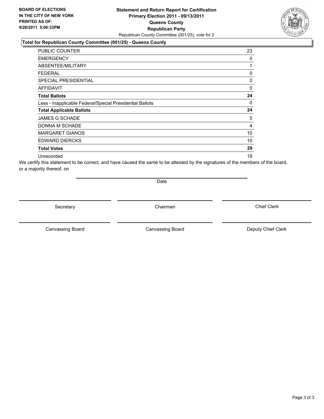#### **Statement and Return Report for Certification Primary Election 2011 - 09/13/2011 Queens County Republican Party** Republican County Committee (001/25), vote for 2

#### **Total for Republican County Committee (001/25) - Queens County**

| <b>PUBLIC COUNTER</b>                                    | 23 |
|----------------------------------------------------------|----|
| <b>EMERGENCY</b>                                         | 0  |
| ABSENTEE/MILITARY                                        | 1  |
| <b>FEDERAL</b>                                           | 0  |
| <b>SPECIAL PRESIDENTIAL</b>                              | 0  |
| <b>AFFIDAVIT</b>                                         | 0  |
| <b>Total Ballots</b>                                     | 24 |
| Less - Inapplicable Federal/Special Presidential Ballots | 0  |
| <b>Total Applicable Ballots</b>                          | 24 |
| <b>JAMES G SCHADE</b>                                    | 5  |
| DONNA M SCHADE                                           | 4  |
| <b>MARGARET GIANOS</b>                                   | 10 |
| <b>EDWARD DIERCKS</b>                                    | 10 |
| <b>Total Votes</b>                                       | 29 |
| Unrecorded                                               | 19 |

We certify this statement to be correct, and have caused the same to be attested by the signatures of the members of the board, or a majority thereof, on

Date

Secretary **Chairman** 

Canvassing Board

Canvassing Board **Canvassing Board** Canvassing Board **Deputy Chief Clerk** 

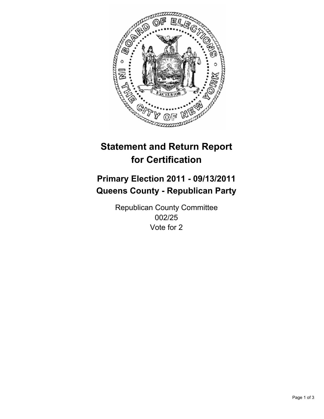

## **Primary Election 2011 - 09/13/2011 Queens County - Republican Party**

Republican County Committee 002/25 Vote for 2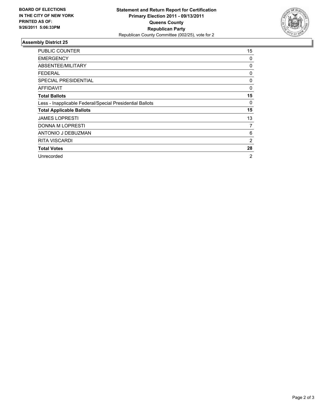

| <b>PUBLIC COUNTER</b>                                    | 15 |
|----------------------------------------------------------|----|
| <b>EMERGENCY</b>                                         | 0  |
| ABSENTEE/MILITARY                                        | 0  |
| <b>FEDERAL</b>                                           | 0  |
| <b>SPECIAL PRESIDENTIAL</b>                              | 0  |
| AFFIDAVIT                                                | 0  |
| <b>Total Ballots</b>                                     | 15 |
| Less - Inapplicable Federal/Special Presidential Ballots | 0  |
| <b>Total Applicable Ballots</b>                          | 15 |
| <b>JAMES LOPRESTI</b>                                    | 13 |
| <b>DONNA M LOPRESTI</b>                                  | 7  |
| ANTONIO J DEBUZMAN                                       | 6  |
| <b>RITA VISCARDI</b>                                     | 2  |
| <b>Total Votes</b>                                       | 28 |
| Unrecorded                                               | 2  |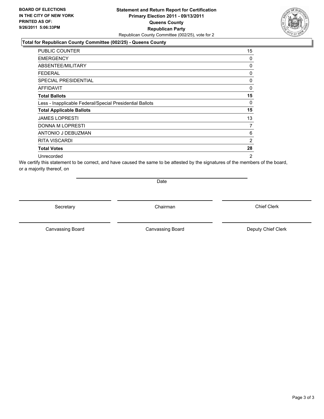#### **Statement and Return Report for Certification Primary Election 2011 - 09/13/2011 Queens County Republican Party** Republican County Committee (002/25), vote for 2

#### **Total for Republican County Committee (002/25) - Queens County**

| <b>PUBLIC COUNTER</b>                                    | 15             |
|----------------------------------------------------------|----------------|
| <b>EMERGENCY</b>                                         | 0              |
| ABSENTEE/MILITARY                                        | 0              |
| FEDERAL                                                  | 0              |
| SPECIAL PRESIDENTIAL                                     | 0              |
| <b>AFFIDAVIT</b>                                         | 0              |
| <b>Total Ballots</b>                                     | 15             |
| Less - Inapplicable Federal/Special Presidential Ballots | 0              |
| <b>Total Applicable Ballots</b>                          | 15             |
| <b>JAMES LOPRESTI</b>                                    | 13             |
| <b>DONNA M LOPRESTI</b>                                  | 7              |
| ANTONIO J DEBUZMAN                                       | 6              |
| <b>RITA VISCARDI</b>                                     | 2              |
| <b>Total Votes</b>                                       | 28             |
| Unrecorded                                               | $\overline{2}$ |

We certify this statement to be correct, and have caused the same to be attested by the signatures of the members of the board, or a majority thereof, on

Date

Secretary **Chairman** 

Canvassing Board **Canvassing Board** Canvassing Board **Deputy Chief Clerk** 

Canvassing Board

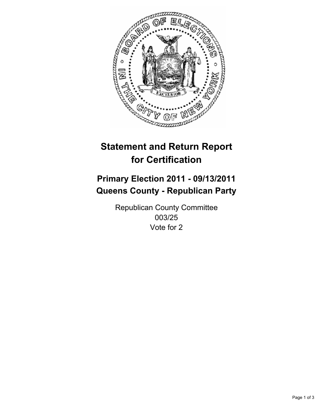

## **Primary Election 2011 - 09/13/2011 Queens County - Republican Party**

Republican County Committee 003/25 Vote for 2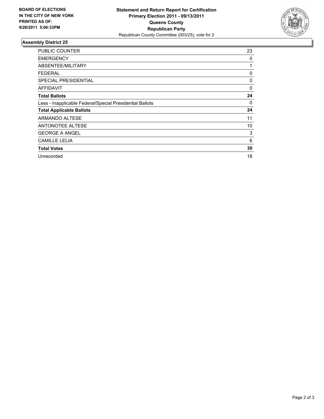

| <b>PUBLIC COUNTER</b>                                    | 23 |
|----------------------------------------------------------|----|
| <b>EMERGENCY</b>                                         | 0  |
| ABSENTEE/MILITARY                                        | 1  |
| <b>FEDERAL</b>                                           | 0  |
| <b>SPECIAL PRESIDENTIAL</b>                              | 0  |
| AFFIDAVIT                                                | 0  |
| <b>Total Ballots</b>                                     | 24 |
| Less - Inapplicable Federal/Special Presidential Ballots | 0  |
| <b>Total Applicable Ballots</b>                          | 24 |
| ARMANDO ALTESE                                           | 11 |
| <b>ANTONOTEE ALTESE</b>                                  | 10 |
| <b>GEORGE A ANGEL</b>                                    | 3  |
| <b>CAMILLE LELIA</b>                                     | 6  |
| <b>Total Votes</b>                                       | 30 |
| Unrecorded                                               | 18 |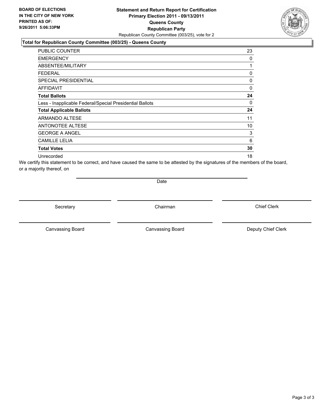#### **Statement and Return Report for Certification Primary Election 2011 - 09/13/2011 Queens County Republican Party** Republican County Committee (003/25), vote for 2

#### **Total for Republican County Committee (003/25) - Queens County**

| <b>PUBLIC COUNTER</b>                                    | 23 |
|----------------------------------------------------------|----|
| <b>EMERGENCY</b>                                         | 0  |
| ABSENTEE/MILITARY                                        | 1  |
| <b>FEDERAL</b>                                           | 0  |
| <b>SPECIAL PRESIDENTIAL</b>                              | 0  |
| <b>AFFIDAVIT</b>                                         | 0  |
| <b>Total Ballots</b>                                     | 24 |
| Less - Inapplicable Federal/Special Presidential Ballots | 0  |
| <b>Total Applicable Ballots</b>                          | 24 |
| <b>ARMANDO ALTESE</b>                                    | 11 |
| <b>ANTONOTEE ALTESE</b>                                  | 10 |
| <b>GEORGE A ANGEL</b>                                    | 3  |
| <b>CAMILLE LELIA</b>                                     | 6  |
| <b>Total Votes</b>                                       | 30 |
| Unrecorded                                               | 18 |

We certify this statement to be correct, and have caused the same to be attested by the signatures of the members of the board, or a majority thereof, on

Date

Secretary **Chairman** 

Canvassing Board **Canvassing Board** Canvassing Board **Deputy Chief Clerk** 

Canvassing Board

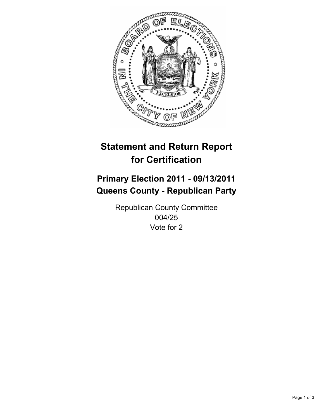

## **Primary Election 2011 - 09/13/2011 Queens County - Republican Party**

Republican County Committee 004/25 Vote for 2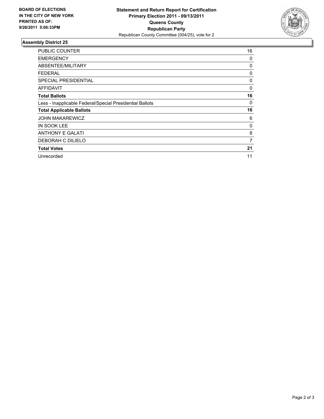

| <b>PUBLIC COUNTER</b>                                    | 16 |
|----------------------------------------------------------|----|
| <b>EMERGENCY</b>                                         | 0  |
| ABSENTEE/MILITARY                                        | 0  |
| <b>FEDERAL</b>                                           | 0  |
| <b>SPECIAL PRESIDENTIAL</b>                              | 0  |
| AFFIDAVIT                                                | 0  |
| <b>Total Ballots</b>                                     | 16 |
| Less - Inapplicable Federal/Special Presidential Ballots | 0  |
| <b>Total Applicable Ballots</b>                          | 16 |
| <b>JOHN MAKAREWICZ</b>                                   | 6  |
| IN SOOK LEE                                              | 0  |
| <b>ANTHONY E GALATI</b>                                  | 8  |
| DEBORAH C DILIELO                                        | 7  |
| <b>Total Votes</b>                                       | 21 |
| Unrecorded                                               | 11 |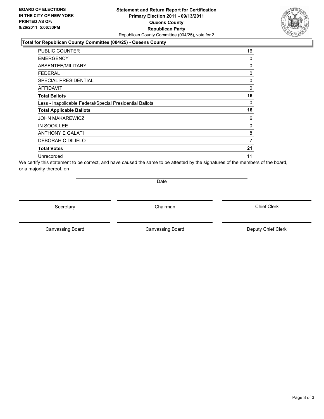#### **Statement and Return Report for Certification Primary Election 2011 - 09/13/2011 Queens County Republican Party** Republican County Committee (004/25), vote for 2

#### **Total for Republican County Committee (004/25) - Queens County**

| PUBLIC COUNTER                                           | 16 |
|----------------------------------------------------------|----|
| <b>EMERGENCY</b>                                         | 0  |
| ABSENTEE/MILITARY                                        | 0  |
| FEDERAL                                                  | 0  |
| <b>SPECIAL PRESIDENTIAL</b>                              | 0  |
| <b>AFFIDAVIT</b>                                         | 0  |
| <b>Total Ballots</b>                                     | 16 |
| Less - Inapplicable Federal/Special Presidential Ballots | 0  |
| <b>Total Applicable Ballots</b>                          | 16 |
| <b>JOHN MAKAREWICZ</b>                                   | 6  |
| <b>IN SOOK LEE</b>                                       | 0  |
| <b>ANTHONY E GALATI</b>                                  | 8  |
| DEBORAH C DILIELO                                        | 7  |
| <b>Total Votes</b>                                       | 21 |
| Unrecorded                                               | 11 |

We certify this statement to be correct, and have caused the same to be attested by the signatures of the members of the board, or a majority thereof, on

Date

Secretary **Chairman** 

Canvassing Board **Canvassing Board** Canvassing Board **Deputy Chief Clerk** 

Canvassing Board

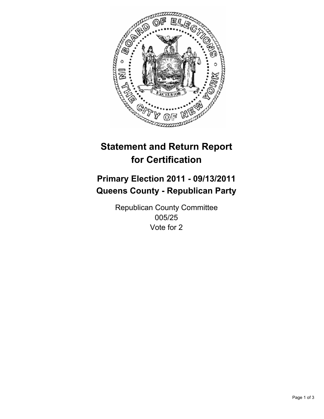

## **Primary Election 2011 - 09/13/2011 Queens County - Republican Party**

Republican County Committee 005/25 Vote for 2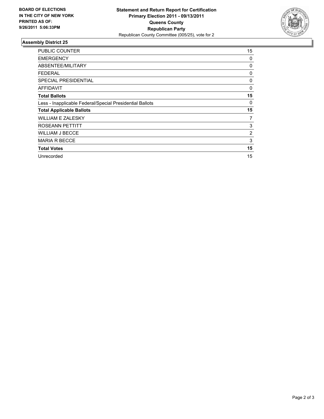

| <b>PUBLIC COUNTER</b>                                    | 15             |
|----------------------------------------------------------|----------------|
| <b>EMERGENCY</b>                                         | 0              |
| ABSENTEE/MILITARY                                        | 0              |
| <b>FEDERAL</b>                                           | 0              |
| <b>SPECIAL PRESIDENTIAL</b>                              | 0              |
| AFFIDAVIT                                                | 0              |
| <b>Total Ballots</b>                                     | 15             |
| Less - Inapplicable Federal/Special Presidential Ballots | 0              |
| <b>Total Applicable Ballots</b>                          | 15             |
| <b>WILLIAM E ZALESKY</b>                                 | 7              |
| ROSEANN PETTITT                                          | 3              |
| <b>WILLIAM J BECCE</b>                                   | $\overline{2}$ |
| <b>MARIA R BECCE</b>                                     | 3              |
| <b>Total Votes</b>                                       | 15             |
| Unrecorded                                               | 15             |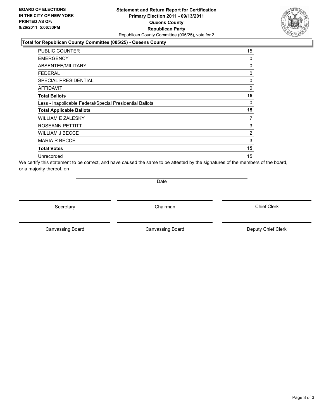#### **Statement and Return Report for Certification Primary Election 2011 - 09/13/2011 Queens County Republican Party** Republican County Committee (005/25), vote for 2

#### **Total for Republican County Committee (005/25) - Queens County**

| PUBLIC COUNTER                                           | 15             |
|----------------------------------------------------------|----------------|
| <b>EMERGENCY</b>                                         | 0              |
| ABSENTEE/MILITARY                                        | 0              |
| FEDERAL                                                  | 0              |
| <b>SPECIAL PRESIDENTIAL</b>                              | 0              |
| <b>AFFIDAVIT</b>                                         | 0              |
| <b>Total Ballots</b>                                     | 15             |
| Less - Inapplicable Federal/Special Presidential Ballots | 0              |
| <b>Total Applicable Ballots</b>                          | 15             |
| WILLIAM E ZALESKY                                        | 7              |
| ROSEANN PETTITT                                          | 3              |
| WILLIAM J BECCE                                          | $\overline{2}$ |
| <b>MARIA R BECCE</b>                                     | 3              |
| <b>Total Votes</b>                                       | 15             |
| Unrecorded                                               | 15             |

We certify this statement to be correct, and have caused the same to be attested by the signatures of the members of the board, or a majority thereof, on

Date

Secretary **Chairman** 

Canvassing Board **Canvassing Board** Canvassing Board **Deputy Chief Clerk** 

Canvassing Board

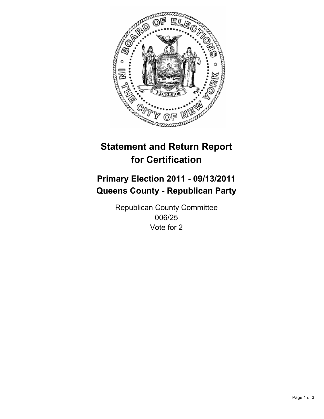

## **Primary Election 2011 - 09/13/2011 Queens County - Republican Party**

Republican County Committee 006/25 Vote for 2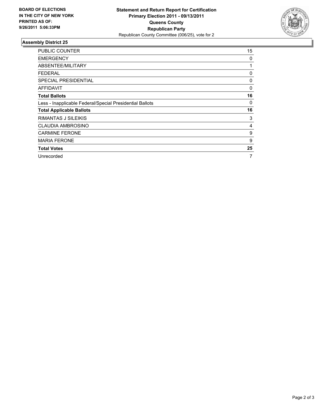

| <b>PUBLIC COUNTER</b>                                    | 15 |
|----------------------------------------------------------|----|
| <b>EMERGENCY</b>                                         | 0  |
| ABSENTEE/MILITARY                                        | 1  |
| <b>FEDERAL</b>                                           | 0  |
| <b>SPECIAL PRESIDENTIAL</b>                              | 0  |
| AFFIDAVIT                                                | 0  |
| <b>Total Ballots</b>                                     | 16 |
| Less - Inapplicable Federal/Special Presidential Ballots | 0  |
| <b>Total Applicable Ballots</b>                          | 16 |
| RIMANTAS J SILEIKIS                                      | 3  |
| <b>CLAUDIA AMBROSINO</b>                                 | 4  |
| <b>CARMINE FERONE</b>                                    | 9  |
| <b>MARIA FERONE</b>                                      | 9  |
| <b>Total Votes</b>                                       | 25 |
| Unrecorded                                               | 7  |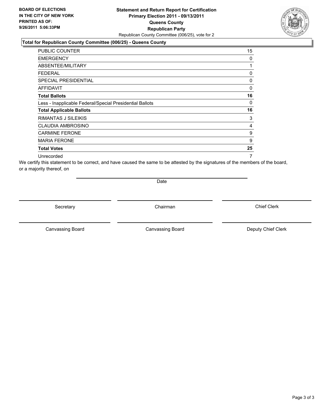#### **Statement and Return Report for Certification Primary Election 2011 - 09/13/2011 Queens County Republican Party** Republican County Committee (006/25), vote for 2

#### **Total for Republican County Committee (006/25) - Queens County**

| <b>PUBLIC COUNTER</b>                                    | 15 |
|----------------------------------------------------------|----|
| <b>EMERGENCY</b>                                         | 0  |
| ABSENTEE/MILITARY                                        | 1  |
| <b>FEDERAL</b>                                           | 0  |
| <b>SPECIAL PRESIDENTIAL</b>                              | 0  |
| AFFIDAVIT                                                | 0  |
| <b>Total Ballots</b>                                     | 16 |
| Less - Inapplicable Federal/Special Presidential Ballots | 0  |
| <b>Total Applicable Ballots</b>                          | 16 |
| RIMANTAS J SILEIKIS                                      | 3  |
| CLAUDIA AMBROSINO                                        | 4  |
| <b>CARMINE FERONE</b>                                    | 9  |
| <b>MARIA FERONE</b>                                      | 9  |
| <b>Total Votes</b>                                       | 25 |
| Unrecorded                                               | 7  |

We certify this statement to be correct, and have caused the same to be attested by the signatures of the members of the board, or a majority thereof, on

Date

Secretary **Chairman** 

Canvassing Board **Canvassing Board** Canvassing Board **Deputy Chief Clerk** 

Canvassing Board

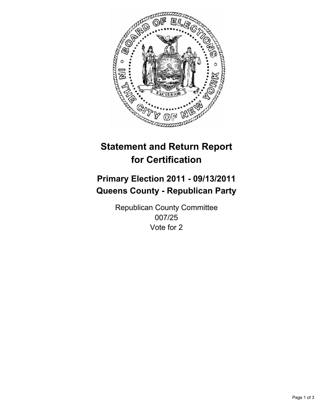

## **Primary Election 2011 - 09/13/2011 Queens County - Republican Party**

Republican County Committee 007/25 Vote for 2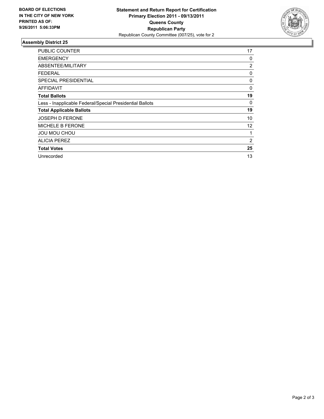

| <b>PUBLIC COUNTER</b>                                    | 17             |
|----------------------------------------------------------|----------------|
| <b>EMERGENCY</b>                                         | 0              |
| ABSENTEE/MILITARY                                        | $\overline{2}$ |
| FEDERAL                                                  | 0              |
| SPECIAL PRESIDENTIAL                                     | 0              |
| <b>AFFIDAVIT</b>                                         | 0              |
| <b>Total Ballots</b>                                     | 19             |
| Less - Inapplicable Federal/Special Presidential Ballots | 0              |
| <b>Total Applicable Ballots</b>                          | 19             |
| <b>JOSEPH D FERONE</b>                                   | 10             |
| <b>MICHELE B FERONE</b>                                  | 12             |
| JOU MOU CHOU                                             | 1              |
| <b>ALICIA PEREZ</b>                                      | 2              |
| <b>Total Votes</b>                                       | 25             |
| Unrecorded                                               | 13             |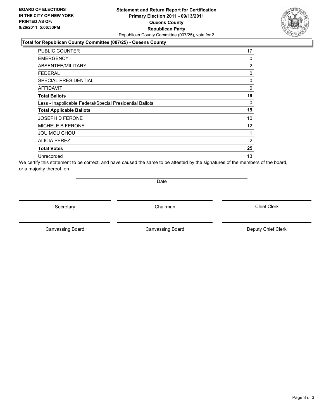#### **Statement and Return Report for Certification Primary Election 2011 - 09/13/2011 Queens County Republican Party** Republican County Committee (007/25), vote for 2

#### **Total for Republican County Committee (007/25) - Queens County**

| <b>PUBLIC COUNTER</b>                                    | 17             |
|----------------------------------------------------------|----------------|
| <b>EMERGENCY</b>                                         | 0              |
| <b>ABSENTEE/MILITARY</b>                                 | $\overline{2}$ |
| <b>FEDERAL</b>                                           | 0              |
| <b>SPECIAL PRESIDENTIAL</b>                              | 0              |
| <b>AFFIDAVIT</b>                                         | 0              |
| <b>Total Ballots</b>                                     | 19             |
| Less - Inapplicable Federal/Special Presidential Ballots | $\Omega$       |
| <b>Total Applicable Ballots</b>                          | 19             |
| <b>JOSEPH D FERONE</b>                                   | 10             |
| <b>MICHELE B FERONE</b>                                  | 12             |
| <b>JOU MOU CHOU</b>                                      | 1              |
| <b>ALICIA PEREZ</b>                                      | $\overline{2}$ |
| <b>Total Votes</b>                                       | 25             |
| Unrecorded                                               | 13             |

We certify this statement to be correct, and have caused the same to be attested by the signatures of the members of the board, or a majority thereof, on

Date

Secretary **Chairman** 

Canvassing Board **Canvassing Board** Canvassing Board **Deputy Chief Clerk** 

Canvassing Board

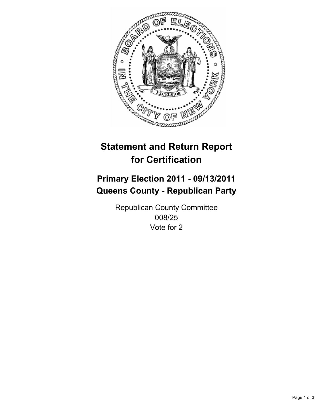

## **Primary Election 2011 - 09/13/2011 Queens County - Republican Party**

Republican County Committee 008/25 Vote for 2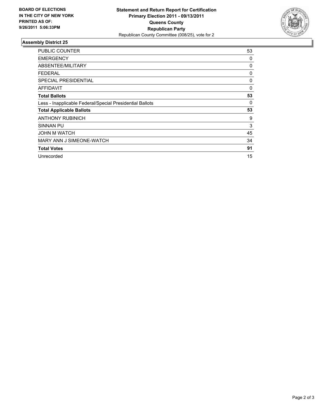

| <b>PUBLIC COUNTER</b>                                    | 53 |
|----------------------------------------------------------|----|
| <b>EMERGENCY</b>                                         | 0  |
| ABSENTEE/MILITARY                                        | 0  |
| <b>FEDERAL</b>                                           | 0  |
| <b>SPECIAL PRESIDENTIAL</b>                              | 0  |
| AFFIDAVIT                                                | 0  |
| <b>Total Ballots</b>                                     | 53 |
| Less - Inapplicable Federal/Special Presidential Ballots | 0  |
| <b>Total Applicable Ballots</b>                          | 53 |
| <b>ANTHONY RUBINICH</b>                                  | 9  |
| SINNAN PU                                                | 3  |
| <b>JOHN M WATCH</b>                                      | 45 |
| MARY ANN J SIMEONE-WATCH                                 | 34 |
| <b>Total Votes</b>                                       | 91 |
| Unrecorded                                               | 15 |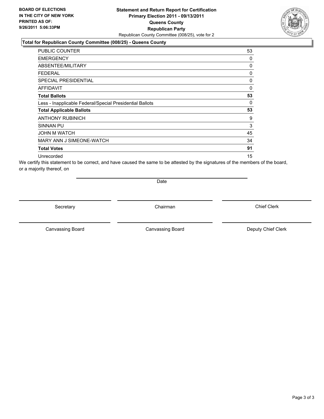#### **Statement and Return Report for Certification Primary Election 2011 - 09/13/2011 Queens County Republican Party** Republican County Committee (008/25), vote for 2

#### **Total for Republican County Committee (008/25) - Queens County**

| <b>PUBLIC COUNTER</b>                                    | 53           |
|----------------------------------------------------------|--------------|
| <b>EMERGENCY</b>                                         | 0            |
| <b>ABSENTEE/MILITARY</b>                                 | 0            |
| <b>FEDERAL</b>                                           | 0            |
| <b>SPECIAL PRESIDENTIAL</b>                              | 0            |
| <b>AFFIDAVIT</b>                                         | $\mathbf{0}$ |
| <b>Total Ballots</b>                                     | 53           |
| Less - Inapplicable Federal/Special Presidential Ballots | 0            |
| <b>Total Applicable Ballots</b>                          | 53           |
| <b>ANTHONY RUBINICH</b>                                  | 9            |
| <b>SINNAN PU</b>                                         | 3            |
| <b>JOHN M WATCH</b>                                      | 45           |
| MARY ANN J SIMEONE-WATCH                                 | 34           |
| <b>Total Votes</b>                                       | 91           |
| Unrecorded                                               | 15           |

We certify this statement to be correct, and have caused the same to be attested by the signatures of the members of the board, or a majority thereof, on

Date

Secretary **Chairman** 

Canvassing Board **Canvassing Board** Canvassing Board **Deputy Chief Clerk** 

Canvassing Board

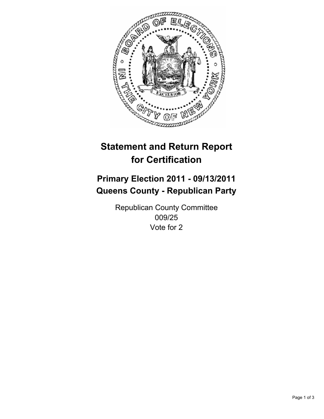

## **Primary Election 2011 - 09/13/2011 Queens County - Republican Party**

Republican County Committee 009/25 Vote for 2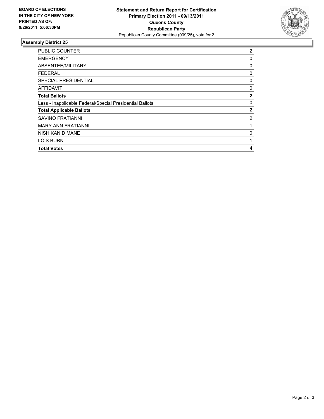

| <b>PUBLIC COUNTER</b>                                    | 2            |
|----------------------------------------------------------|--------------|
| <b>EMERGENCY</b>                                         | 0            |
| ABSENTEE/MILITARY                                        | 0            |
| FEDERAL                                                  | 0            |
| <b>SPECIAL PRESIDENTIAL</b>                              | 0            |
| AFFIDAVIT                                                | 0            |
| <b>Total Ballots</b>                                     | $\mathbf{2}$ |
| Less - Inapplicable Federal/Special Presidential Ballots | 0            |
| <b>Total Applicable Ballots</b>                          | $\mathbf{2}$ |
| <b>SAVINO FRATIANNI</b>                                  | 2            |
| <b>MARY ANN FRATIANNI</b>                                | 1            |
| NISHIKAN D MANE                                          | 0            |
| <b>LOIS BURN</b>                                         | 1            |
| <b>Total Votes</b>                                       | 4            |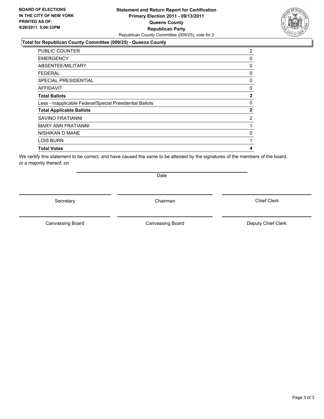#### **Statement and Return Report for Certification Primary Election 2011 - 09/13/2011 Queens County Republican Party** Republican County Committee (009/25), vote for 2

#### **Total for Republican County Committee (009/25) - Queens County**

| <b>PUBLIC COUNTER</b>                                    | 2              |
|----------------------------------------------------------|----------------|
| <b>EMERGENCY</b>                                         | 0              |
| ABSENTEE/MILITARY                                        | 0              |
| <b>FEDERAL</b>                                           | 0              |
| <b>SPECIAL PRESIDENTIAL</b>                              | 0              |
| <b>AFFIDAVIT</b>                                         | 0              |
| <b>Total Ballots</b>                                     | $\overline{2}$ |
| Less - Inapplicable Federal/Special Presidential Ballots | 0              |
| <b>Total Applicable Ballots</b>                          | $\overline{2}$ |
| SAVINO FRATIANNI                                         | 2              |
| <b>MARY ANN FRATIANNI</b>                                | 1              |
| NISHIKAN D MANE                                          | 0              |
| <b>LOIS BURN</b>                                         | 1              |
| <b>Total Votes</b>                                       | 4              |

We certify this statement to be correct, and have caused the same to be attested by the signatures of the members of the board, or a majority thereof, on

Secretary **Chairman** 

Date

Canvassing Board **Canvassing Board** Canvassing Board **Deputy Chief Clerk** 

Canvassing Board

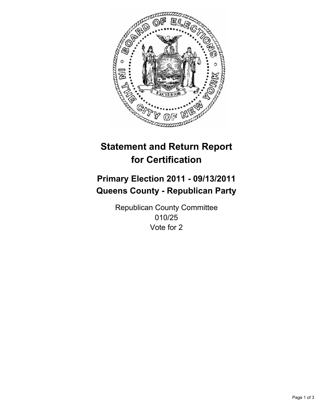

## **Primary Election 2011 - 09/13/2011 Queens County - Republican Party**

Republican County Committee 010/25 Vote for 2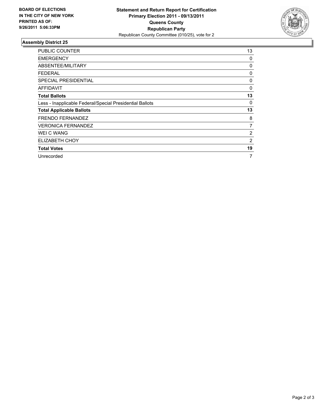

| <b>PUBLIC COUNTER</b>                                    | 13             |
|----------------------------------------------------------|----------------|
| <b>EMERGENCY</b>                                         | 0              |
| ABSENTEE/MILITARY                                        | 0              |
| <b>FEDERAL</b>                                           | 0              |
| <b>SPECIAL PRESIDENTIAL</b>                              | 0              |
| AFFIDAVIT                                                | 0              |
| <b>Total Ballots</b>                                     | 13             |
| Less - Inapplicable Federal/Special Presidential Ballots | 0              |
| <b>Total Applicable Ballots</b>                          | 13             |
| <b>FRENDO FERNANDEZ</b>                                  | 8              |
| <b>VERONICA FERNANDEZ</b>                                | 7              |
| <b>WEI C WANG</b>                                        | $\overline{2}$ |
| ELIZABETH CHOY                                           | 2              |
| <b>Total Votes</b>                                       | 19             |
| Unrecorded                                               | 7              |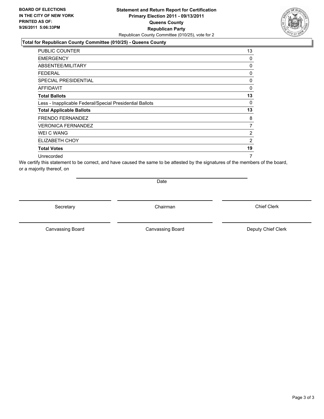#### **Statement and Return Report for Certification Primary Election 2011 - 09/13/2011 Queens County Republican Party** Republican County Committee (010/25), vote for 2

#### **Total for Republican County Committee (010/25) - Queens County**

| <b>PUBLIC COUNTER</b>                                    | 13 |
|----------------------------------------------------------|----|
| <b>EMERGENCY</b>                                         | 0  |
| ABSENTEE/MILITARY                                        | 0  |
| FEDERAL                                                  | 0  |
| SPECIAL PRESIDENTIAL                                     | 0  |
| <b>AFFIDAVIT</b>                                         | 0  |
| <b>Total Ballots</b>                                     | 13 |
| Less - Inapplicable Federal/Special Presidential Ballots | 0  |
| <b>Total Applicable Ballots</b>                          | 13 |
| <b>FRENDO FERNANDEZ</b>                                  | 8  |
| <b>VERONICA FERNANDEZ</b>                                | 7  |
| WEI C WANG                                               | 2  |
| ELIZABETH CHOY                                           | 2  |
| <b>Total Votes</b>                                       | 19 |
| Unrecorded                                               | 7  |

We certify this statement to be correct, and have caused the same to be attested by the signatures of the members of the board, or a majority thereof, on

Date

Secretary **Chairman** 

Canvassing Board

Canvassing Board **Canvassing Board** Canvassing Board **Deputy Chief Clerk** 

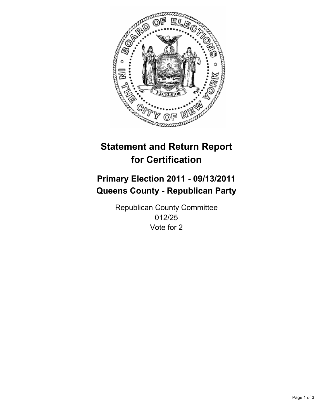

## **Primary Election 2011 - 09/13/2011 Queens County - Republican Party**

Republican County Committee 012/25 Vote for 2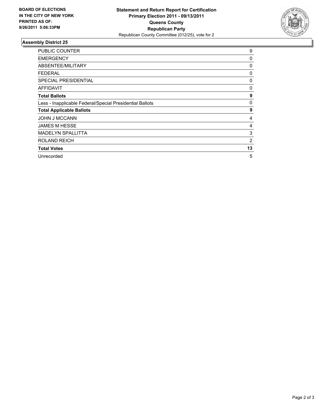

| <b>PUBLIC COUNTER</b>                                    | 9  |
|----------------------------------------------------------|----|
| <b>EMERGENCY</b>                                         | 0  |
| ABSENTEE/MILITARY                                        | 0  |
| <b>FEDERAL</b>                                           | 0  |
| <b>SPECIAL PRESIDENTIAL</b>                              | 0  |
| <b>AFFIDAVIT</b>                                         | 0  |
| <b>Total Ballots</b>                                     | 9  |
| Less - Inapplicable Federal/Special Presidential Ballots | 0  |
| <b>Total Applicable Ballots</b>                          | 9  |
| <b>JOHN J MCCANN</b>                                     | 4  |
| <b>JAMES M HESSE</b>                                     | 4  |
| <b>MADELYN SPALLITTA</b>                                 | 3  |
| <b>ROLAND REICH</b>                                      | 2  |
| <b>Total Votes</b>                                       | 13 |
| Unrecorded                                               | 5  |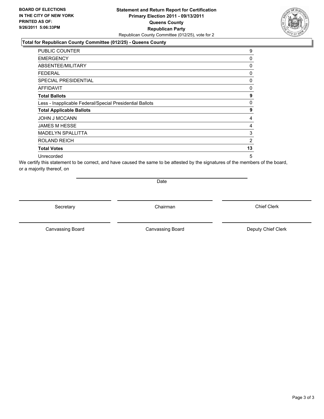#### **Statement and Return Report for Certification Primary Election 2011 - 09/13/2011 Queens County Republican Party** Republican County Committee (012/25), vote for 2

#### **Total for Republican County Committee (012/25) - Queens County**

| <b>PUBLIC COUNTER</b>                                    | 9  |
|----------------------------------------------------------|----|
| <b>EMERGENCY</b>                                         | 0  |
| ABSENTEE/MILITARY                                        | 0  |
| <b>FEDERAL</b>                                           | 0  |
| SPECIAL PRESIDENTIAL                                     | 0  |
| AFFIDAVIT                                                | 0  |
| <b>Total Ballots</b>                                     | 9  |
| Less - Inapplicable Federal/Special Presidential Ballots | 0  |
| <b>Total Applicable Ballots</b>                          | 9  |
| <b>JOHN J MCCANN</b>                                     | 4  |
| <b>JAMES M HESSE</b>                                     | 4  |
| <b>MADELYN SPALLITTA</b>                                 | 3  |
| <b>ROLAND REICH</b>                                      | 2  |
| <b>Total Votes</b>                                       | 13 |
| Unrecorded                                               | 5  |

We certify this statement to be correct, and have caused the same to be attested by the signatures of the members of the board, or a majority thereof, on

Date

Secretary **Chairman** 

Canvassing Board

Canvassing Board **Canvassing Board** Canvassing Board **Deputy Chief Clerk** 

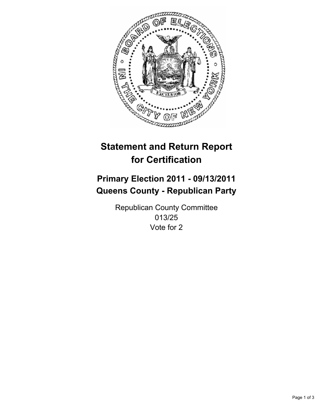

## **Primary Election 2011 - 09/13/2011 Queens County - Republican Party**

Republican County Committee 013/25 Vote for 2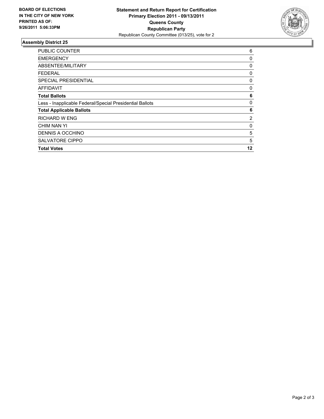

| <b>PUBLIC COUNTER</b>                                    | 6  |
|----------------------------------------------------------|----|
| <b>EMERGENCY</b>                                         | 0  |
| ABSENTEE/MILITARY                                        | 0  |
| FEDERAL                                                  | 0  |
| <b>SPECIAL PRESIDENTIAL</b>                              | 0  |
| <b>AFFIDAVIT</b>                                         | 0  |
| <b>Total Ballots</b>                                     | 6  |
| Less - Inapplicable Federal/Special Presidential Ballots | 0  |
| <b>Total Applicable Ballots</b>                          | 6  |
| <b>RICHARD W ENG</b>                                     | 2  |
| CHIM NAN YI                                              | 0  |
| DENNIS A OCCHINO                                         | 5  |
| <b>SALVATORE CIPPO</b>                                   | 5  |
| <b>Total Votes</b>                                       | 12 |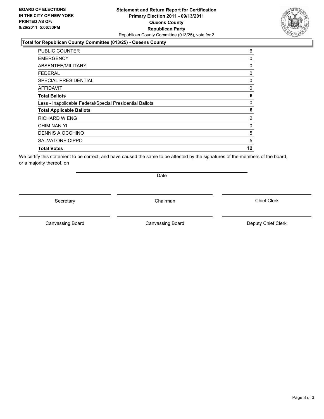#### **Statement and Return Report for Certification Primary Election 2011 - 09/13/2011 Queens County Republican Party** Republican County Committee (013/25), vote for 2

#### **Total for Republican County Committee (013/25) - Queens County**

| <b>PUBLIC COUNTER</b>                                    | 6        |
|----------------------------------------------------------|----------|
| <b>EMERGENCY</b>                                         | 0        |
| ABSENTEE/MILITARY                                        | 0        |
| <b>FEDERAL</b>                                           | 0        |
| <b>SPECIAL PRESIDENTIAL</b>                              | 0        |
| <b>AFFIDAVIT</b>                                         | $\Omega$ |
| <b>Total Ballots</b>                                     | 6        |
| Less - Inapplicable Federal/Special Presidential Ballots | 0        |
| <b>Total Applicable Ballots</b>                          | 6        |
| RICHARD W ENG                                            | 2        |
| CHIM NAN YI                                              | 0        |
| DENNIS A OCCHINO                                         | 5        |
| <b>SALVATORE CIPPO</b>                                   | 5        |
| <b>Total Votes</b>                                       | 12       |

We certify this statement to be correct, and have caused the same to be attested by the signatures of the members of the board, or a majority thereof, on

Secretary **Chairman** 

Date

Canvassing Board **Canvassing Board** Canvassing Board **Deputy Chief Clerk** 

Canvassing Board

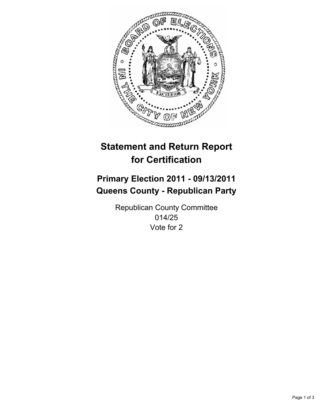

## **Primary Election 2011 - 09/13/2011 Queens County - Republican Party**

Republican County Committee 014/25 Vote for 2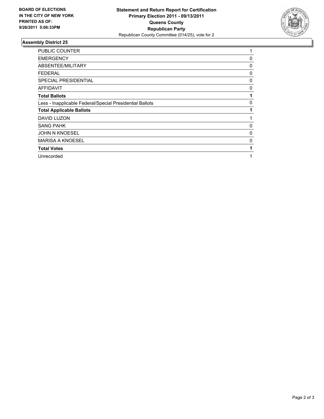

| PUBLIC COUNTER                                           | 1 |
|----------------------------------------------------------|---|
| <b>EMERGENCY</b>                                         | 0 |
| ABSENTEE/MILITARY                                        | 0 |
| <b>FEDERAL</b>                                           | 0 |
| <b>SPECIAL PRESIDENTIAL</b>                              | 0 |
| AFFIDAVIT                                                | 0 |
| <b>Total Ballots</b>                                     |   |
| Less - Inapplicable Federal/Special Presidential Ballots | 0 |
| <b>Total Applicable Ballots</b>                          |   |
| DAVID LUZON                                              |   |
| <b>SANG PAHK</b>                                         | 0 |
| <b>JOHN N KNOESEL</b>                                    | 0 |
| <b>MARISA A KNOESEL</b>                                  | 0 |
| <b>Total Votes</b>                                       |   |
| Unrecorded                                               |   |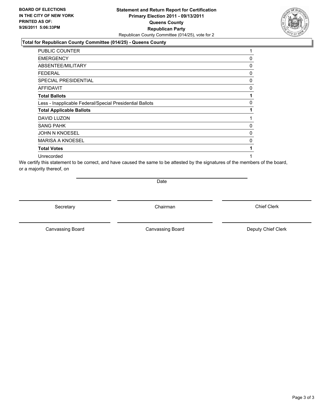### **Statement and Return Report for Certification Primary Election 2011 - 09/13/2011 Queens County Republican Party** Republican County Committee (014/25), vote for 2

#### **Total for Republican County Committee (014/25) - Queens County**

| PUBLIC COUNTER                                           | 1 |
|----------------------------------------------------------|---|
| <b>EMERGENCY</b>                                         | 0 |
| ABSENTEE/MILITARY                                        | 0 |
| <b>FEDERAL</b>                                           | 0 |
| SPECIAL PRESIDENTIAL                                     | 0 |
| <b>AFFIDAVIT</b>                                         | 0 |
| <b>Total Ballots</b>                                     | 1 |
| Less - Inapplicable Federal/Special Presidential Ballots | 0 |
| <b>Total Applicable Ballots</b>                          | 1 |
| <b>DAVID LUZON</b>                                       | 1 |
| <b>SANG PAHK</b>                                         | 0 |
| <b>JOHN N KNOESEL</b>                                    | 0 |
| <b>MARISA A KNOESEL</b>                                  | 0 |
| <b>Total Votes</b>                                       | 1 |
| Unrecorded                                               | 1 |

We certify this statement to be correct, and have caused the same to be attested by the signatures of the members of the board, or a majority thereof, on

Date

Secretary **Chairman** 

Canvassing Board

Canvassing Board **Canvassing Board** Canvassing Board **Deputy Chief Clerk** 

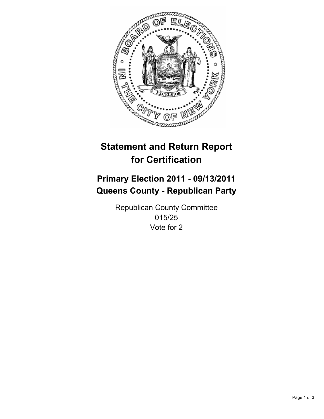

## **Primary Election 2011 - 09/13/2011 Queens County - Republican Party**

Republican County Committee 015/25 Vote for 2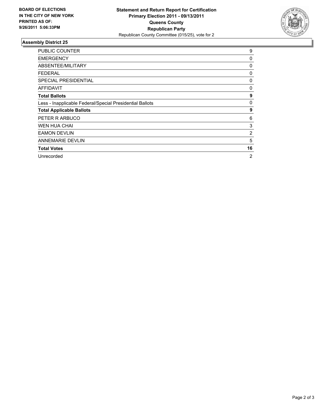

| <b>PUBLIC COUNTER</b>                                    | 9  |
|----------------------------------------------------------|----|
| <b>EMERGENCY</b>                                         | 0  |
| ABSENTEE/MILITARY                                        | 0  |
| <b>FEDERAL</b>                                           | 0  |
| <b>SPECIAL PRESIDENTIAL</b>                              | 0  |
| <b>AFFIDAVIT</b>                                         | 0  |
| <b>Total Ballots</b>                                     | 9  |
| Less - Inapplicable Federal/Special Presidential Ballots | 0  |
| <b>Total Applicable Ballots</b>                          | 9  |
| PETER R ARBUCO                                           | 6  |
| <b>WEN HUA CHAI</b>                                      | 3  |
| <b>EAMON DEVLIN</b>                                      | 2  |
| <b>ANNEMARIE DEVLIN</b>                                  | 5  |
| <b>Total Votes</b>                                       | 16 |
| Unrecorded                                               | 2  |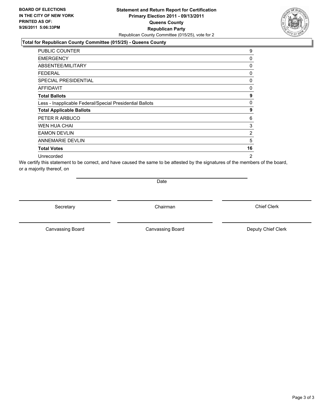### **Statement and Return Report for Certification Primary Election 2011 - 09/13/2011 Queens County Republican Party** Republican County Committee (015/25), vote for 2

#### **Total for Republican County Committee (015/25) - Queens County**

| <b>PUBLIC COUNTER</b>                                    | 9              |
|----------------------------------------------------------|----------------|
| <b>EMERGENCY</b>                                         | 0              |
| ABSENTEE/MILITARY                                        | 0              |
| FEDERAL                                                  | 0              |
| SPECIAL PRESIDENTIAL                                     | 0              |
| <b>AFFIDAVIT</b>                                         | 0              |
| <b>Total Ballots</b>                                     | 9              |
| Less - Inapplicable Federal/Special Presidential Ballots | 0              |
| <b>Total Applicable Ballots</b>                          | 9              |
| PETER R ARBUCO                                           | 6              |
| WEN HUA CHAI                                             | 3              |
| <b>EAMON DEVLIN</b>                                      | 2              |
| <b>ANNEMARIE DEVLIN</b>                                  | 5              |
| <b>Total Votes</b>                                       | 16             |
| Unrecorded                                               | $\overline{2}$ |

We certify this statement to be correct, and have caused the same to be attested by the signatures of the members of the board, or a majority thereof, on

Date

Secretary **Chairman** 

Canvassing Board **Canvassing Board** Canvassing Board **Deputy Chief Clerk** 

Canvassing Board

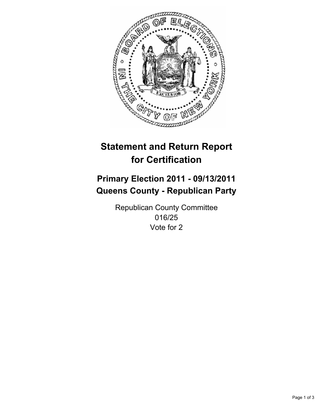

## **Primary Election 2011 - 09/13/2011 Queens County - Republican Party**

Republican County Committee 016/25 Vote for 2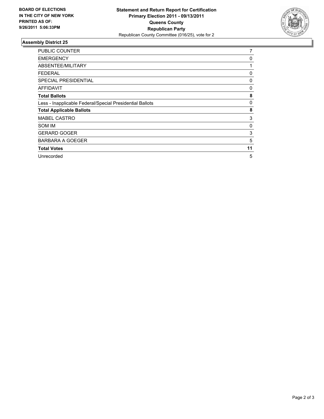

| <b>PUBLIC COUNTER</b>                                    | 7  |
|----------------------------------------------------------|----|
| <b>EMERGENCY</b>                                         | 0  |
| ABSENTEE/MILITARY                                        | 1  |
| <b>FEDERAL</b>                                           | 0  |
| <b>SPECIAL PRESIDENTIAL</b>                              | 0  |
| AFFIDAVIT                                                | 0  |
| <b>Total Ballots</b>                                     | 8  |
| Less - Inapplicable Federal/Special Presidential Ballots | 0  |
| <b>Total Applicable Ballots</b>                          | 8  |
| <b>MABEL CASTRO</b>                                      | 3  |
| SOM IM                                                   | 0  |
| <b>GERARD GOGER</b>                                      | 3  |
| BARBARA A GOEGER                                         | 5  |
| <b>Total Votes</b>                                       | 11 |
| Unrecorded                                               | 5  |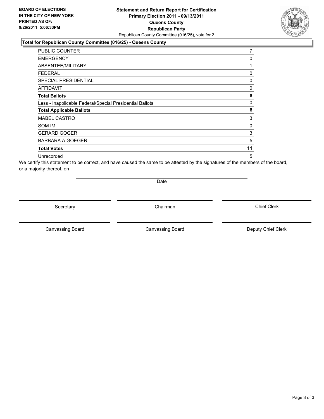#### **Statement and Return Report for Certification Primary Election 2011 - 09/13/2011 Queens County Republican Party** Republican County Committee (016/25), vote for 2

#### **Total for Republican County Committee (016/25) - Queens County**

| PUBLIC COUNTER                                           | 7  |
|----------------------------------------------------------|----|
| <b>EMERGENCY</b>                                         | 0  |
| <b>ABSENTEE/MILITARY</b>                                 | 1  |
| <b>FEDERAL</b>                                           | 0  |
| <b>SPECIAL PRESIDENTIAL</b>                              | 0  |
| AFFIDAVIT                                                | 0  |
| <b>Total Ballots</b>                                     | 8  |
| Less - Inapplicable Federal/Special Presidential Ballots | 0  |
| <b>Total Applicable Ballots</b>                          | 8  |
| <b>MABEL CASTRO</b>                                      | 3  |
| SOM IM                                                   | 0  |
| <b>GERARD GOGER</b>                                      | 3  |
| <b>BARBARA A GOEGER</b>                                  | 5  |
| <b>Total Votes</b>                                       | 11 |
| Unrecorded                                               | 5  |

We certify this statement to be correct, and have caused the same to be attested by the signatures of the members of the board, or a majority thereof, on

Date

Secretary **Chairman** 

Canvassing Board

Canvassing Board **Canvassing Board** Canvassing Board **Deputy Chief Clerk** 

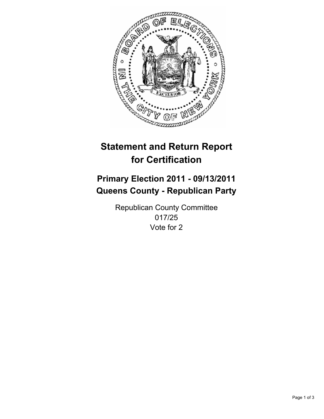

## **Primary Election 2011 - 09/13/2011 Queens County - Republican Party**

Republican County Committee 017/25 Vote for 2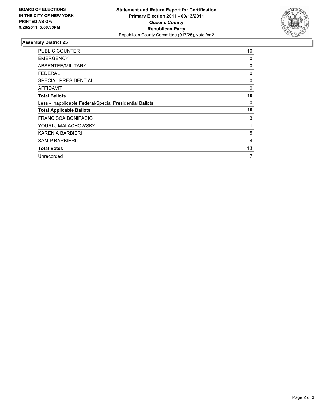

| PUBLIC COUNTER                                           | 10 |
|----------------------------------------------------------|----|
| <b>EMERGENCY</b>                                         | 0  |
| ABSENTEE/MILITARY                                        | 0  |
| <b>FEDERAL</b>                                           | 0  |
| <b>SPECIAL PRESIDENTIAL</b>                              | 0  |
| AFFIDAVIT                                                | 0  |
| <b>Total Ballots</b>                                     | 10 |
| Less - Inapplicable Federal/Special Presidential Ballots | 0  |
| <b>Total Applicable Ballots</b>                          | 10 |
| <b>FRANCISCA BONIFACIO</b>                               | 3  |
| YOURI J MALACHOWSKY                                      | 1  |
| KAREN A BARBIERI                                         | 5  |
| <b>SAM P BARBIERI</b>                                    | 4  |
| <b>Total Votes</b>                                       | 13 |
| Unrecorded                                               | 7  |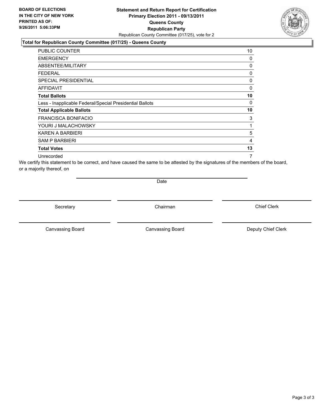### **Statement and Return Report for Certification Primary Election 2011 - 09/13/2011 Queens County Republican Party** Republican County Committee (017/25), vote for 2

### **Total for Republican County Committee (017/25) - Queens County**

| PUBLIC COUNTER                                           | 10 |
|----------------------------------------------------------|----|
| <b>EMERGENCY</b>                                         | 0  |
| ABSENTEE/MILITARY                                        | 0  |
| <b>FEDERAL</b>                                           | 0  |
| SPECIAL PRESIDENTIAL                                     | 0  |
| <b>AFFIDAVIT</b>                                         | 0  |
| <b>Total Ballots</b>                                     | 10 |
| Less - Inapplicable Federal/Special Presidential Ballots | 0  |
| <b>Total Applicable Ballots</b>                          | 10 |
| FRANCISCA BONIFACIO                                      | 3  |
| YOURI J MALACHOWSKY                                      | 1  |
| KAREN A BARBIERI                                         | 5  |
| <b>SAM P BARBIERI</b>                                    | 4  |
| <b>Total Votes</b>                                       | 13 |
| Unrecorded                                               | 7  |

We certify this statement to be correct, and have caused the same to be attested by the signatures of the members of the board, or a majority thereof, on

Date

Secretary **Chairman** 

Canvassing Board **Canvassing Board** Canvassing Board **Deputy Chief Clerk** 

Canvassing Board

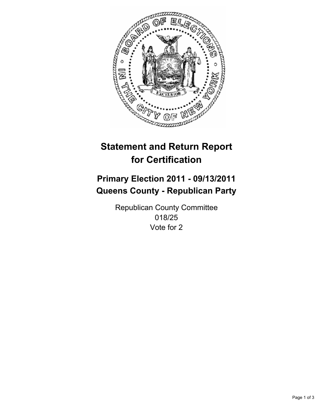

## **Primary Election 2011 - 09/13/2011 Queens County - Republican Party**

Republican County Committee 018/25 Vote for 2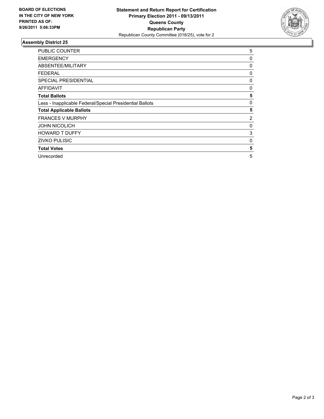

| PUBLIC COUNTER                                           | 5 |
|----------------------------------------------------------|---|
| <b>EMERGENCY</b>                                         | 0 |
| ABSENTEE/MILITARY                                        | 0 |
| FEDERAL                                                  | 0 |
| SPECIAL PRESIDENTIAL                                     | 0 |
| AFFIDAVIT                                                | 0 |
| <b>Total Ballots</b>                                     | 5 |
| Less - Inapplicable Federal/Special Presidential Ballots | 0 |
| <b>Total Applicable Ballots</b>                          | 5 |
| <b>FRANCES V MURPHY</b>                                  | 2 |
| <b>JOHN NICOLICH</b>                                     | 0 |
| <b>HOWARD T DUFFY</b>                                    | 3 |
| <b>ZIVKO PULISIC</b>                                     | 0 |
| <b>Total Votes</b>                                       | 5 |
| Unrecorded                                               | 5 |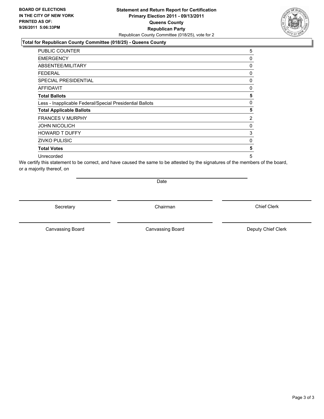### **Statement and Return Report for Certification Primary Election 2011 - 09/13/2011 Queens County Republican Party** Republican County Committee (018/25), vote for 2

#### **Total for Republican County Committee (018/25) - Queens County**

| PUBLIC COUNTER                                           | 5 |
|----------------------------------------------------------|---|
| <b>EMERGENCY</b>                                         | 0 |
| <b>ABSENTEE/MILITARY</b>                                 | 0 |
| FEDERAL                                                  | 0 |
| <b>SPECIAL PRESIDENTIAL</b>                              | 0 |
| <b>AFFIDAVIT</b>                                         | 0 |
| <b>Total Ballots</b>                                     | 5 |
| Less - Inapplicable Federal/Special Presidential Ballots | 0 |
| <b>Total Applicable Ballots</b>                          | 5 |
| <b>FRANCES V MURPHY</b>                                  | 2 |
| <b>JOHN NICOLICH</b>                                     | 0 |
| <b>HOWARD T DUFFY</b>                                    | 3 |
| <b>ZIVKO PULISIC</b>                                     | 0 |
| <b>Total Votes</b>                                       | 5 |
| Unrecorded                                               | 5 |

We certify this statement to be correct, and have caused the same to be attested by the signatures of the members of the board, or a majority thereof, on

Date

Secretary **Chairman** 

Canvassing Board

Canvassing Board **Canvassing Board** Canvassing Board **Deputy Chief Clerk** 

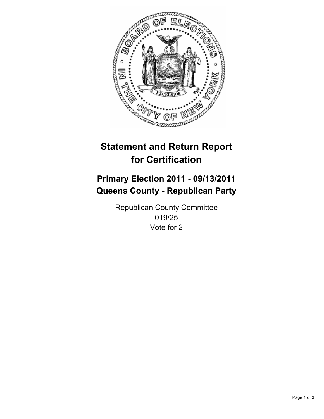

## **Primary Election 2011 - 09/13/2011 Queens County - Republican Party**

Republican County Committee 019/25 Vote for 2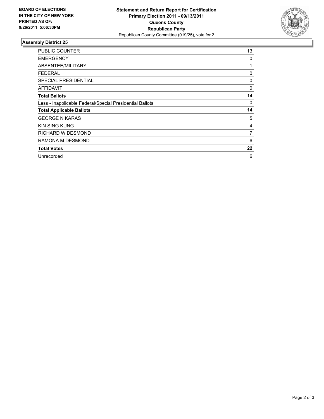

| <b>PUBLIC COUNTER</b>                                    | 13 |
|----------------------------------------------------------|----|
| <b>EMERGENCY</b>                                         | 0  |
| ABSENTEE/MILITARY                                        | 1  |
| <b>FEDERAL</b>                                           | 0  |
| <b>SPECIAL PRESIDENTIAL</b>                              | 0  |
| AFFIDAVIT                                                | 0  |
| <b>Total Ballots</b>                                     | 14 |
| Less - Inapplicable Federal/Special Presidential Ballots | 0  |
| <b>Total Applicable Ballots</b>                          | 14 |
| <b>GEORGE N KARAS</b>                                    | 5  |
| <b>KIN SING KUNG</b>                                     | 4  |
| RICHARD W DESMOND                                        | 7  |
| RAMONA M DESMOND                                         | 6  |
| <b>Total Votes</b>                                       | 22 |
| Unrecorded                                               | 6  |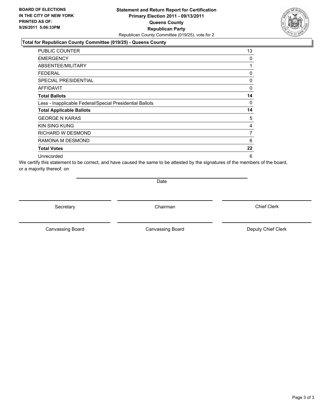### **Statement and Return Report for Certification Primary Election 2011 - 09/13/2011 Queens County Republican Party** Republican County Committee (019/25), vote for 2

#### **Total for Republican County Committee (019/25) - Queens County**

| PUBLIC COUNTER                                           | 13             |
|----------------------------------------------------------|----------------|
| <b>EMERGENCY</b>                                         | 0              |
| ABSENTEE/MILITARY                                        | 1              |
| FEDERAL                                                  | 0              |
| SPECIAL PRESIDENTIAL                                     | 0              |
| <b>AFFIDAVIT</b>                                         | 0              |
| <b>Total Ballots</b>                                     | 14             |
| Less - Inapplicable Federal/Special Presidential Ballots | 0              |
| <b>Total Applicable Ballots</b>                          | 14             |
| <b>GEORGE N KARAS</b>                                    | 5              |
| <b>KIN SING KUNG</b>                                     | 4              |
| RICHARD W DESMOND                                        | $\overline{7}$ |
| RAMONA M DESMOND                                         | 6              |
| <b>Total Votes</b>                                       | 22             |
| Unrecorded                                               | 6              |

We certify this statement to be correct, and have caused the same to be attested by the signatures of the members of the board, or a majority thereof, on

Date

Secretary **Chairman** 

Canvassing Board

Canvassing Board **Canvassing Board** Canvassing Board **Deputy Chief Clerk** 

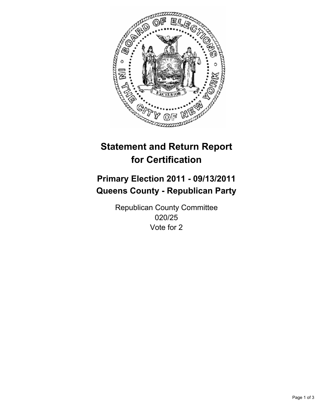

## **Primary Election 2011 - 09/13/2011 Queens County - Republican Party**

Republican County Committee 020/25 Vote for 2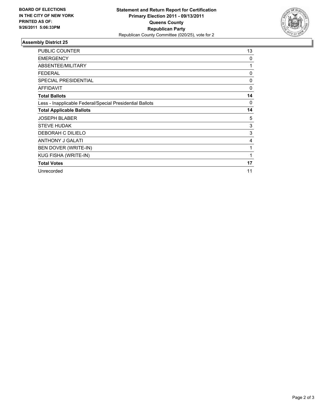

| PUBLIC COUNTER                                           | 13       |
|----------------------------------------------------------|----------|
| <b>EMERGENCY</b>                                         | 0        |
| ABSENTEE/MILITARY                                        | 1        |
| <b>FEDERAL</b>                                           | 0        |
| <b>SPECIAL PRESIDENTIAL</b>                              | 0        |
| <b>AFFIDAVIT</b>                                         | $\Omega$ |
| <b>Total Ballots</b>                                     | 14       |
| Less - Inapplicable Federal/Special Presidential Ballots | 0        |
| <b>Total Applicable Ballots</b>                          | 14       |
| <b>JOSEPH BLABER</b>                                     | 5        |
| <b>STEVE HUDAK</b>                                       | 3        |
| DEBORAH C DILIELO                                        | 3        |
| <b>ANTHONY J GALATI</b>                                  | 4        |
| BEN DOVER (WRITE-IN)                                     | 1        |
| KUG FISHA (WRITE-IN)                                     | 1        |
| <b>Total Votes</b>                                       | 17       |
| Unrecorded                                               | 11       |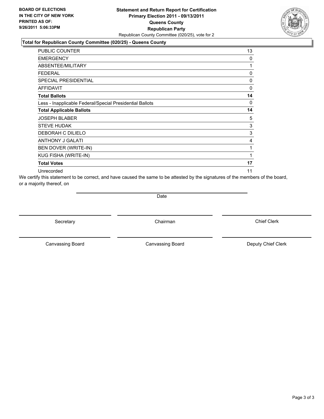#### **Statement and Return Report for Certification Primary Election 2011 - 09/13/2011 Queens County Republican Party** Republican County Committee (020/25), vote for 2

#### **Total for Republican County Committee (020/25) - Queens County**

| PUBLIC COUNTER                                           | 13       |
|----------------------------------------------------------|----------|
| <b>EMERGENCY</b>                                         | $\Omega$ |
| ABSENTEE/MILITARY                                        | 1        |
| FEDERAL                                                  | 0        |
| <b>SPECIAL PRESIDENTIAL</b>                              | 0        |
| <b>AFFIDAVIT</b>                                         | $\Omega$ |
| <b>Total Ballots</b>                                     | 14       |
| Less - Inapplicable Federal/Special Presidential Ballots | 0        |
| <b>Total Applicable Ballots</b>                          | 14       |
| <b>JOSEPH BLABER</b>                                     | 5        |
| <b>STEVE HUDAK</b>                                       | 3        |
| DEBORAH C DILIELO                                        | 3        |
| <b>ANTHONY J GALATI</b>                                  | 4        |
| BEN DOVER (WRITE-IN)                                     | 1        |
| KUG FISHA (WRITE-IN)                                     | 1        |
| <b>Total Votes</b>                                       | 17       |
| Unrecorded                                               | 11       |

We certify this statement to be correct, and have caused the same to be attested by the signatures of the members of the board, or a majority thereof, on

**Date** 

Secretary **Chairman** 

Canvassing Board **Canvassing Board** Canvassing Board **Deputy Chief Clerk** 

Canvassing Board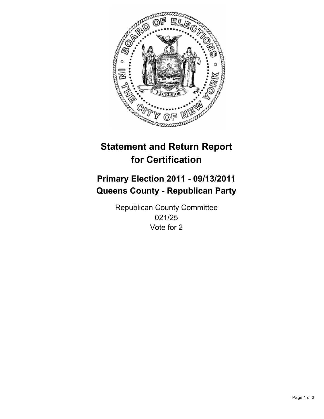

## **Primary Election 2011 - 09/13/2011 Queens County - Republican Party**

Republican County Committee 021/25 Vote for 2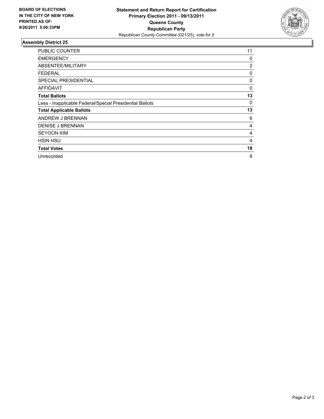

| PUBLIC COUNTER                                           | 11             |
|----------------------------------------------------------|----------------|
| <b>EMERGENCY</b>                                         | 0              |
| ABSENTEE/MILITARY                                        | $\overline{2}$ |
| <b>FEDERAL</b>                                           | 0              |
| <b>SPECIAL PRESIDENTIAL</b>                              | 0              |
| <b>AFFIDAVIT</b>                                         | 0              |
| <b>Total Ballots</b>                                     | 13             |
| Less - Inapplicable Federal/Special Presidential Ballots | 0              |
| <b>Total Applicable Ballots</b>                          | 13             |
| ANDREW J BRENNAN                                         | 6              |
| <b>DENISE J BRENNAN</b>                                  | 4              |
| <b>SEYOON KIM</b>                                        | 4              |
| <b>HSIN HSU</b>                                          | 4              |
| <b>Total Votes</b>                                       | 18             |
| Unrecorded                                               | 8              |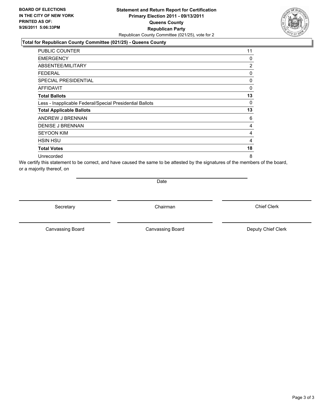### **Statement and Return Report for Certification Primary Election 2011 - 09/13/2011 Queens County Republican Party** Republican County Committee (021/25), vote for 2

### **Total for Republican County Committee (021/25) - Queens County**

| <b>PUBLIC COUNTER</b>                                    | 11             |
|----------------------------------------------------------|----------------|
| <b>EMERGENCY</b>                                         | 0              |
| ABSENTEE/MILITARY                                        | $\overline{2}$ |
| <b>FEDERAL</b>                                           | 0              |
| <b>SPECIAL PRESIDENTIAL</b>                              | 0              |
| <b>AFFIDAVIT</b>                                         | 0              |
| <b>Total Ballots</b>                                     | 13             |
| Less - Inapplicable Federal/Special Presidential Ballots | 0              |
| <b>Total Applicable Ballots</b>                          | 13             |
| ANDREW J BRENNAN                                         | 6              |
| <b>DENISE J BRENNAN</b>                                  | 4              |
| <b>SEYOON KIM</b>                                        | $\overline{4}$ |
| <b>HSIN HSU</b>                                          | $\overline{4}$ |
| <b>Total Votes</b>                                       | 18             |
| Unrecorded                                               | 8              |

We certify this statement to be correct, and have caused the same to be attested by the signatures of the members of the board, or a majority thereof, on

Date

Secretary **Chairman** 

Canvassing Board **Canvassing Board** Canvassing Board **Deputy Chief Clerk** 

Canvassing Board

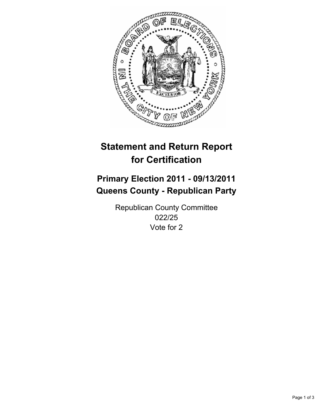

## **Primary Election 2011 - 09/13/2011 Queens County - Republican Party**

Republican County Committee 022/25 Vote for 2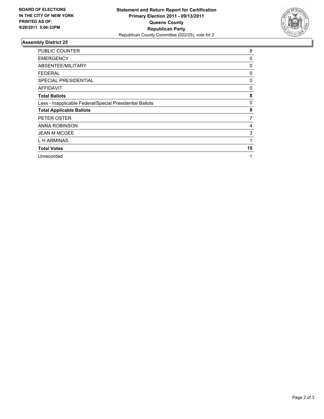

| <b>PUBLIC COUNTER</b>                                    | 8  |
|----------------------------------------------------------|----|
| <b>EMERGENCY</b>                                         | 0  |
| ABSENTEE/MILITARY                                        | 0  |
| <b>FEDERAL</b>                                           | 0  |
| <b>SPECIAL PRESIDENTIAL</b>                              | 0  |
| <b>AFFIDAVIT</b>                                         | 0  |
| <b>Total Ballots</b>                                     | 8  |
| Less - Inapplicable Federal/Special Presidential Ballots | 0  |
| <b>Total Applicable Ballots</b>                          | 8  |
| PETER OSTER                                              | 7  |
| ANNA ROBINSON                                            | 4  |
| <b>JEAN M MCGEE</b>                                      | 3  |
| L H ARMINAS                                              | 1  |
| <b>Total Votes</b>                                       | 15 |
| Unrecorded                                               | 1  |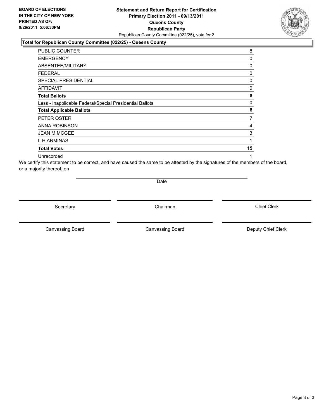#### **Statement and Return Report for Certification Primary Election 2011 - 09/13/2011 Queens County Republican Party** Republican County Committee (022/25), vote for 2

#### **Total for Republican County Committee (022/25) - Queens County**

| PUBLIC COUNTER                                           | 8  |
|----------------------------------------------------------|----|
| <b>EMERGENCY</b>                                         | 0  |
| ABSENTEE/MILITARY                                        | 0  |
| <b>FEDERAL</b>                                           | 0  |
| SPECIAL PRESIDENTIAL                                     | 0  |
| <b>AFFIDAVIT</b>                                         | 0  |
| <b>Total Ballots</b>                                     | 8  |
| Less - Inapplicable Federal/Special Presidential Ballots | 0  |
| <b>Total Applicable Ballots</b>                          | 8  |
| PETER OSTER                                              | 7  |
| <b>ANNA ROBINSON</b>                                     | 4  |
| <b>JEAN M MCGEE</b>                                      | 3  |
| L H ARMINAS                                              | 1  |
| <b>Total Votes</b>                                       | 15 |
| Unrecorded                                               | 1  |

We certify this statement to be correct, and have caused the same to be attested by the signatures of the members of the board, or a majority thereof, on

Date

Secretary **Chairman** 

Canvassing Board **Canvassing Board** Canvassing Board **Deputy Chief Clerk** 

Canvassing Board

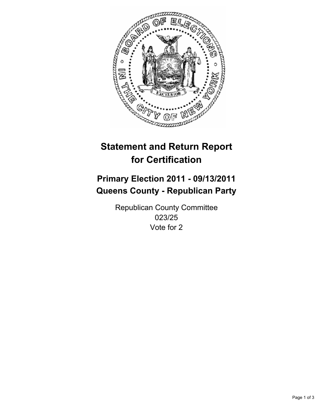

## **Primary Election 2011 - 09/13/2011 Queens County - Republican Party**

Republican County Committee 023/25 Vote for 2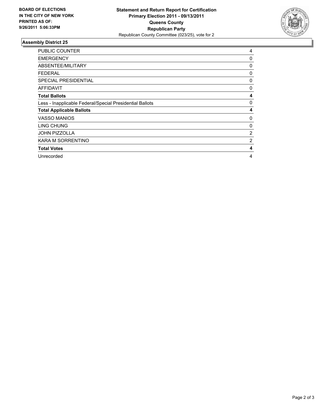

| <b>PUBLIC COUNTER</b>                                    | 4              |
|----------------------------------------------------------|----------------|
| <b>EMERGENCY</b>                                         | 0              |
| ABSENTEE/MILITARY                                        | 0              |
| <b>FEDERAL</b>                                           | 0              |
| <b>SPECIAL PRESIDENTIAL</b>                              | 0              |
| AFFIDAVIT                                                | 0              |
| <b>Total Ballots</b>                                     | 4              |
| Less - Inapplicable Federal/Special Presidential Ballots | 0              |
| <b>Total Applicable Ballots</b>                          | 4              |
| <b>VASSO MANIOS</b>                                      | 0              |
| LING CHUNG                                               | 0              |
| JOHN PIZZOLLA                                            | $\overline{2}$ |
| KARA M SORRENTINO                                        | 2              |
| <b>Total Votes</b>                                       | 4              |
| Unrecorded                                               | 4              |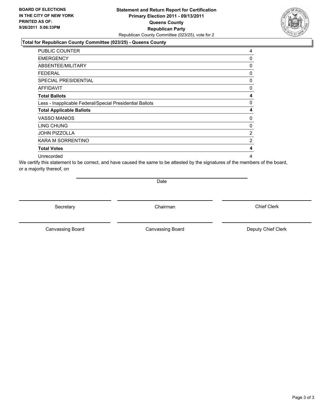#### **Statement and Return Report for Certification Primary Election 2011 - 09/13/2011 Queens County Republican Party** Republican County Committee (023/25), vote for 2

#### **Total for Republican County Committee (023/25) - Queens County**

| PUBLIC COUNTER                                           | 4 |
|----------------------------------------------------------|---|
| <b>EMERGENCY</b>                                         | 0 |
| ABSENTEE/MILITARY                                        | 0 |
| FEDERAL                                                  | 0 |
| <b>SPECIAL PRESIDENTIAL</b>                              | 0 |
| <b>AFFIDAVIT</b>                                         | 0 |
| <b>Total Ballots</b>                                     | 4 |
| Less - Inapplicable Federal/Special Presidential Ballots | 0 |
| <b>Total Applicable Ballots</b>                          | 4 |
| <b>VASSO MANIOS</b>                                      | 0 |
| LING CHUNG                                               | 0 |
| JOHN PIZZOLLA                                            | 2 |
| KARA M SORRENTINO                                        | 2 |
| <b>Total Votes</b>                                       | 4 |
| Unrecorded                                               | 4 |

We certify this statement to be correct, and have caused the same to be attested by the signatures of the members of the board, or a majority thereof, on

Date

Secretary **Chairman** 

Canvassing Board **Canvassing Board** Canvassing Board **Deputy Chief Clerk** 

Canvassing Board

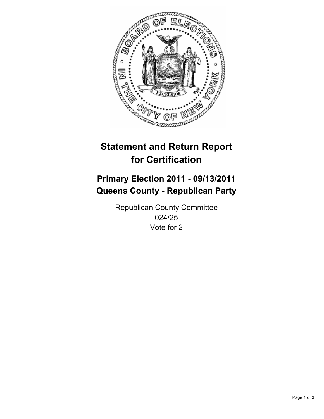

## **Primary Election 2011 - 09/13/2011 Queens County - Republican Party**

Republican County Committee 024/25 Vote for 2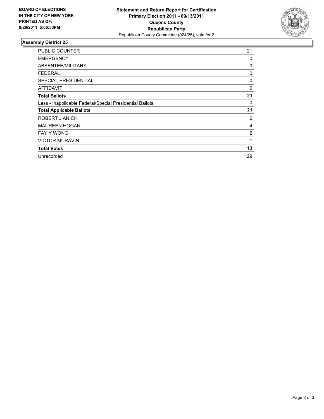

| PUBLIC COUNTER                                           | 21             |
|----------------------------------------------------------|----------------|
| <b>EMERGENCY</b>                                         | 0              |
| ABSENTEE/MILITARY                                        | 0              |
| <b>FEDERAL</b>                                           | 0              |
| <b>SPECIAL PRESIDENTIAL</b>                              | 0              |
| AFFIDAVIT                                                | 0              |
| <b>Total Ballots</b>                                     | 21             |
| Less - Inapplicable Federal/Special Presidential Ballots | 0              |
| <b>Total Applicable Ballots</b>                          | 21             |
| ROBERT J ANICH                                           | 6              |
| <b>MAUREEN HOGAN</b>                                     | 4              |
| <b>FAY Y WONG</b>                                        | $\overline{2}$ |
| <b>VICTOR MURAVIN</b>                                    | 1              |
| <b>Total Votes</b>                                       | 13             |
| Unrecorded                                               | 29             |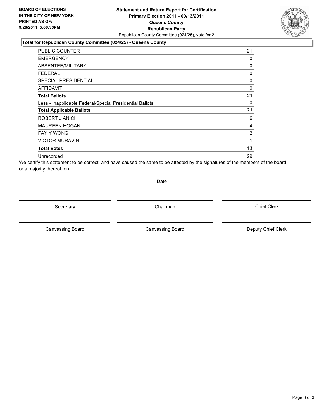#### **Statement and Return Report for Certification Primary Election 2011 - 09/13/2011 Queens County Republican Party** Republican County Committee (024/25), vote for 2

#### **Total for Republican County Committee (024/25) - Queens County**

| <b>PUBLIC COUNTER</b>                                    | 21             |
|----------------------------------------------------------|----------------|
| <b>EMERGENCY</b>                                         | 0              |
| <b>ABSENTEE/MILITARY</b>                                 | 0              |
| <b>FEDERAL</b>                                           | 0              |
| <b>SPECIAL PRESIDENTIAL</b>                              | 0              |
| <b>AFFIDAVIT</b>                                         | 0              |
| <b>Total Ballots</b>                                     | 21             |
| Less - Inapplicable Federal/Special Presidential Ballots | 0              |
| <b>Total Applicable Ballots</b>                          | 21             |
| ROBERT J ANICH                                           | 6              |
| <b>MAUREEN HOGAN</b>                                     | 4              |
| <b>FAY Y WONG</b>                                        | $\overline{2}$ |
| <b>VICTOR MURAVIN</b>                                    | 1              |
| <b>Total Votes</b>                                       | 13             |
| Unrecorded                                               | 29             |

We certify this statement to be correct, and have caused the same to be attested by the signatures of the members of the board, or a majority thereof, on

Date

Secretary **Chairman** 

Canvassing Board

Canvassing Board **Canvassing Board** Canvassing Board **Deputy Chief Clerk** 

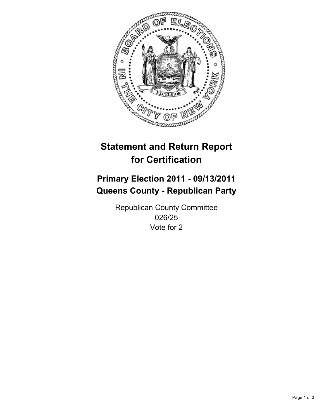

## **Primary Election 2011 - 09/13/2011 Queens County - Republican Party**

Republican County Committee 026/25 Vote for 2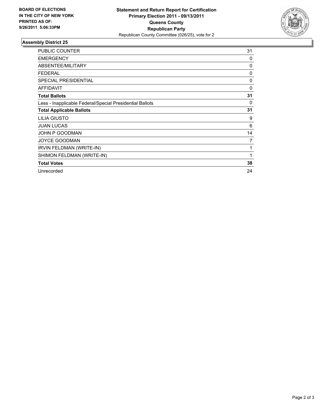

| PUBLIC COUNTER                                           | 31       |
|----------------------------------------------------------|----------|
| <b>EMERGENCY</b>                                         | 0        |
| ABSENTEE/MILITARY                                        | 0        |
| <b>FEDERAL</b>                                           | 0        |
| <b>SPECIAL PRESIDENTIAL</b>                              | 0        |
| <b>AFFIDAVIT</b>                                         | $\Omega$ |
| <b>Total Ballots</b>                                     | 31       |
| Less - Inapplicable Federal/Special Presidential Ballots | 0        |
| <b>Total Applicable Ballots</b>                          | 31       |
| <b>LILIA GIUSTO</b>                                      | 9        |
| <b>JUAN LUCAS</b>                                        | 6        |
| JOHN P GOODMAN                                           | 14       |
| <b>JOYCE GOODMAN</b>                                     | 7        |
| IRVIN FELDMAN (WRITE-IN)                                 | 1        |
| SHIMON FELDMAN (WRITE-IN)                                | 1        |
| <b>Total Votes</b>                                       | 38       |
| Unrecorded                                               | 24       |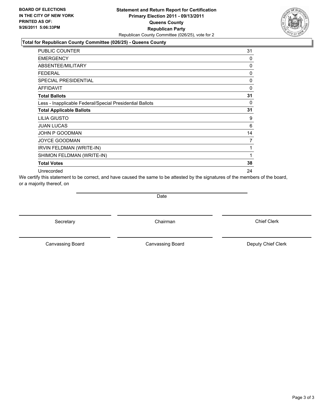

#### **Total for Republican County Committee (026/25) - Queens County**

| PUBLIC COUNTER                                           | 31       |
|----------------------------------------------------------|----------|
| <b>EMERGENCY</b>                                         | 0        |
| ABSENTEE/MILITARY                                        | 0        |
| <b>FEDERAL</b>                                           | 0        |
| <b>SPECIAL PRESIDENTIAL</b>                              | 0        |
| <b>AFFIDAVIT</b>                                         | $\Omega$ |
| <b>Total Ballots</b>                                     | 31       |
| Less - Inapplicable Federal/Special Presidential Ballots | 0        |
| <b>Total Applicable Ballots</b>                          | 31       |
| <b>LILIA GIUSTO</b>                                      | 9        |
| <b>JUAN LUCAS</b>                                        | 6        |
| JOHN P GOODMAN                                           | 14       |
| <b>JOYCE GOODMAN</b>                                     | 7        |
| <b>IRVIN FELDMAN (WRITE-IN)</b>                          | 1        |
| SHIMON FELDMAN (WRITE-IN)                                | 1        |
| <b>Total Votes</b>                                       | 38       |
| Unrecorded                                               | 24       |

We certify this statement to be correct, and have caused the same to be attested by the signatures of the members of the board, or a majority thereof, on

**Date** 

Secretary **Chairman** 

Canvassing Board Canvassing Board **Canvassing Board** Canvassing Board **Deputy Chief Clerk**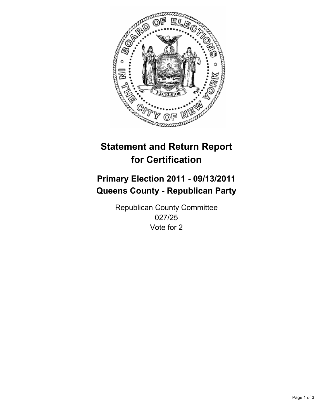

# **Primary Election 2011 - 09/13/2011 Queens County - Republican Party**

Republican County Committee 027/25 Vote for 2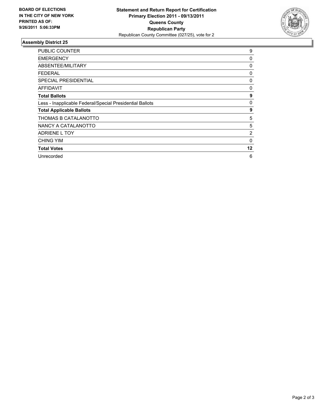

| <b>PUBLIC COUNTER</b>                                    | 9            |
|----------------------------------------------------------|--------------|
| <b>EMERGENCY</b>                                         | 0            |
| ABSENTEE/MILITARY                                        | 0            |
| <b>FEDERAL</b>                                           | 0            |
| <b>SPECIAL PRESIDENTIAL</b>                              | 0            |
| <b>AFFIDAVIT</b>                                         | 0            |
| <b>Total Ballots</b>                                     | 9            |
| Less - Inapplicable Federal/Special Presidential Ballots | 0            |
| <b>Total Applicable Ballots</b>                          | 9            |
| THOMAS B CATALANOTTO                                     | 5            |
| NANCY A CATALANOTTO                                      | 5            |
| ADRIENE L TOY                                            | 2            |
| <b>CHING YIM</b>                                         | $\mathbf{0}$ |
| <b>Total Votes</b>                                       | 12           |
| Unrecorded                                               | 6            |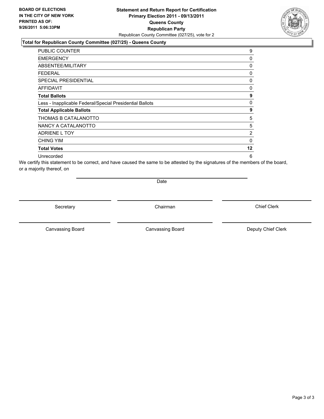## **Statement and Return Report for Certification Primary Election 2011 - 09/13/2011 Queens County Republican Party** Republican County Committee (027/25), vote for 2

## **Total for Republican County Committee (027/25) - Queens County**

| <b>PUBLIC COUNTER</b>                                    | 9              |
|----------------------------------------------------------|----------------|
| <b>EMERGENCY</b>                                         | 0              |
| <b>ABSENTEE/MILITARY</b>                                 | 0              |
| <b>FEDERAL</b>                                           | 0              |
| <b>SPECIAL PRESIDENTIAL</b>                              | 0              |
| <b>AFFIDAVIT</b>                                         | 0              |
| <b>Total Ballots</b>                                     | 9              |
| Less - Inapplicable Federal/Special Presidential Ballots | 0              |
| <b>Total Applicable Ballots</b>                          | 9              |
| THOMAS B CATALANOTTO                                     | 5              |
| NANCY A CATALANOTTO                                      | 5              |
| <b>ADRIENE L TOY</b>                                     | $\overline{2}$ |
| <b>CHING YIM</b>                                         | $\mathbf{0}$   |
| <b>Total Votes</b>                                       | $12 \,$        |
| Unrecorded                                               | 6              |

We certify this statement to be correct, and have caused the same to be attested by the signatures of the members of the board, or a majority thereof, on

Date

Secretary **Chairman** 

Canvassing Board **Canvassing Board** Canvassing Board **Deputy Chief Clerk** 

Canvassing Board

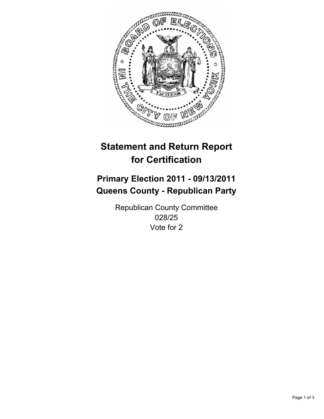

# **Primary Election 2011 - 09/13/2011 Queens County - Republican Party**

Republican County Committee 028/25 Vote for 2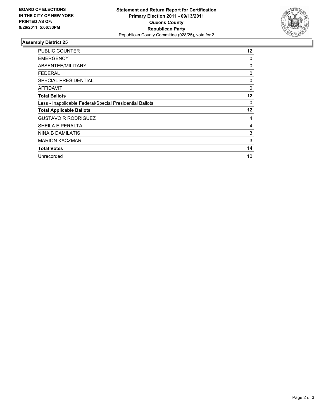

| <b>PUBLIC COUNTER</b>                                    | 12 |
|----------------------------------------------------------|----|
| <b>EMERGENCY</b>                                         | 0  |
| ABSENTEE/MILITARY                                        | 0  |
| <b>FEDERAL</b>                                           | 0  |
| <b>SPECIAL PRESIDENTIAL</b>                              | 0  |
| AFFIDAVIT                                                | 0  |
| <b>Total Ballots</b>                                     | 12 |
| Less - Inapplicable Federal/Special Presidential Ballots | 0  |
| <b>Total Applicable Ballots</b>                          | 12 |
| <b>GUSTAVO R RODRIGUEZ</b>                               | 4  |
| SHEILA E PERALTA                                         | 4  |
| NINA B DAMILATIS                                         | 3  |
| <b>MARION KACZMAR</b>                                    | 3  |
| <b>Total Votes</b>                                       | 14 |
| Unrecorded                                               | 10 |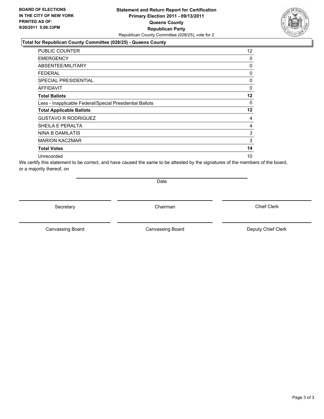## **Statement and Return Report for Certification Primary Election 2011 - 09/13/2011 Queens County Republican Party** Republican County Committee (028/25), vote for 2

### **Total for Republican County Committee (028/25) - Queens County**

| PUBLIC COUNTER                                           | 12 <sup>°</sup> |
|----------------------------------------------------------|-----------------|
| <b>EMERGENCY</b>                                         | 0               |
| ABSENTEE/MILITARY                                        | 0               |
| FEDERAL                                                  | 0               |
| <b>SPECIAL PRESIDENTIAL</b>                              | 0               |
| <b>AFFIDAVIT</b>                                         | 0               |
| <b>Total Ballots</b>                                     | $12 \,$         |
| Less - Inapplicable Federal/Special Presidential Ballots | 0               |
| <b>Total Applicable Ballots</b>                          | $12 \,$         |
| <b>GUSTAVO R RODRIGUEZ</b>                               | 4               |
| SHEILA E PERALTA                                         | 4               |
| NINA B DAMILATIS                                         | 3               |
| <b>MARION KACZMAR</b>                                    | 3               |
| <b>Total Votes</b>                                       | 14              |
| Unrecorded                                               | 10              |

We certify this statement to be correct, and have caused the same to be attested by the signatures of the members of the board, or a majority thereof, on

Date

Secretary **Chairman** 

Canvassing Board **Canvassing Board** Canvassing Board **Deputy Chief Clerk** 

Canvassing Board

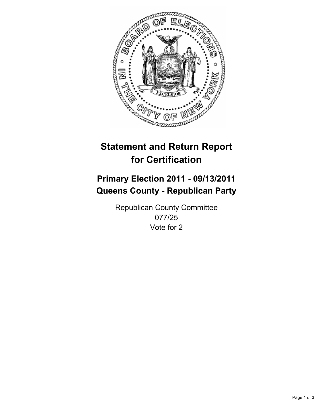

# **Primary Election 2011 - 09/13/2011 Queens County - Republican Party**

Republican County Committee 077/25 Vote for 2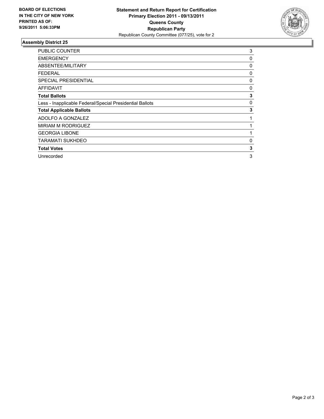

| <b>PUBLIC COUNTER</b>                                    | 3 |
|----------------------------------------------------------|---|
| <b>EMERGENCY</b>                                         | 0 |
| ABSENTEE/MILITARY                                        | 0 |
| FEDERAL                                                  | 0 |
| SPECIAL PRESIDENTIAL                                     | 0 |
| <b>AFFIDAVIT</b>                                         | 0 |
| <b>Total Ballots</b>                                     | 3 |
| Less - Inapplicable Federal/Special Presidential Ballots | 0 |
| <b>Total Applicable Ballots</b>                          | 3 |
| ADOLFO A GONZALEZ                                        |   |
| <b>MIRIAM M RODRIGUEZ</b>                                |   |
| <b>GEORGIA LIBONE</b>                                    |   |
| TARAMATI SUKHDEO                                         | 0 |
| <b>Total Votes</b>                                       | 3 |
| Unrecorded                                               | 3 |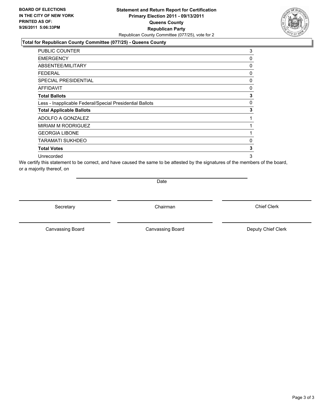## **Statement and Return Report for Certification Primary Election 2011 - 09/13/2011 Queens County Republican Party** Republican County Committee (077/25), vote for 2

## **Total for Republican County Committee (077/25) - Queens County**

| <b>PUBLIC COUNTER</b>                                    | 3 |
|----------------------------------------------------------|---|
| <b>EMERGENCY</b>                                         | 0 |
| <b>ABSENTEE/MILITARY</b>                                 | 0 |
| FEDERAL                                                  | 0 |
| <b>SPECIAL PRESIDENTIAL</b>                              | 0 |
| AFFIDAVIT                                                | 0 |
| <b>Total Ballots</b>                                     | 3 |
| Less - Inapplicable Federal/Special Presidential Ballots | 0 |
| <b>Total Applicable Ballots</b>                          | 3 |
| ADOLFO A GONZALEZ                                        |   |
| <b>MIRIAM M RODRIGUEZ</b>                                | 1 |
| <b>GEORGIA LIBONE</b>                                    | 1 |
| TARAMATI SUKHDEO                                         | 0 |
| <b>Total Votes</b>                                       | 3 |
| Unrecorded                                               | 3 |

We certify this statement to be correct, and have caused the same to be attested by the signatures of the members of the board, or a majority thereof, on

Date

Secretary **Chairman** 

Canvassing Board **Canvassing Board** Canvassing Board **Deputy Chief Clerk** 

Canvassing Board

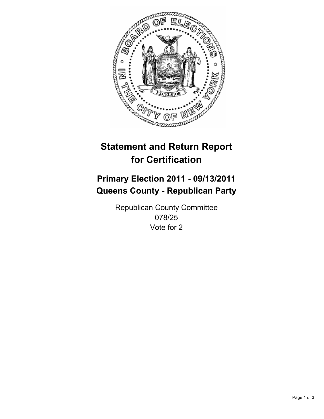

# **Primary Election 2011 - 09/13/2011 Queens County - Republican Party**

Republican County Committee 078/25 Vote for 2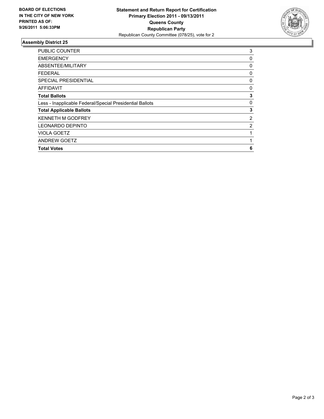

| 3 |
|---|
| 0 |
| 0 |
| 0 |
| 0 |
| 0 |
| 3 |
| 0 |
| 3 |
| 2 |
| 2 |
|   |
| 1 |
| 6 |
|   |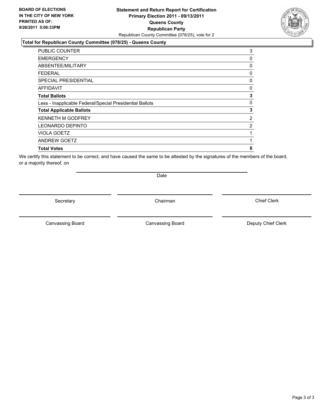## **Statement and Return Report for Certification Primary Election 2011 - 09/13/2011 Queens County Republican Party** Republican County Committee (078/25), vote for 2

### **Total for Republican County Committee (078/25) - Queens County**

| 3              |
|----------------|
| 0              |
| 0              |
| 0              |
| 0              |
| $\mathbf{0}$   |
| 3              |
| 0              |
| 3              |
| $\overline{2}$ |
| 2              |
| 1              |
| 1              |
| 6              |
|                |

We certify this statement to be correct, and have caused the same to be attested by the signatures of the members of the board, or a majority thereof, on

Secretary **Chairman** 

Date

Canvassing Board **Canvassing Board** Canvassing Board **Deputy Chief Clerk** 

Canvassing Board

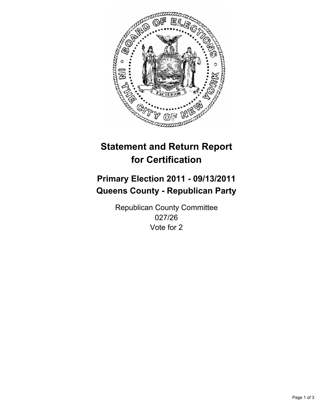

# **Primary Election 2011 - 09/13/2011 Queens County - Republican Party**

Republican County Committee 027/26 Vote for 2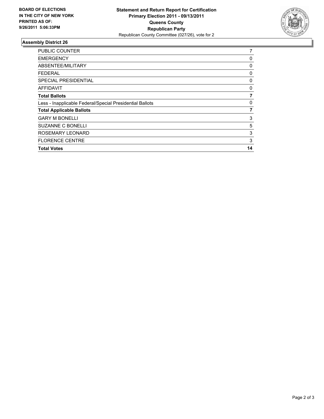

| <b>PUBLIC COUNTER</b>                                    | 7  |
|----------------------------------------------------------|----|
| <b>EMERGENCY</b>                                         | 0  |
| ABSENTEE/MILITARY                                        | 0  |
| FEDERAL                                                  | 0  |
| <b>SPECIAL PRESIDENTIAL</b>                              | 0  |
| AFFIDAVIT                                                | 0  |
| <b>Total Ballots</b>                                     |    |
| Less - Inapplicable Federal/Special Presidential Ballots | 0  |
| <b>Total Applicable Ballots</b>                          | 7  |
| <b>GARY M BONELLI</b>                                    | 3  |
| <b>SUZANNE C BONELLI</b>                                 | 5  |
| ROSEMARY LEONARD                                         | 3  |
| <b>FLORENCE CENTRE</b>                                   | 3  |
| <b>Total Votes</b>                                       | 14 |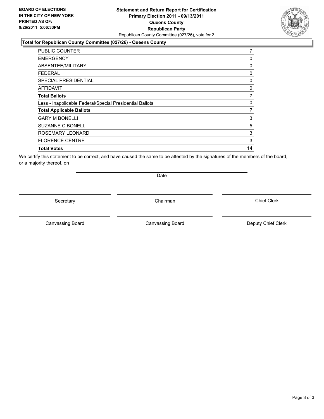## **Statement and Return Report for Certification Primary Election 2011 - 09/13/2011 Queens County Republican Party** Republican County Committee (027/26), vote for 2

### **Total for Republican County Committee (027/26) - Queens County**

| <b>PUBLIC COUNTER</b>                                    | 7        |
|----------------------------------------------------------|----------|
| <b>EMERGENCY</b>                                         | 0        |
| ABSENTEE/MILITARY                                        | $\Omega$ |
| FEDERAL                                                  | 0        |
| <b>SPECIAL PRESIDENTIAL</b>                              | 0        |
| <b>AFFIDAVIT</b>                                         | $\Omega$ |
| <b>Total Ballots</b>                                     | 7        |
| Less - Inapplicable Federal/Special Presidential Ballots | 0        |
| <b>Total Applicable Ballots</b>                          | 7        |
| <b>GARY M BONELLI</b>                                    | 3        |
| <b>SUZANNE C BONELLI</b>                                 | 5        |
| ROSEMARY LEONARD                                         | 3        |
| <b>FLORENCE CENTRE</b>                                   | 3        |
| <b>Total Votes</b>                                       | 14       |

We certify this statement to be correct, and have caused the same to be attested by the signatures of the members of the board, or a majority thereof, on

Secretary **Chairman** 

Date

Canvassing Board **Canvassing Board** Canvassing Board **Deputy Chief Clerk** 

Canvassing Board

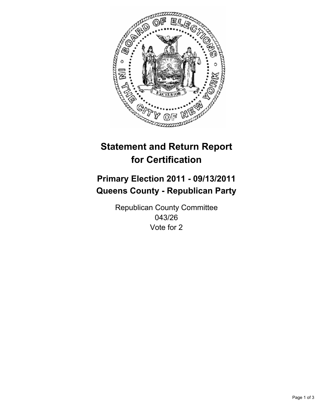

# **Primary Election 2011 - 09/13/2011 Queens County - Republican Party**

Republican County Committee 043/26 Vote for 2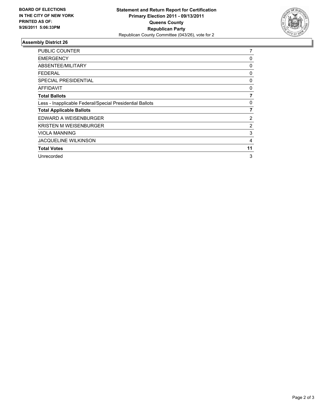

| <b>PUBLIC COUNTER</b>                                    | 7  |
|----------------------------------------------------------|----|
| <b>EMERGENCY</b>                                         | 0  |
| ABSENTEE/MILITARY                                        | 0  |
| <b>FEDERAL</b>                                           | 0  |
| <b>SPECIAL PRESIDENTIAL</b>                              | 0  |
| AFFIDAVIT                                                | 0  |
| <b>Total Ballots</b>                                     | 7  |
| Less - Inapplicable Federal/Special Presidential Ballots | 0  |
| <b>Total Applicable Ballots</b>                          | 7  |
| EDWARD A WEISENBURGER                                    | 2  |
| <b>KRISTEN M WEISENBURGER</b>                            | 2  |
| <b>VIOLA MANNING</b>                                     | 3  |
| <b>JACQUELINE WILKINSON</b>                              | 4  |
| <b>Total Votes</b>                                       | 11 |
| Unrecorded                                               | 3  |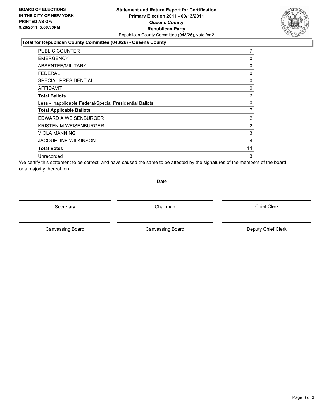## **Statement and Return Report for Certification Primary Election 2011 - 09/13/2011 Queens County Republican Party** Republican County Committee (043/26), vote for 2

### **Total for Republican County Committee (043/26) - Queens County**

| <b>PUBLIC COUNTER</b>                                    | 7  |
|----------------------------------------------------------|----|
| <b>EMERGENCY</b>                                         | 0  |
| ABSENTEE/MILITARY                                        | 0  |
| FEDERAL                                                  | 0  |
| <b>SPECIAL PRESIDENTIAL</b>                              | 0  |
| <b>AFFIDAVIT</b>                                         | 0  |
| <b>Total Ballots</b>                                     | 7  |
| Less - Inapplicable Federal/Special Presidential Ballots | 0  |
| <b>Total Applicable Ballots</b>                          | 7  |
| EDWARD A WEISENBURGER                                    | 2  |
| <b>KRISTEN M WEISENBURGER</b>                            | 2  |
| <b>VIOLA MANNING</b>                                     | 3  |
| <b>JACQUELINE WILKINSON</b>                              | 4  |
| <b>Total Votes</b>                                       | 11 |
| Unrecorded                                               | 3  |

We certify this statement to be correct, and have caused the same to be attested by the signatures of the members of the board, or a majority thereof, on

Date

Secretary **Chairman** 

Canvassing Board **Canvassing Board** Canvassing Board **Deputy Chief Clerk** 

Canvassing Board

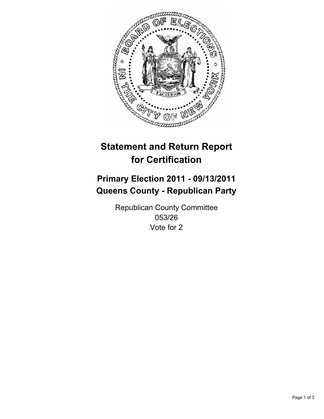

# **Primary Election 2011 - 09/13/2011 Queens County - Republican Party**

Republican County Committee 053/26 Vote for 2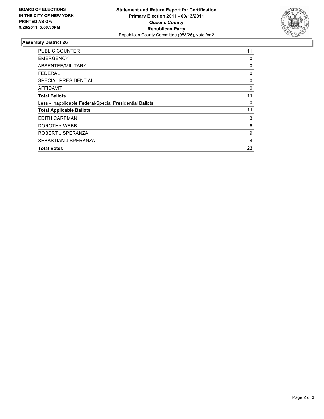

| <b>PUBLIC COUNTER</b>                                    | 11 |
|----------------------------------------------------------|----|
| EMERGENCY                                                | 0  |
| <b>ABSENTEE/MILITARY</b>                                 | 0  |
| <b>FEDERAL</b>                                           | 0  |
| SPECIAL PRESIDENTIAL                                     | 0  |
| <b>AFFIDAVIT</b>                                         | 0  |
| <b>Total Ballots</b>                                     | 11 |
| Less - Inapplicable Federal/Special Presidential Ballots | 0  |
| <b>Total Applicable Ballots</b>                          | 11 |
| EDITH CARPMAN                                            | 3  |
| <b>DOROTHY WEBB</b>                                      | 6  |
| ROBERT J SPERANZA                                        | 9  |
| SEBASTIAN J SPERANZA                                     | 4  |
| <b>Total Votes</b>                                       | 22 |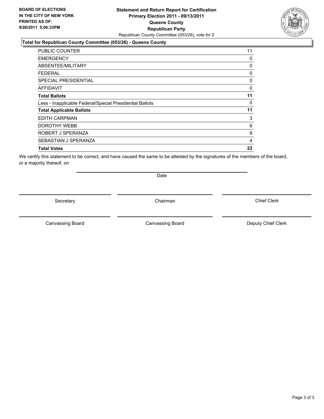## **Statement and Return Report for Certification Primary Election 2011 - 09/13/2011 Queens County Republican Party** Republican County Committee (053/26), vote for 2

#### **Total for Republican County Committee (053/26) - Queens County**

| PUBLIC COUNTER                                           | 11 |
|----------------------------------------------------------|----|
| <b>EMERGENCY</b>                                         | 0  |
| ABSENTEE/MILITARY                                        | 0  |
| FEDERAL                                                  | 0  |
| <b>SPECIAL PRESIDENTIAL</b>                              | 0  |
| <b>AFFIDAVIT</b>                                         | 0  |
| <b>Total Ballots</b>                                     | 11 |
| Less - Inapplicable Federal/Special Presidential Ballots | 0  |
| <b>Total Applicable Ballots</b>                          | 11 |
| <b>EDITH CARPMAN</b>                                     | 3  |
| <b>DOROTHY WEBB</b>                                      | 6  |
| ROBERT J SPERANZA                                        | 9  |
| SEBASTIAN J SPERANZA                                     | 4  |
| <b>Total Votes</b>                                       | 22 |

We certify this statement to be correct, and have caused the same to be attested by the signatures of the members of the board, or a majority thereof, on

Secretary **Chairman** 

Date

Canvassing Board **Canvassing Board** Canvassing Board **Deputy Chief Clerk** 

Canvassing Board

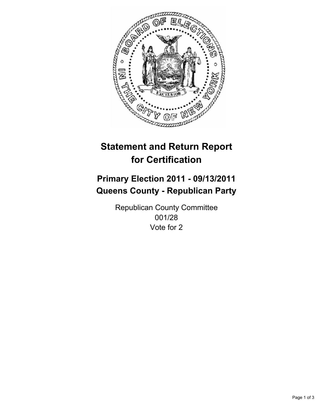

# **Primary Election 2011 - 09/13/2011 Queens County - Republican Party**

Republican County Committee 001/28 Vote for 2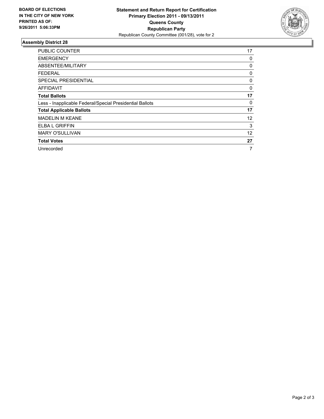

| <b>PUBLIC COUNTER</b>                                    | 17 |
|----------------------------------------------------------|----|
| <b>EMERGENCY</b>                                         | 0  |
| ABSENTEE/MILITARY                                        | 0  |
| <b>FEDERAL</b>                                           | 0  |
| SPECIAL PRESIDENTIAL                                     | 0  |
| <b>AFFIDAVIT</b>                                         | 0  |
| <b>Total Ballots</b>                                     | 17 |
| Less - Inapplicable Federal/Special Presidential Ballots | 0  |
| <b>Total Applicable Ballots</b>                          | 17 |
| <b>MADELIN M KEANE</b>                                   | 12 |
| ELBA L GRIFFIN                                           | 3  |
| <b>MARY O'SULLIVAN</b>                                   | 12 |
| <b>Total Votes</b>                                       | 27 |
| Unrecorded                                               | 7  |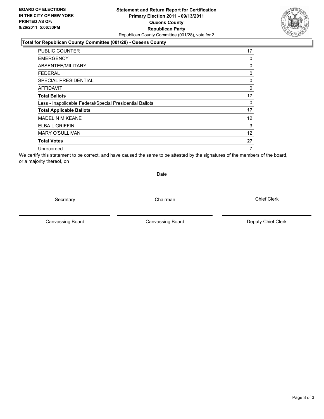## **Statement and Return Report for Certification Primary Election 2011 - 09/13/2011 Queens County Republican Party** Republican County Committee (001/28), vote for 2

#### **Total for Republican County Committee (001/28) - Queens County**

| PUBLIC COUNTER                                           | 17                |
|----------------------------------------------------------|-------------------|
| <b>EMERGENCY</b>                                         | 0                 |
| ABSENTEE/MILITARY                                        | 0                 |
| FEDERAL                                                  | 0                 |
| SPECIAL PRESIDENTIAL                                     | 0                 |
| AFFIDAVIT                                                | 0                 |
| <b>Total Ballots</b>                                     | 17                |
| Less - Inapplicable Federal/Special Presidential Ballots | 0                 |
| <b>Total Applicable Ballots</b>                          | 17                |
| <b>MADELIN M KEANE</b>                                   | $12 \overline{ }$ |
| <b>ELBA L GRIFFIN</b>                                    | 3                 |
| <b>MARY O'SULLIVAN</b>                                   | 12                |
| <b>Total Votes</b>                                       | 27                |
| Unrecorded                                               | 7                 |

We certify this statement to be correct, and have caused the same to be attested by the signatures of the members of the board, or a majority thereof, on

Secretary **Chairman** 

Date

Canvassing Board **Canvassing Board** Canvassing Board **Deputy Chief Clerk** 

Canvassing Board

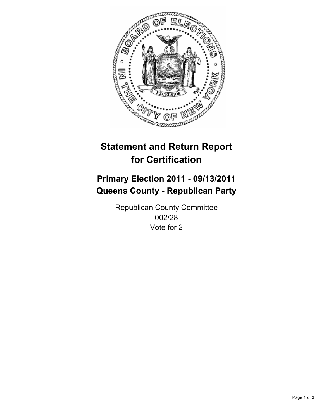

# **Primary Election 2011 - 09/13/2011 Queens County - Republican Party**

Republican County Committee 002/28 Vote for 2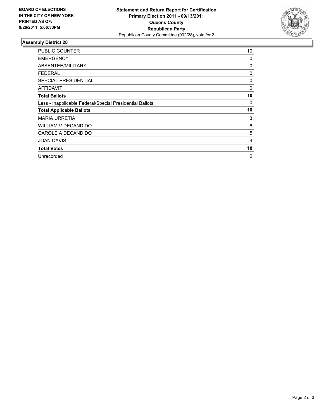

| <b>PUBLIC COUNTER</b>                                    | 10             |
|----------------------------------------------------------|----------------|
| <b>EMERGENCY</b>                                         | 0              |
| ABSENTEE/MILITARY                                        | 0              |
| FEDERAL                                                  | 0              |
| SPECIAL PRESIDENTIAL                                     | 0              |
| <b>AFFIDAVIT</b>                                         | 0              |
| <b>Total Ballots</b>                                     | 10             |
| Less - Inapplicable Federal/Special Presidential Ballots | 0              |
| <b>Total Applicable Ballots</b>                          | 10             |
| <b>MARIA URRETIA</b>                                     | 3              |
| <b>WILLIAM V DECANDIDO</b>                               | 6              |
| CAROLE A DECANDIDO                                       | 5              |
| <b>JOAN DAVIS</b>                                        | 4              |
| <b>Total Votes</b>                                       | 18             |
| Unrecorded                                               | $\overline{2}$ |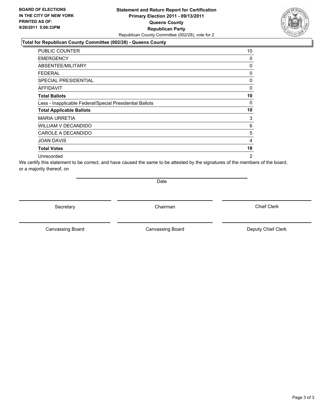## **Statement and Return Report for Certification Primary Election 2011 - 09/13/2011 Queens County Republican Party** Republican County Committee (002/28), vote for 2

## **Total for Republican County Committee (002/28) - Queens County**

| PUBLIC COUNTER                                           | 10             |
|----------------------------------------------------------|----------------|
| <b>EMERGENCY</b>                                         | 0              |
| ABSENTEE/MILITARY                                        | 0              |
| FEDERAL                                                  | 0              |
| SPECIAL PRESIDENTIAL                                     | 0              |
| <b>AFFIDAVIT</b>                                         | 0              |
| <b>Total Ballots</b>                                     | 10             |
| Less - Inapplicable Federal/Special Presidential Ballots | 0              |
| <b>Total Applicable Ballots</b>                          | 10             |
| <b>MARIA URRETIA</b>                                     | 3              |
| <b>WILLIAM V DECANDIDO</b>                               | 6              |
| CAROLE A DECANDIDO                                       | 5              |
| <b>JOAN DAVIS</b>                                        | 4              |
| <b>Total Votes</b>                                       | 18             |
| Unrecorded                                               | $\overline{2}$ |

We certify this statement to be correct, and have caused the same to be attested by the signatures of the members of the board, or a majority thereof, on

Date

Secretary **Chairman** 

Canvassing Board **Canvassing Board** Canvassing Board **Deputy Chief Clerk** 

Canvassing Board

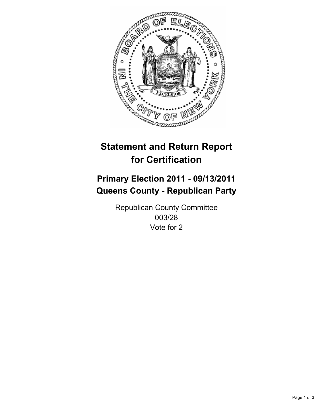

# **Primary Election 2011 - 09/13/2011 Queens County - Republican Party**

Republican County Committee 003/28 Vote for 2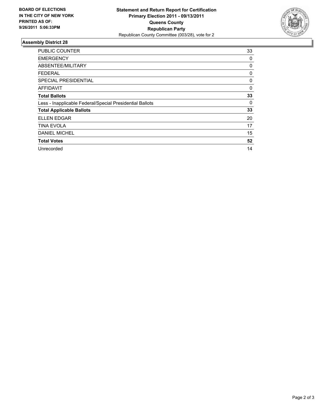

| <b>PUBLIC COUNTER</b>                                    | 33 |
|----------------------------------------------------------|----|
| <b>EMERGENCY</b>                                         | 0  |
| ABSENTEE/MILITARY                                        | 0  |
| FEDERAL                                                  | 0  |
| <b>SPECIAL PRESIDENTIAL</b>                              | 0  |
| AFFIDAVIT                                                | 0  |
| <b>Total Ballots</b>                                     | 33 |
| Less - Inapplicable Federal/Special Presidential Ballots | 0  |
| <b>Total Applicable Ballots</b>                          | 33 |
| <b>ELLEN EDGAR</b>                                       | 20 |
| <b>TINA EVOLA</b>                                        | 17 |
| <b>DANIEL MICHEL</b>                                     | 15 |
| <b>Total Votes</b>                                       | 52 |
| Unrecorded                                               | 14 |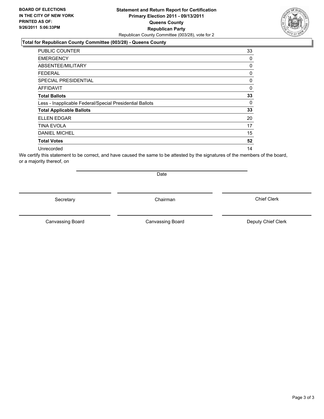## **Statement and Return Report for Certification Primary Election 2011 - 09/13/2011 Queens County Republican Party** Republican County Committee (003/28), vote for 2

#### **Total for Republican County Committee (003/28) - Queens County**

| <b>PUBLIC COUNTER</b>                                    | 33 |
|----------------------------------------------------------|----|
| <b>EMERGENCY</b>                                         | 0  |
| ABSENTEE/MILITARY                                        | 0  |
| FEDERAL                                                  | 0  |
| <b>SPECIAL PRESIDENTIAL</b>                              | 0  |
| <b>AFFIDAVIT</b>                                         | 0  |
| <b>Total Ballots</b>                                     | 33 |
| Less - Inapplicable Federal/Special Presidential Ballots | 0  |
| <b>Total Applicable Ballots</b>                          | 33 |
| <b>ELLEN EDGAR</b>                                       | 20 |
| <b>TINA EVOLA</b>                                        | 17 |
| <b>DANIEL MICHEL</b>                                     | 15 |
| <b>Total Votes</b>                                       | 52 |
| Unrecorded                                               | 14 |

We certify this statement to be correct, and have caused the same to be attested by the signatures of the members of the board, or a majority thereof, on

Secretary **Chairman** 

Date

Canvassing Board **Canvassing Board** Canvassing Board **Deputy Chief Clerk** 

Canvassing Board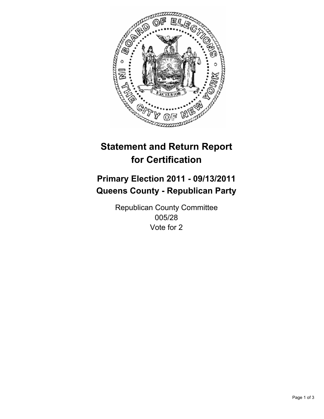

# **Primary Election 2011 - 09/13/2011 Queens County - Republican Party**

Republican County Committee 005/28 Vote for 2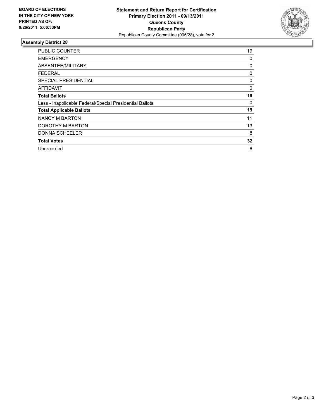

| <b>PUBLIC COUNTER</b>                                    | 19 |
|----------------------------------------------------------|----|
| <b>EMERGENCY</b>                                         | 0  |
| ABSENTEE/MILITARY                                        | 0  |
| FEDERAL                                                  | 0  |
| <b>SPECIAL PRESIDENTIAL</b>                              | 0  |
| <b>AFFIDAVIT</b>                                         | 0  |
| <b>Total Ballots</b>                                     | 19 |
| Less - Inapplicable Federal/Special Presidential Ballots | 0  |
| <b>Total Applicable Ballots</b>                          | 19 |
| NANCY M BARTON                                           | 11 |
| DOROTHY M BARTON                                         | 13 |
| <b>DONNA SCHEELER</b>                                    | 8  |
| <b>Total Votes</b>                                       | 32 |
| Unrecorded                                               | 6  |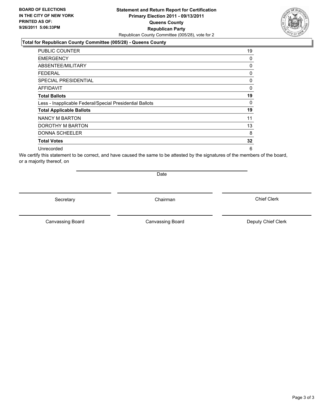## **Statement and Return Report for Certification Primary Election 2011 - 09/13/2011 Queens County Republican Party** Republican County Committee (005/28), vote for 2

#### **Total for Republican County Committee (005/28) - Queens County**

| <b>PUBLIC COUNTER</b>                                    | 19 |
|----------------------------------------------------------|----|
| <b>EMERGENCY</b>                                         | 0  |
| ABSENTEE/MILITARY                                        | 0  |
| <b>FEDERAL</b>                                           | 0  |
| <b>SPECIAL PRESIDENTIAL</b>                              | 0  |
| AFFIDAVIT                                                | 0  |
| <b>Total Ballots</b>                                     | 19 |
| Less - Inapplicable Federal/Special Presidential Ballots | 0  |
| <b>Total Applicable Ballots</b>                          | 19 |
| NANCY M BARTON                                           | 11 |
| DOROTHY M BARTON                                         | 13 |
| <b>DONNA SCHEELER</b>                                    | 8  |
| <b>Total Votes</b>                                       | 32 |
| Unrecorded                                               | 6  |

We certify this statement to be correct, and have caused the same to be attested by the signatures of the members of the board, or a majority thereof, on

Secretary **Chairman** 

Date

Canvassing Board

Canvassing Board **Canvassing Board** Canvassing Board **Deputy Chief Clerk** 

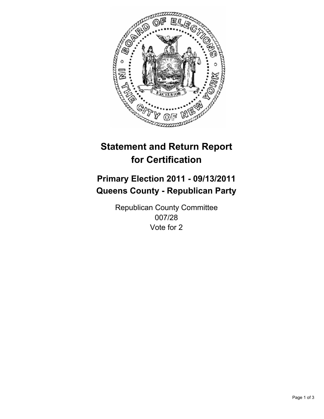

# **Primary Election 2011 - 09/13/2011 Queens County - Republican Party**

Republican County Committee 007/28 Vote for 2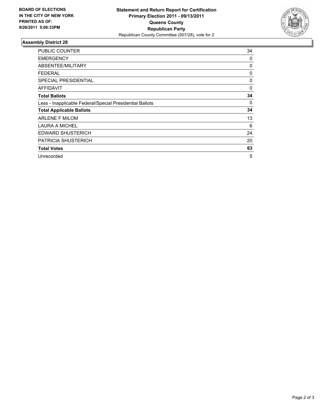

| <b>PUBLIC COUNTER</b>                                    | 34 |
|----------------------------------------------------------|----|
| <b>EMERGENCY</b>                                         | 0  |
| ABSENTEE/MILITARY                                        | 0  |
| FEDERAL                                                  | 0  |
| <b>SPECIAL PRESIDENTIAL</b>                              | 0  |
| AFFIDAVIT                                                | 0  |
| <b>Total Ballots</b>                                     | 34 |
| Less - Inapplicable Federal/Special Presidential Ballots | 0  |
| <b>Total Applicable Ballots</b>                          | 34 |
| <b>ARLENE F MILOM</b>                                    | 13 |
| LAURA A MICHEL                                           | 6  |
| <b>EDWARD SHUSTERICH</b>                                 | 24 |
| <b>PATRICIA SHUSTERICH</b>                               | 20 |
| <b>Total Votes</b>                                       | 63 |
| Unrecorded                                               | 5  |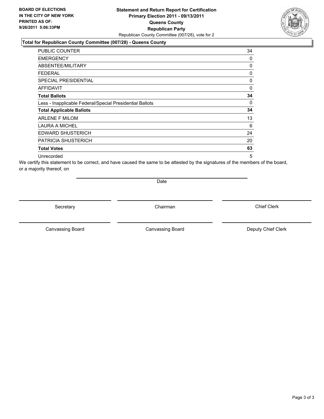## **Statement and Return Report for Certification Primary Election 2011 - 09/13/2011 Queens County Republican Party** Republican County Committee (007/28), vote for 2

## **Total for Republican County Committee (007/28) - Queens County**

| <b>PUBLIC COUNTER</b>                                    | 34       |
|----------------------------------------------------------|----------|
| <b>EMERGENCY</b>                                         | 0        |
| ABSENTEE/MILITARY                                        | 0        |
| FEDERAL                                                  | 0        |
| SPECIAL PRESIDENTIAL                                     | 0        |
| <b>AFFIDAVIT</b>                                         | 0        |
| <b>Total Ballots</b>                                     | 34       |
| Less - Inapplicable Federal/Special Presidential Ballots | $\Omega$ |
| <b>Total Applicable Ballots</b>                          | 34       |
| <b>ARLENE F MILOM</b>                                    | 13       |
| <b>LAURA A MICHEL</b>                                    | 6        |
| <b>EDWARD SHUSTERICH</b>                                 | 24       |
| <b>PATRICIA SHUSTERICH</b>                               | 20       |
| <b>Total Votes</b>                                       | 63       |
| Unrecorded                                               | 5        |

We certify this statement to be correct, and have caused the same to be attested by the signatures of the members of the board, or a majority thereof, on

Date

Secretary **Chairman** 

Canvassing Board **Canvassing Board** Canvassing Board **Deputy Chief Clerk** 

Canvassing Board

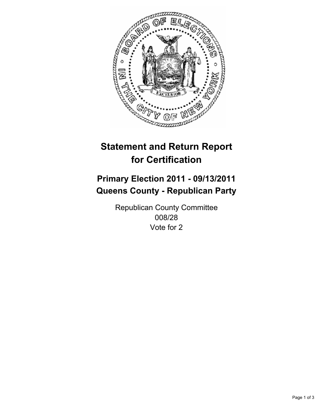

# **Primary Election 2011 - 09/13/2011 Queens County - Republican Party**

Republican County Committee 008/28 Vote for 2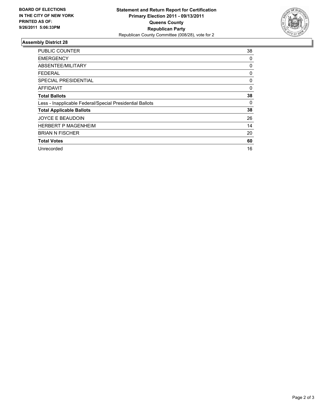

| <b>PUBLIC COUNTER</b>                                    | 38 |
|----------------------------------------------------------|----|
| EMERGENCY                                                | 0  |
| ABSENTEE/MILITARY                                        | 0  |
| FEDERAL                                                  | 0  |
| <b>SPECIAL PRESIDENTIAL</b>                              | 0  |
| AFFIDAVIT                                                | 0  |
| <b>Total Ballots</b>                                     | 38 |
| Less - Inapplicable Federal/Special Presidential Ballots | 0  |
| <b>Total Applicable Ballots</b>                          | 38 |
| <b>JOYCE E BEAUDOIN</b>                                  | 26 |
| <b>HERBERT P MAGENHEIM</b>                               | 14 |
| <b>BRIAN N FISCHER</b>                                   | 20 |
| <b>Total Votes</b>                                       | 60 |
| Unrecorded                                               | 16 |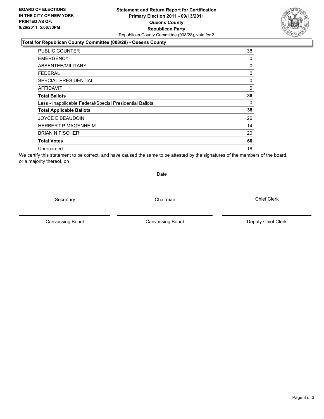## **Statement and Return Report for Certification Primary Election 2011 - 09/13/2011 Queens County Republican Party** Republican County Committee (008/28), vote for 2

### **Total for Republican County Committee (008/28) - Queens County**

| <b>PUBLIC COUNTER</b>                                    | 38 |
|----------------------------------------------------------|----|
| <b>EMERGENCY</b>                                         | 0  |
| ABSENTEE/MILITARY                                        | 0  |
| FEDERAL                                                  | 0  |
| <b>SPECIAL PRESIDENTIAL</b>                              | 0  |
| <b>AFFIDAVIT</b>                                         | 0  |
| <b>Total Ballots</b>                                     | 38 |
| Less - Inapplicable Federal/Special Presidential Ballots | 0  |
| <b>Total Applicable Ballots</b>                          | 38 |
| JOYCE E BEAUDOIN                                         | 26 |
| <b>HERBERT P MAGENHEIM</b>                               | 14 |
| <b>BRIAN N FISCHER</b>                                   | 20 |
| <b>Total Votes</b>                                       | 60 |
| Unrecorded                                               | 16 |

We certify this statement to be correct, and have caused the same to be attested by the signatures of the members of the board, or a majority thereof, on

Secretary **Chairman** 

Date

Canvassing Board

Canvassing Board **Canvassing Board** Canvassing Board **Deputy Chief Clerk** 

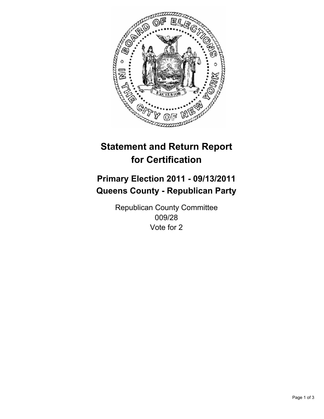

# **Primary Election 2011 - 09/13/2011 Queens County - Republican Party**

Republican County Committee 009/28 Vote for 2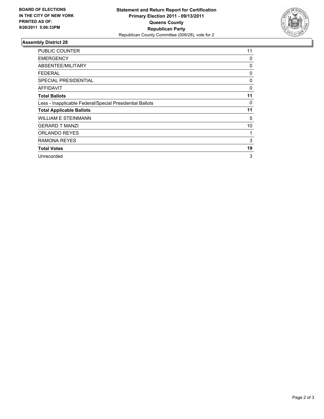

| <b>PUBLIC COUNTER</b>                                    | 11 |
|----------------------------------------------------------|----|
| <b>EMERGENCY</b>                                         | 0  |
| ABSENTEE/MILITARY                                        | 0  |
| <b>FEDERAL</b>                                           | 0  |
| <b>SPECIAL PRESIDENTIAL</b>                              | 0  |
| AFFIDAVIT                                                | 0  |
| <b>Total Ballots</b>                                     | 11 |
| Less - Inapplicable Federal/Special Presidential Ballots | 0  |
| <b>Total Applicable Ballots</b>                          | 11 |
| <b>WILLIAM E STEINMANN</b>                               | 5  |
| <b>GERARD T MANZI</b>                                    | 10 |
| <b>ORLANDO REYES</b>                                     | 1  |
| <b>RAMONA REYES</b>                                      | 3  |
| <b>Total Votes</b>                                       | 19 |
| Unrecorded                                               | 3  |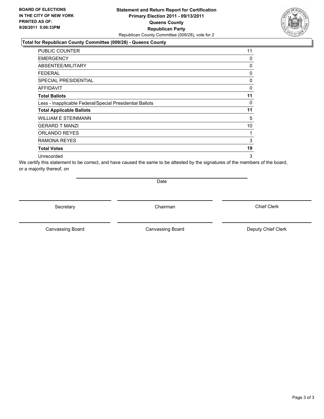## **Statement and Return Report for Certification Primary Election 2011 - 09/13/2011 Queens County Republican Party** Republican County Committee (009/28), vote for 2

## **Total for Republican County Committee (009/28) - Queens County**

| PUBLIC COUNTER                                           | 11 |
|----------------------------------------------------------|----|
| <b>EMERGENCY</b>                                         | 0  |
| ABSENTEE/MILITARY                                        | 0  |
| <b>FEDERAL</b>                                           | 0  |
| <b>SPECIAL PRESIDENTIAL</b>                              | 0  |
| AFFIDAVIT                                                | 0  |
| <b>Total Ballots</b>                                     | 11 |
| Less - Inapplicable Federal/Special Presidential Ballots | 0  |
| <b>Total Applicable Ballots</b>                          | 11 |
| WILLIAM E STEINMANN                                      | 5  |
| <b>GERARD T MANZI</b>                                    | 10 |
| <b>ORLANDO REYES</b>                                     | 1  |
| RAMONA REYES                                             | 3  |
| <b>Total Votes</b>                                       | 19 |
| Unrecorded                                               | 3  |

We certify this statement to be correct, and have caused the same to be attested by the signatures of the members of the board, or a majority thereof, on

Date

Secretary **Chairman** 

Canvassing Board **Canvassing Board** Canvassing Board **Deputy Chief Clerk** 

Canvassing Board

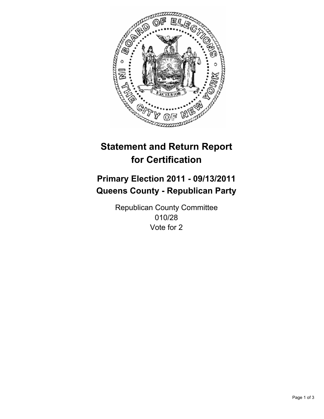

# **Primary Election 2011 - 09/13/2011 Queens County - Republican Party**

Republican County Committee 010/28 Vote for 2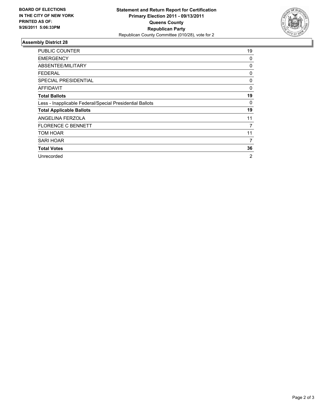

| <b>PUBLIC COUNTER</b>                                    | 19 |
|----------------------------------------------------------|----|
| <b>EMERGENCY</b>                                         | 0  |
| <b>ABSENTEE/MILITARY</b>                                 | 0  |
| FEDERAL                                                  | 0  |
| SPECIAL PRESIDENTIAL                                     | 0  |
| AFFIDAVIT                                                | 0  |
| <b>Total Ballots</b>                                     | 19 |
| Less - Inapplicable Federal/Special Presidential Ballots | 0  |
| <b>Total Applicable Ballots</b>                          | 19 |
| ANGELINA FERZOLA                                         | 11 |
| <b>FLORENCE C BENNETT</b>                                | 7  |
| TOM HOAR                                                 | 11 |
| <b>SARI HOAR</b>                                         | 7  |
| <b>Total Votes</b>                                       | 36 |
| Unrecorded                                               | 2  |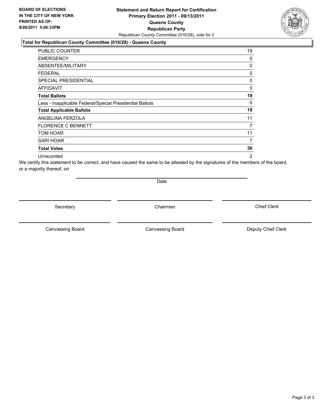## **Statement and Return Report for Certification Primary Election 2011 - 09/13/2011 Queens County Republican Party** Republican County Committee (010/28), vote for 2

## **Total for Republican County Committee (010/28) - Queens County**

| PUBLIC COUNTER                                           | 19 |
|----------------------------------------------------------|----|
| <b>EMERGENCY</b>                                         | 0  |
| ABSENTEE/MILITARY                                        | 0  |
| FEDERAL                                                  | 0  |
| <b>SPECIAL PRESIDENTIAL</b>                              | 0  |
| <b>AFFIDAVIT</b>                                         | 0  |
| <b>Total Ballots</b>                                     | 19 |
| Less - Inapplicable Federal/Special Presidential Ballots | 0  |
| <b>Total Applicable Ballots</b>                          | 19 |
| ANGELINA FERZOLA                                         | 11 |
| <b>FLORENCE C BENNETT</b>                                | 7  |
| TOM HOAR                                                 | 11 |
| <b>SARI HOAR</b>                                         | 7  |
| <b>Total Votes</b>                                       | 36 |
| Unrecorded                                               | 2  |

We certify this statement to be correct, and have caused the same to be attested by the signatures of the members of the board, or a majority thereof, on

Date

Secretary **Chairman** 

Canvassing Board **Canvassing Board** Canvassing Board **Deputy Chief Clerk** 

Canvassing Board

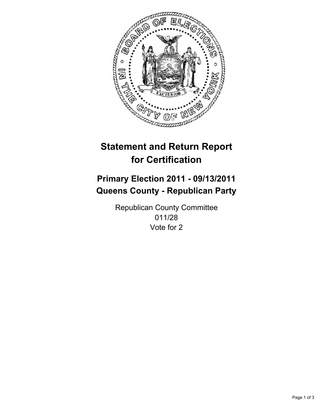

# **Primary Election 2011 - 09/13/2011 Queens County - Republican Party**

Republican County Committee 011/28 Vote for 2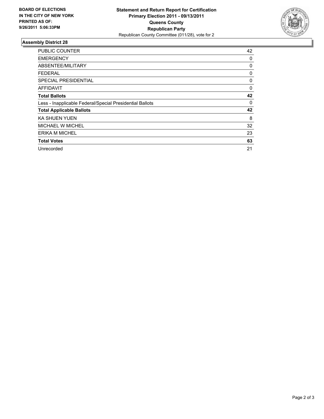

| <b>PUBLIC COUNTER</b>                                    | 42 |
|----------------------------------------------------------|----|
| <b>EMERGENCY</b>                                         | 0  |
| ABSENTEE/MILITARY                                        | 0  |
| <b>FEDERAL</b>                                           | 0  |
| <b>SPECIAL PRESIDENTIAL</b>                              | 0  |
| AFFIDAVIT                                                | 0  |
| <b>Total Ballots</b>                                     | 42 |
| Less - Inapplicable Federal/Special Presidential Ballots | 0  |
| <b>Total Applicable Ballots</b>                          | 42 |
| <b>KA SHUEN YUEN</b>                                     | 8  |
| <b>MICHAEL W MICHEL</b>                                  | 32 |
| <b>ERIKA M MICHEL</b>                                    | 23 |
| <b>Total Votes</b>                                       | 63 |
| Unrecorded                                               | 21 |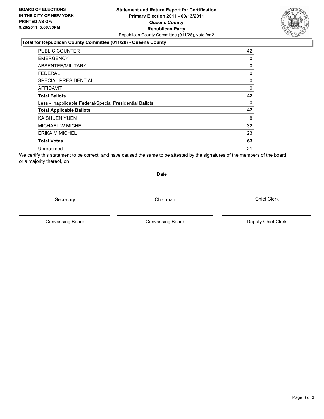## **Statement and Return Report for Certification Primary Election 2011 - 09/13/2011 Queens County Republican Party** Republican County Committee (011/28), vote for 2

#### **Total for Republican County Committee (011/28) - Queens County**

| <b>PUBLIC COUNTER</b>                                    | 42       |
|----------------------------------------------------------|----------|
| <b>EMERGENCY</b>                                         | 0        |
| ABSENTEE/MILITARY                                        | $\Omega$ |
| FEDERAL                                                  | 0        |
| <b>SPECIAL PRESIDENTIAL</b>                              | 0        |
| <b>AFFIDAVIT</b>                                         | $\Omega$ |
| <b>Total Ballots</b>                                     | 42       |
| Less - Inapplicable Federal/Special Presidential Ballots | 0        |
| <b>Total Applicable Ballots</b>                          | 42       |
| <b>KA SHUEN YUEN</b>                                     | 8        |
| <b>MICHAEL W MICHEL</b>                                  | 32       |
| <b>ERIKA M MICHEL</b>                                    | 23       |
| <b>Total Votes</b>                                       | 63       |
| Unrecorded                                               | 21       |

We certify this statement to be correct, and have caused the same to be attested by the signatures of the members of the board, or a majority thereof, on

Secretary **Chairman** 

Canvassing Board

Canvassing Board **Canvassing Board** Canvassing Board **Deputy Chief Clerk** 

Chief Clerk



Date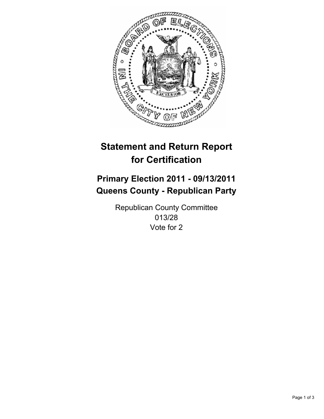

# **Primary Election 2011 - 09/13/2011 Queens County - Republican Party**

Republican County Committee 013/28 Vote for 2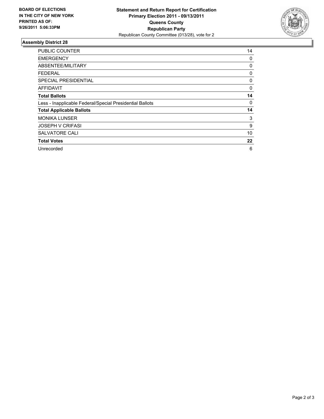

| <b>PUBLIC COUNTER</b>                                    | 14 |
|----------------------------------------------------------|----|
| <b>EMERGENCY</b>                                         | 0  |
| ABSENTEE/MILITARY                                        | 0  |
| <b>FEDERAL</b>                                           | 0  |
| SPECIAL PRESIDENTIAL                                     | 0  |
| AFFIDAVIT                                                | 0  |
| <b>Total Ballots</b>                                     | 14 |
| Less - Inapplicable Federal/Special Presidential Ballots | 0  |
| <b>Total Applicable Ballots</b>                          | 14 |
| <b>MONIKA LUNSER</b>                                     | 3  |
| <b>JOSEPH V CRIFASI</b>                                  | 9  |
| <b>SALVATORE CALI</b>                                    | 10 |
| <b>Total Votes</b>                                       | 22 |
| Unrecorded                                               | 6  |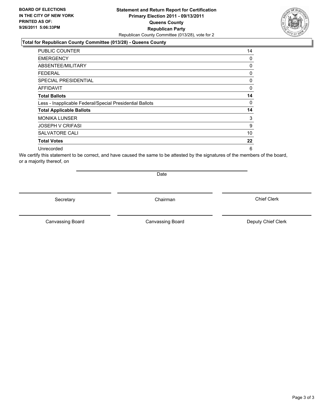## **Statement and Return Report for Certification Primary Election 2011 - 09/13/2011 Queens County Republican Party** Republican County Committee (013/28), vote for 2

#### **Total for Republican County Committee (013/28) - Queens County**

| PUBLIC COUNTER                                           | 14 |
|----------------------------------------------------------|----|
| <b>EMERGENCY</b>                                         | 0  |
| ABSENTEE/MILITARY                                        | 0  |
| FEDERAL                                                  | 0  |
| SPECIAL PRESIDENTIAL                                     | 0  |
| AFFIDAVIT                                                | 0  |
| <b>Total Ballots</b>                                     | 14 |
| Less - Inapplicable Federal/Special Presidential Ballots | 0  |
| <b>Total Applicable Ballots</b>                          | 14 |
| <b>MONIKA LUNSER</b>                                     | 3  |
| <b>JOSEPH V CRIFASI</b>                                  | 9  |
| <b>SALVATORE CALI</b>                                    | 10 |
| <b>Total Votes</b>                                       | 22 |
| Unrecorded                                               | 6  |

We certify this statement to be correct, and have caused the same to be attested by the signatures of the members of the board, or a majority thereof, on

Secretary **Chairman** 

Date

Canvassing Board **Canvassing Board** Canvassing Board **Deputy Chief Clerk** 

Canvassing Board

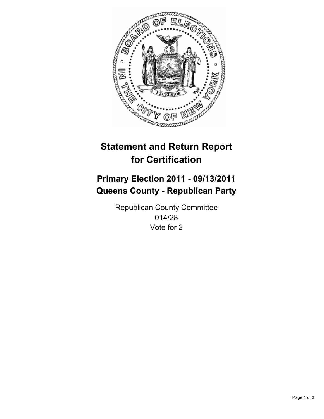

# **Primary Election 2011 - 09/13/2011 Queens County - Republican Party**

Republican County Committee 014/28 Vote for 2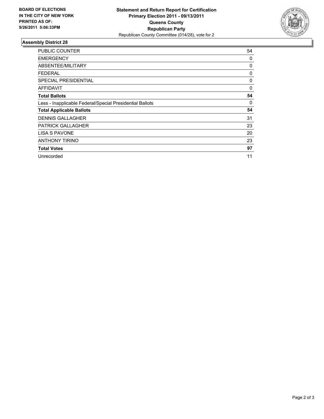

| <b>PUBLIC COUNTER</b>                                    | 54 |
|----------------------------------------------------------|----|
| <b>EMERGENCY</b>                                         | 0  |
| ABSENTEE/MILITARY                                        | 0  |
| FEDERAL                                                  | 0  |
| SPECIAL PRESIDENTIAL                                     | 0  |
| AFFIDAVIT                                                | 0  |
| <b>Total Ballots</b>                                     | 54 |
| Less - Inapplicable Federal/Special Presidential Ballots | 0  |
| <b>Total Applicable Ballots</b>                          | 54 |
| <b>DENNIS GALLAGHER</b>                                  | 31 |
| <b>PATRICK GALLAGHER</b>                                 | 23 |
| <b>LISA S PAVONE</b>                                     | 20 |
| <b>ANTHONY TIRINO</b>                                    | 23 |
| <b>Total Votes</b>                                       | 97 |
| Unrecorded                                               | 11 |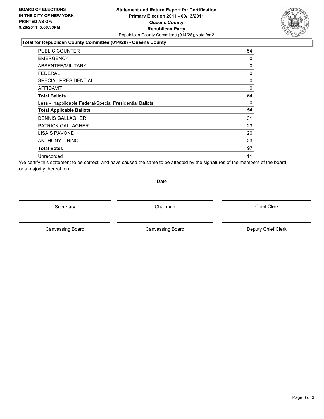## **Statement and Return Report for Certification Primary Election 2011 - 09/13/2011 Queens County Republican Party** Republican County Committee (014/28), vote for 2

## **Total for Republican County Committee (014/28) - Queens County**

| PUBLIC COUNTER                                           | 54 |
|----------------------------------------------------------|----|
| <b>EMERGENCY</b>                                         | 0  |
| ABSENTEE/MILITARY                                        | 0  |
| FEDERAL                                                  | 0  |
| SPECIAL PRESIDENTIAL                                     | 0  |
| <b>AFFIDAVIT</b>                                         | 0  |
| <b>Total Ballots</b>                                     | 54 |
| Less - Inapplicable Federal/Special Presidential Ballots | 0  |
| <b>Total Applicable Ballots</b>                          | 54 |
| <b>DENNIS GALLAGHER</b>                                  | 31 |
| <b>PATRICK GALLAGHER</b>                                 | 23 |
| LISA S PAVONE                                            | 20 |
| <b>ANTHONY TIRINO</b>                                    | 23 |
| <b>Total Votes</b>                                       | 97 |
| Unrecorded                                               | 11 |

We certify this statement to be correct, and have caused the same to be attested by the signatures of the members of the board, or a majority thereof, on

Date

Secretary **Chairman** 

Canvassing Board **Canvassing Board** Canvassing Board **Deputy Chief Clerk** 

Canvassing Board

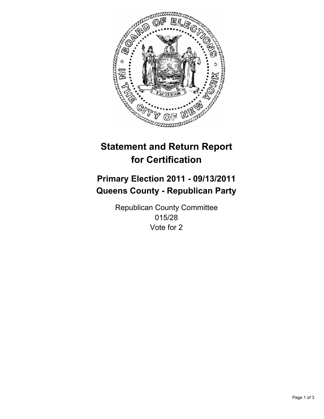

# **Primary Election 2011 - 09/13/2011 Queens County - Republican Party**

Republican County Committee 015/28 Vote for 2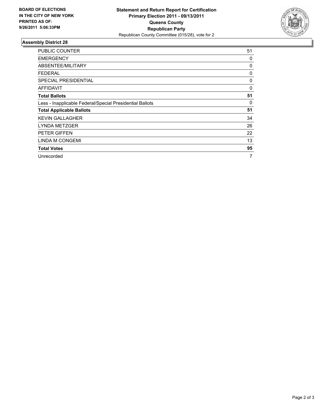

| <b>PUBLIC COUNTER</b>                                    | 51 |
|----------------------------------------------------------|----|
| <b>EMERGENCY</b>                                         | 0  |
| ABSENTEE/MILITARY                                        | 0  |
| <b>FEDERAL</b>                                           | 0  |
| <b>SPECIAL PRESIDENTIAL</b>                              | 0  |
| AFFIDAVIT                                                | 0  |
| <b>Total Ballots</b>                                     | 51 |
| Less - Inapplicable Federal/Special Presidential Ballots | 0  |
| <b>Total Applicable Ballots</b>                          | 51 |
| <b>KEVIN GALLAGHER</b>                                   | 34 |
| <b>LYNDA METZGER</b>                                     | 26 |
| PETER GIFFEN                                             | 22 |
| LINDA M CONGEMI                                          | 13 |
| <b>Total Votes</b>                                       | 95 |
| Unrecorded                                               | 7  |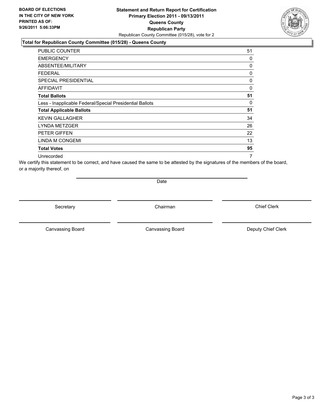## **Statement and Return Report for Certification Primary Election 2011 - 09/13/2011 Queens County Republican Party** Republican County Committee (015/28), vote for 2

## **Total for Republican County Committee (015/28) - Queens County**

| PUBLIC COUNTER                                           | 51 |
|----------------------------------------------------------|----|
| <b>EMERGENCY</b>                                         | 0  |
| ABSENTEE/MILITARY                                        | 0  |
| <b>FEDERAL</b>                                           | 0  |
| SPECIAL PRESIDENTIAL                                     | 0  |
| <b>AFFIDAVIT</b>                                         | 0  |
| <b>Total Ballots</b>                                     | 51 |
| Less - Inapplicable Federal/Special Presidential Ballots | 0  |
| <b>Total Applicable Ballots</b>                          | 51 |
| <b>KEVIN GALLAGHER</b>                                   | 34 |
| <b>LYNDA METZGER</b>                                     | 26 |
| <b>PETER GIFFEN</b>                                      | 22 |
| <b>LINDA M CONGEMI</b>                                   | 13 |
| <b>Total Votes</b>                                       | 95 |
| Unrecorded                                               | 7  |

We certify this statement to be correct, and have caused the same to be attested by the signatures of the members of the board, or a majority thereof, on

Date

Secretary **Chairman** 

Canvassing Board **Canvassing Board** Canvassing Board **Deputy Chief Clerk** 

Canvassing Board

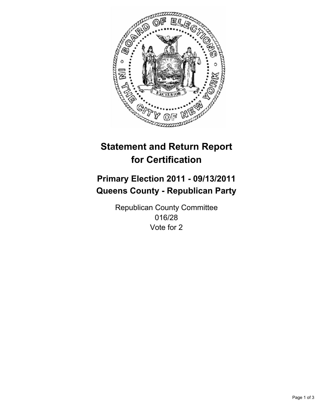

# **Primary Election 2011 - 09/13/2011 Queens County - Republican Party**

Republican County Committee 016/28 Vote for 2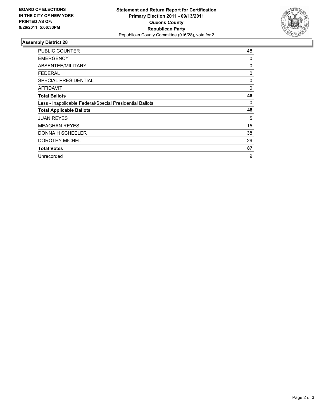

| <b>PUBLIC COUNTER</b>                                    | 48 |
|----------------------------------------------------------|----|
| <b>EMERGENCY</b>                                         | 0  |
| ABSENTEE/MILITARY                                        | 0  |
| FEDERAL                                                  | 0  |
| <b>SPECIAL PRESIDENTIAL</b>                              | 0  |
| AFFIDAVIT                                                | 0  |
| <b>Total Ballots</b>                                     | 48 |
| Less - Inapplicable Federal/Special Presidential Ballots | 0  |
| <b>Total Applicable Ballots</b>                          | 48 |
| <b>JUAN REYES</b>                                        | 5  |
| <b>MEAGHAN REYES</b>                                     | 15 |
| DONNA H SCHEELER                                         | 38 |
| <b>DOROTHY MICHEL</b>                                    | 29 |
| <b>Total Votes</b>                                       | 87 |
| Unrecorded                                               | 9  |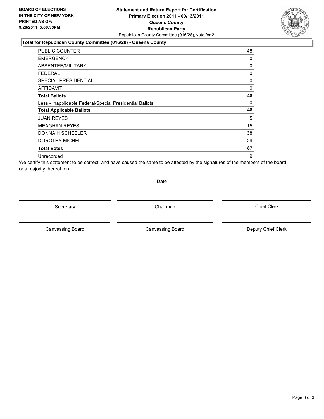## **Statement and Return Report for Certification Primary Election 2011 - 09/13/2011 Queens County Republican Party** Republican County Committee (016/28), vote for 2

## **Total for Republican County Committee (016/28) - Queens County**

| PUBLIC COUNTER                                           | 48       |
|----------------------------------------------------------|----------|
| <b>EMERGENCY</b>                                         | 0        |
| ABSENTEE/MILITARY                                        | 0        |
| <b>FEDERAL</b>                                           | 0        |
| SPECIAL PRESIDENTIAL                                     | 0        |
| <b>AFFIDAVIT</b>                                         | 0        |
| <b>Total Ballots</b>                                     | 48       |
| Less - Inapplicable Federal/Special Presidential Ballots | $\Omega$ |
| <b>Total Applicable Ballots</b>                          | 48       |
| <b>JUAN REYES</b>                                        | 5        |
| <b>MEAGHAN REYES</b>                                     | 15       |
| <b>DONNA H SCHEELER</b>                                  | 38       |
| <b>DOROTHY MICHEL</b>                                    | 29       |
| <b>Total Votes</b>                                       | 87       |
| Unrecorded                                               | 9        |

We certify this statement to be correct, and have caused the same to be attested by the signatures of the members of the board, or a majority thereof, on

Date

Secretary **Chairman** 

Canvassing Board **Canvassing Board** Canvassing Board **Deputy Chief Clerk** 

Canvassing Board

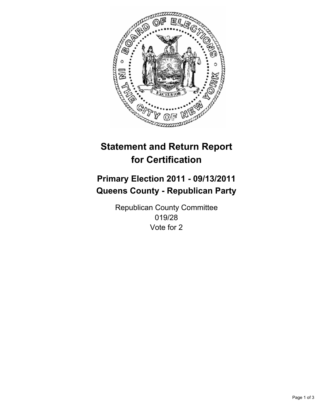

# **Primary Election 2011 - 09/13/2011 Queens County - Republican Party**

Republican County Committee 019/28 Vote for 2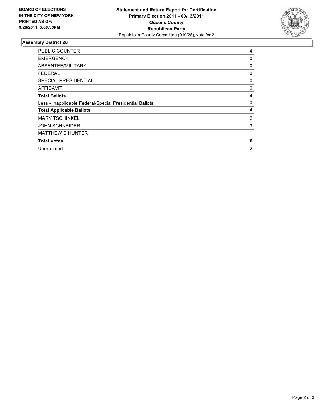

| <b>PUBLIC COUNTER</b>                                    | 4              |
|----------------------------------------------------------|----------------|
| <b>EMERGENCY</b>                                         | 0              |
| ABSENTEE/MILITARY                                        | 0              |
| FEDERAL                                                  | 0              |
| <b>SPECIAL PRESIDENTIAL</b>                              | 0              |
| AFFIDAVIT                                                | 0              |
| <b>Total Ballots</b>                                     | 4              |
| Less - Inapplicable Federal/Special Presidential Ballots | 0              |
| <b>Total Applicable Ballots</b>                          | 4              |
| <b>MARY TSCHINKEL</b>                                    | 2              |
| <b>JOHN SCHNEIDER</b>                                    | 3              |
| <b>MATTHEW D HUNTER</b>                                  | 1              |
| <b>Total Votes</b>                                       | 6              |
| Unrecorded                                               | $\overline{2}$ |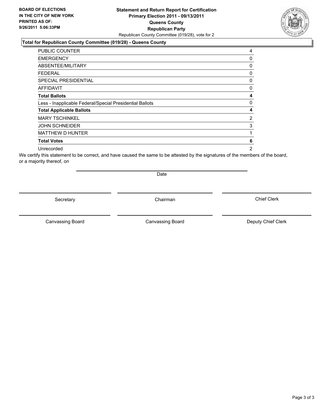## **Statement and Return Report for Certification Primary Election 2011 - 09/13/2011 Queens County Republican Party** Republican County Committee (019/28), vote for 2

#### **Total for Republican County Committee (019/28) - Queens County**

| PUBLIC COUNTER                                           | 4              |
|----------------------------------------------------------|----------------|
| <b>EMERGENCY</b>                                         | 0              |
| ABSENTEE/MILITARY                                        | 0              |
| FEDERAL                                                  | 0              |
| <b>SPECIAL PRESIDENTIAL</b>                              | 0              |
| AFFIDAVIT                                                | 0              |
| <b>Total Ballots</b>                                     | 4              |
| Less - Inapplicable Federal/Special Presidential Ballots | 0              |
| <b>Total Applicable Ballots</b>                          | 4              |
| <b>MARY TSCHINKEL</b>                                    | 2              |
| <b>JOHN SCHNEIDER</b>                                    | 3              |
| MATTHEW D HUNTER                                         | 1              |
| <b>Total Votes</b>                                       | 6              |
| Unrecorded                                               | $\overline{2}$ |

We certify this statement to be correct, and have caused the same to be attested by the signatures of the members of the board, or a majority thereof, on

Secretary **Chairman** 

Date

Canvassing Board **Canvassing Board** Canvassing Board **Deputy Chief Clerk** 

Canvassing Board

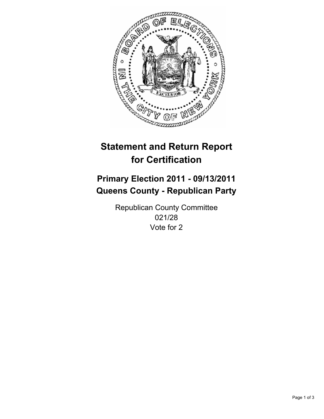

# **Primary Election 2011 - 09/13/2011 Queens County - Republican Party**

Republican County Committee 021/28 Vote for 2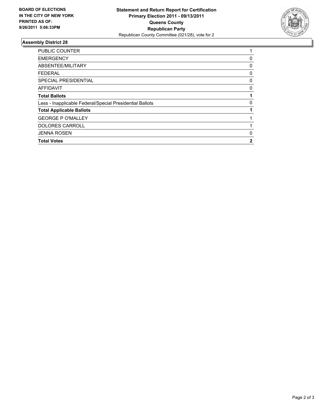

| PUBLIC COUNTER                                           |   |
|----------------------------------------------------------|---|
| <b>EMERGENCY</b>                                         | 0 |
| ABSENTEE/MILITARY                                        | 0 |
| FEDERAL                                                  | 0 |
| <b>SPECIAL PRESIDENTIAL</b>                              | 0 |
| <b>AFFIDAVIT</b>                                         | 0 |
| <b>Total Ballots</b>                                     |   |
| Less - Inapplicable Federal/Special Presidential Ballots | 0 |
| <b>Total Applicable Ballots</b>                          |   |
| <b>GEORGE P O'MALLEY</b>                                 |   |
| <b>DOLORES CARROLL</b>                                   |   |
| <b>JENNA ROSEN</b>                                       | 0 |
| <b>Total Votes</b>                                       | 2 |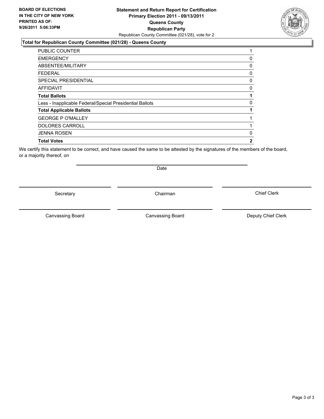## **Statement and Return Report for Certification Primary Election 2011 - 09/13/2011 Queens County Republican Party** Republican County Committee (021/28), vote for 2

## **Total for Republican County Committee (021/28) - Queens County**

| <b>PUBLIC COUNTER</b>                                    | 1 |
|----------------------------------------------------------|---|
| <b>EMERGENCY</b>                                         | 0 |
| ABSENTEE/MILITARY                                        | 0 |
| <b>FEDERAL</b>                                           | 0 |
| <b>SPECIAL PRESIDENTIAL</b>                              | 0 |
| <b>AFFIDAVIT</b>                                         | 0 |
| <b>Total Ballots</b>                                     | 1 |
| Less - Inapplicable Federal/Special Presidential Ballots | 0 |
| <b>Total Applicable Ballots</b>                          |   |
| <b>GEORGE P O'MALLEY</b>                                 |   |
| <b>DOLORES CARROLL</b>                                   |   |
| <b>JENNA ROSEN</b>                                       | 0 |
| <b>Total Votes</b>                                       | 2 |
|                                                          |   |

We certify this statement to be correct, and have caused the same to be attested by the signatures of the members of the board, or a majority thereof, on

Secretary **Chairman** 

Date

Canvassing Board

Canvassing Board **Canvassing Board** Canvassing Board **Deputy Chief Clerk**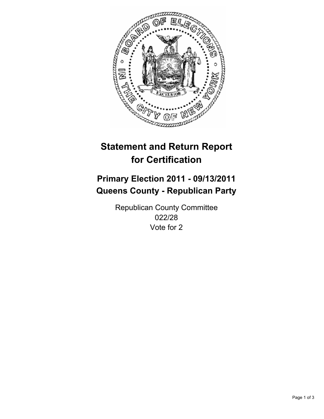

# **Primary Election 2011 - 09/13/2011 Queens County - Republican Party**

Republican County Committee 022/28 Vote for 2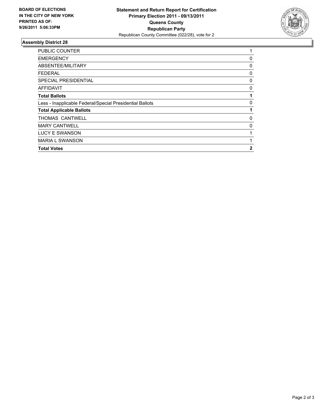

| <b>EMERGENCY</b><br>ABSENTEE/MILITARY<br>FEDERAL<br><b>SPECIAL PRESIDENTIAL</b><br>AFFIDAVIT<br><b>Total Ballots</b><br>Less - Inapplicable Federal/Special Presidential Ballots<br><b>Total Applicable Ballots</b><br><b>THOMAS CANTWELL</b><br><b>MARY CANTWELL</b><br>LUCY E SWANSON<br><b>MARIA L SWANSON</b> | <b>PUBLIC COUNTER</b> | 1 |
|-------------------------------------------------------------------------------------------------------------------------------------------------------------------------------------------------------------------------------------------------------------------------------------------------------------------|-----------------------|---|
|                                                                                                                                                                                                                                                                                                                   |                       | 0 |
|                                                                                                                                                                                                                                                                                                                   |                       | 0 |
|                                                                                                                                                                                                                                                                                                                   |                       | 0 |
|                                                                                                                                                                                                                                                                                                                   |                       | 0 |
|                                                                                                                                                                                                                                                                                                                   |                       | 0 |
|                                                                                                                                                                                                                                                                                                                   |                       | 1 |
|                                                                                                                                                                                                                                                                                                                   |                       | 0 |
|                                                                                                                                                                                                                                                                                                                   |                       |   |
|                                                                                                                                                                                                                                                                                                                   |                       | 0 |
|                                                                                                                                                                                                                                                                                                                   |                       | 0 |
|                                                                                                                                                                                                                                                                                                                   |                       |   |
|                                                                                                                                                                                                                                                                                                                   |                       | 1 |
| <b>Total Votes</b>                                                                                                                                                                                                                                                                                                |                       | 2 |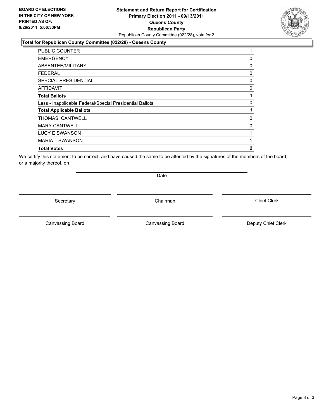## **Statement and Return Report for Certification Primary Election 2011 - 09/13/2011 Queens County Republican Party** Republican County Committee (022/28), vote for 2

## **Total for Republican County Committee (022/28) - Queens County**

| 0        |
|----------|
| 0        |
| 0        |
| 0        |
| $\Omega$ |
| 1        |
| 0        |
| 1        |
| $\Omega$ |
| 0        |
|          |
|          |
| 2        |
|          |

We certify this statement to be correct, and have caused the same to be attested by the signatures of the members of the board, or a majority thereof, on

Secretary **Chairman** 

Date

Canvassing Board **Canvassing Board** Canvassing Board **Deputy Chief Clerk** 

Canvassing Board

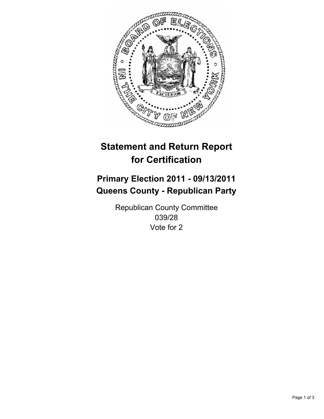

# **Primary Election 2011 - 09/13/2011 Queens County - Republican Party**

Republican County Committee 039/28 Vote for 2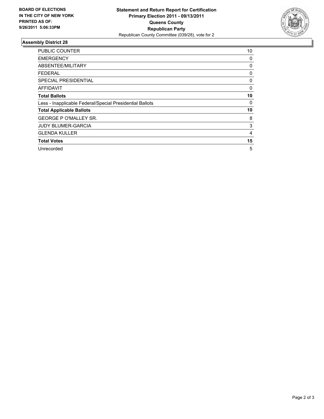

| <b>PUBLIC COUNTER</b>                                    | 10 |
|----------------------------------------------------------|----|
| <b>EMERGENCY</b>                                         | 0  |
| ABSENTEE/MILITARY                                        | 0  |
| <b>FEDERAL</b>                                           | 0  |
| SPECIAL PRESIDENTIAL                                     | 0  |
| <b>AFFIDAVIT</b>                                         | 0  |
| <b>Total Ballots</b>                                     | 10 |
| Less - Inapplicable Federal/Special Presidential Ballots | 0  |
| <b>Total Applicable Ballots</b>                          | 10 |
| <b>GEORGE P O'MALLEY SR.</b>                             | 8  |
| <b>JUDY BLUMER-GARCIA</b>                                | 3  |
| <b>GLENDA KULLER</b>                                     | 4  |
| <b>Total Votes</b>                                       | 15 |
| Unrecorded                                               | 5  |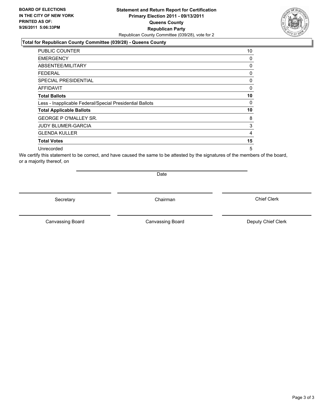## **Statement and Return Report for Certification Primary Election 2011 - 09/13/2011 Queens County Republican Party** Republican County Committee (039/28), vote for 2

### **Total for Republican County Committee (039/28) - Queens County**

| <b>PUBLIC COUNTER</b>                                    | 10 |
|----------------------------------------------------------|----|
| <b>EMERGENCY</b>                                         | 0  |
| ABSENTEE/MILITARY                                        | 0  |
| FEDERAL                                                  | 0  |
| <b>SPECIAL PRESIDENTIAL</b>                              | 0  |
| <b>AFFIDAVIT</b>                                         | 0  |
| <b>Total Ballots</b>                                     | 10 |
| Less - Inapplicable Federal/Special Presidential Ballots | 0  |
| <b>Total Applicable Ballots</b>                          | 10 |
| <b>GEORGE P O'MALLEY SR.</b>                             | 8  |
| <b>JUDY BLUMER-GARCIA</b>                                | 3  |
| <b>GLENDA KULLER</b>                                     | 4  |
| <b>Total Votes</b>                                       | 15 |
| Unrecorded                                               | 5  |

We certify this statement to be correct, and have caused the same to be attested by the signatures of the members of the board, or a majority thereof, on

Secretary **Chairman** 

Date

Canvassing Board

Canvassing Board **Canvassing Board** Canvassing Board **Deputy Chief Clerk** 

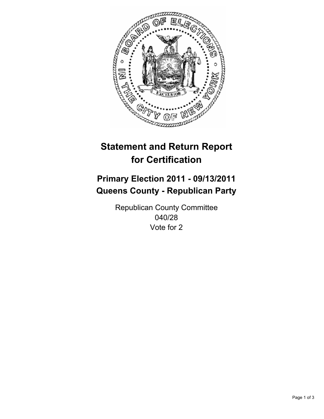

## **Primary Election 2011 - 09/13/2011 Queens County - Republican Party**

Republican County Committee 040/28 Vote for 2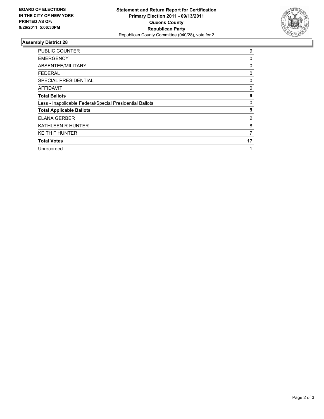

| <b>PUBLIC COUNTER</b>                                    | 9  |
|----------------------------------------------------------|----|
| <b>EMERGENCY</b>                                         | 0  |
| ABSENTEE/MILITARY                                        | 0  |
| <b>FEDERAL</b>                                           | 0  |
| <b>SPECIAL PRESIDENTIAL</b>                              | 0  |
| <b>AFFIDAVIT</b>                                         | 0  |
| <b>Total Ballots</b>                                     | 9  |
| Less - Inapplicable Federal/Special Presidential Ballots | 0  |
| <b>Total Applicable Ballots</b>                          | 9  |
| <b>ELANA GERBER</b>                                      | 2  |
| <b>KATHLEEN R HUNTER</b>                                 | 8  |
| <b>KEITH F HUNTER</b>                                    | 7  |
| <b>Total Votes</b>                                       | 17 |
| Unrecorded                                               | 1  |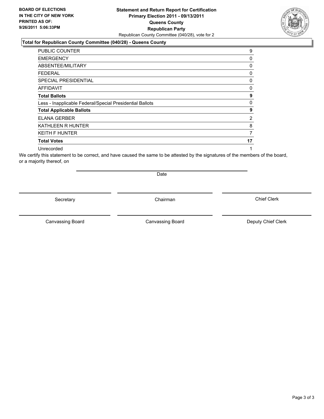### **Statement and Return Report for Certification Primary Election 2011 - 09/13/2011 Queens County Republican Party** Republican County Committee (040/28), vote for 2

#### **Total for Republican County Committee (040/28) - Queens County**

| PUBLIC COUNTER                                           | 9  |
|----------------------------------------------------------|----|
| <b>EMERGENCY</b>                                         | 0  |
| ABSENTEE/MILITARY                                        | 0  |
| <b>FEDERAL</b>                                           | 0  |
| <b>SPECIAL PRESIDENTIAL</b>                              | 0  |
| AFFIDAVIT                                                | 0  |
| <b>Total Ballots</b>                                     | 9  |
| Less - Inapplicable Federal/Special Presidential Ballots | 0  |
| <b>Total Applicable Ballots</b>                          | 9  |
| <b>ELANA GERBER</b>                                      | 2  |
| <b>KATHLEEN R HUNTER</b>                                 | 8  |
| <b>KEITH F HUNTER</b>                                    | 7  |
| <b>Total Votes</b>                                       | 17 |
| Unrecorded                                               | 1  |

We certify this statement to be correct, and have caused the same to be attested by the signatures of the members of the board, or a majority thereof, on

Secretary **Chairman** 

Date

Canvassing Board **Canvassing Board** Canvassing Board **Deputy Chief Clerk** 

Canvassing Board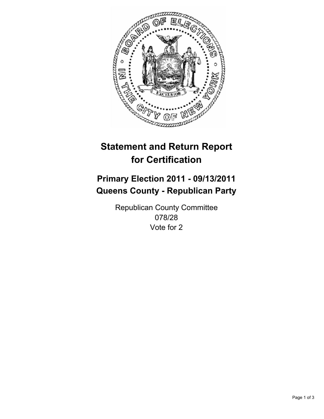

## **Primary Election 2011 - 09/13/2011 Queens County - Republican Party**

Republican County Committee 078/28 Vote for 2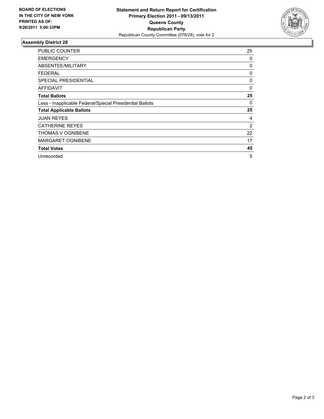

| <b>PUBLIC COUNTER</b>                                    | 25 |
|----------------------------------------------------------|----|
| <b>EMERGENCY</b>                                         | 0  |
| ABSENTEE/MILITARY                                        | 0  |
| <b>FEDERAL</b>                                           | 0  |
| <b>SPECIAL PRESIDENTIAL</b>                              | 0  |
| AFFIDAVIT                                                | 0  |
| <b>Total Ballots</b>                                     | 25 |
| Less - Inapplicable Federal/Special Presidential Ballots | 0  |
| <b>Total Applicable Ballots</b>                          | 25 |
| <b>JUAN REYES</b>                                        | 4  |
| <b>CATHERINE REYES</b>                                   | 2  |
| <b>THOMAS V OGNIBENE</b>                                 | 22 |
| <b>MARGARET OGNIBENE</b>                                 | 17 |
| <b>Total Votes</b>                                       | 45 |
| Unrecorded                                               | 5  |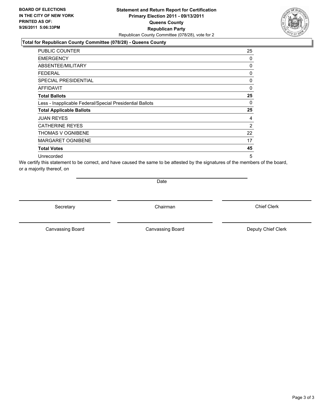### **Statement and Return Report for Certification Primary Election 2011 - 09/13/2011 Queens County Republican Party** Republican County Committee (078/28), vote for 2

#### **Total for Republican County Committee (078/28) - Queens County**

| <b>PUBLIC COUNTER</b>                                    | 25 |
|----------------------------------------------------------|----|
| <b>EMERGENCY</b>                                         | 0  |
| ABSENTEE/MILITARY                                        | 0  |
| <b>FEDERAL</b>                                           | 0  |
| <b>SPECIAL PRESIDENTIAL</b>                              | 0  |
| AFFIDAVIT                                                | 0  |
| <b>Total Ballots</b>                                     | 25 |
| Less - Inapplicable Federal/Special Presidential Ballots | 0  |
| <b>Total Applicable Ballots</b>                          | 25 |
| <b>JUAN REYES</b>                                        | 4  |
| <b>CATHERINE REYES</b>                                   | 2  |
| THOMAS V OGNIBENE                                        | 22 |
| <b>MARGARET OGNIBENE</b>                                 | 17 |
| <b>Total Votes</b>                                       | 45 |
| Unrecorded                                               | 5  |

We certify this statement to be correct, and have caused the same to be attested by the signatures of the members of the board, or a majority thereof, on

Date

Secretary **Chairman** 

Canvassing Board

Canvassing Board **Canvassing Board** Canvassing Board **Deputy Chief Clerk** 

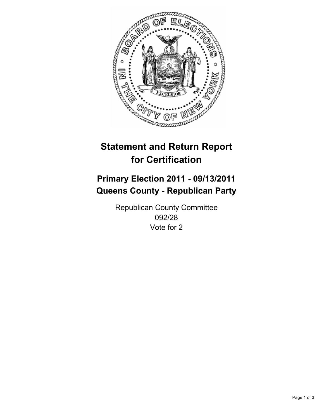

## **Primary Election 2011 - 09/13/2011 Queens County - Republican Party**

Republican County Committee 092/28 Vote for 2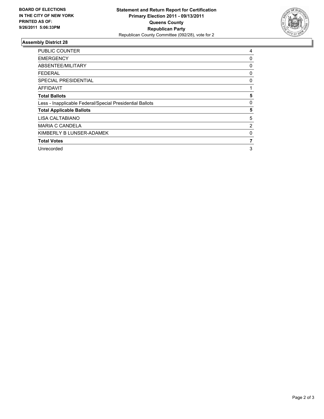

| <b>PUBLIC COUNTER</b>                                    | 4 |
|----------------------------------------------------------|---|
| <b>EMERGENCY</b>                                         | 0 |
| ABSENTEE/MILITARY                                        | 0 |
| <b>FEDERAL</b>                                           | 0 |
| <b>SPECIAL PRESIDENTIAL</b>                              | 0 |
| <b>AFFIDAVIT</b>                                         |   |
| <b>Total Ballots</b>                                     | 5 |
| Less - Inapplicable Federal/Special Presidential Ballots | 0 |
| <b>Total Applicable Ballots</b>                          | 5 |
| LISA CALTABIANO                                          | 5 |
| <b>MARIA C CANDELA</b>                                   | 2 |
| KIMBERLY B LUNSER-ADAMEK                                 | 0 |
| <b>Total Votes</b>                                       | 7 |
| Unrecorded                                               | 3 |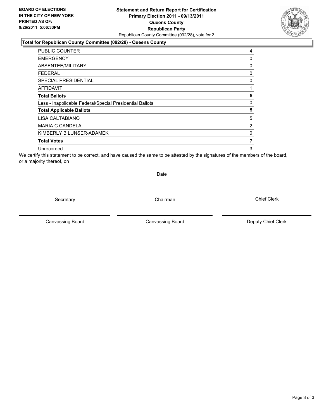### **Statement and Return Report for Certification Primary Election 2011 - 09/13/2011 Queens County Republican Party** Republican County Committee (092/28), vote for 2

#### **Total for Republican County Committee (092/28) - Queens County**

| <b>PUBLIC COUNTER</b>                                    | 4              |
|----------------------------------------------------------|----------------|
| <b>EMERGENCY</b>                                         | 0              |
| ABSENTEE/MILITARY                                        | 0              |
| <b>FEDERAL</b>                                           | 0              |
| <b>SPECIAL PRESIDENTIAL</b>                              | 0              |
| <b>AFFIDAVIT</b>                                         | 1              |
| <b>Total Ballots</b>                                     | 5              |
| Less - Inapplicable Federal/Special Presidential Ballots | 0              |
| <b>Total Applicable Ballots</b>                          | 5              |
| LISA CALTABIANO                                          | 5              |
| <b>MARIA C CANDELA</b>                                   | $\overline{2}$ |
| KIMBERLY B LUNSER-ADAMEK                                 | 0              |
| <b>Total Votes</b>                                       | 7              |
| Unrecorded                                               | 3              |

We certify this statement to be correct, and have caused the same to be attested by the signatures of the members of the board, or a majority thereof, on

Secretary **Chairman** 

Canvassing Board **Canvassing Board** Canvassing Board **Deputy Chief Clerk** 

Canvassing Board

Chief Clerk



Date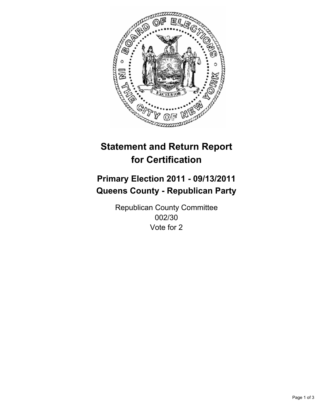

## **Primary Election 2011 - 09/13/2011 Queens County - Republican Party**

Republican County Committee 002/30 Vote for 2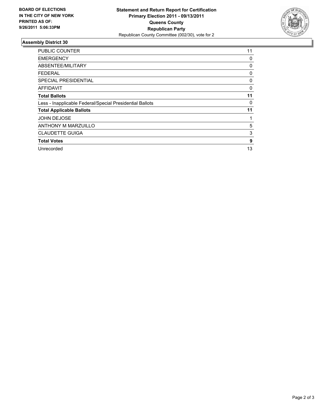

| <b>PUBLIC COUNTER</b>                                    | 11 |
|----------------------------------------------------------|----|
| <b>EMERGENCY</b>                                         | 0  |
| ABSENTEE/MILITARY                                        | 0  |
| <b>FEDERAL</b>                                           | 0  |
| <b>SPECIAL PRESIDENTIAL</b>                              | 0  |
| <b>AFFIDAVIT</b>                                         | 0  |
| <b>Total Ballots</b>                                     | 11 |
| Less - Inapplicable Federal/Special Presidential Ballots | 0  |
| <b>Total Applicable Ballots</b>                          | 11 |
| <b>JOHN DEJOSE</b>                                       |    |
| <b>ANTHONY M MARZUILLO</b>                               | 5  |
| <b>CLAUDETTE GUIGA</b>                                   | 3  |
| <b>Total Votes</b>                                       | 9  |
| Unrecorded                                               | 13 |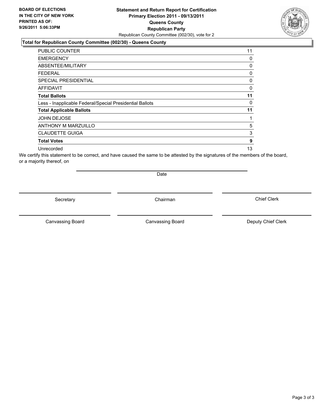### **Statement and Return Report for Certification Primary Election 2011 - 09/13/2011 Queens County Republican Party** Republican County Committee (002/30), vote for 2

#### **Total for Republican County Committee (002/30) - Queens County**

| <b>PUBLIC COUNTER</b>                                    | 11       |
|----------------------------------------------------------|----------|
| <b>EMERGENCY</b>                                         | 0        |
| ABSENTEE/MILITARY                                        | 0        |
| <b>FEDERAL</b>                                           | $\Omega$ |
| <b>SPECIAL PRESIDENTIAL</b>                              | 0        |
| <b>AFFIDAVIT</b>                                         | 0        |
| <b>Total Ballots</b>                                     | 11       |
| Less - Inapplicable Federal/Special Presidential Ballots | 0        |
| <b>Total Applicable Ballots</b>                          | 11       |
| <b>JOHN DEJOSE</b>                                       |          |
| <b>ANTHONY M MARZUILLO</b>                               | 5        |
| <b>CLAUDETTE GUIGA</b>                                   | 3        |
| <b>Total Votes</b>                                       | 9        |
| Unrecorded                                               | 13       |

We certify this statement to be correct, and have caused the same to be attested by the signatures of the members of the board, or a majority thereof, on

Secretary **Chairman** 

Date

Canvassing Board

Canvassing Board **Canvassing Board** Canvassing Board **Deputy Chief Clerk**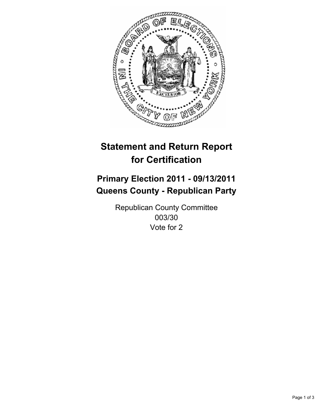

## **Primary Election 2011 - 09/13/2011 Queens County - Republican Party**

Republican County Committee 003/30 Vote for 2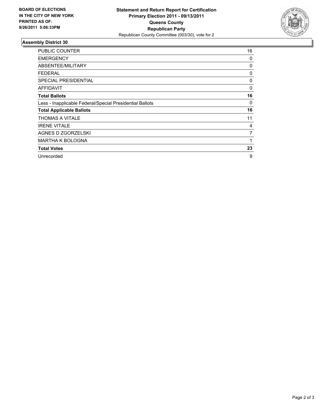

| <b>PUBLIC COUNTER</b>                                    | 16 |
|----------------------------------------------------------|----|
| <b>EMERGENCY</b>                                         | 0  |
| ABSENTEE/MILITARY                                        | 0  |
| <b>FEDERAL</b>                                           | 0  |
| <b>SPECIAL PRESIDENTIAL</b>                              | 0  |
| AFFIDAVIT                                                | 0  |
| <b>Total Ballots</b>                                     | 16 |
| Less - Inapplicable Federal/Special Presidential Ballots | 0  |
| <b>Total Applicable Ballots</b>                          | 16 |
| THOMAS A VITALE                                          | 11 |
| <b>IRENE VITALE</b>                                      | 4  |
| AGNES D ZGORZELSKI                                       | 7  |
| <b>MARTHA K BOLOGNA</b>                                  |    |
| <b>Total Votes</b>                                       | 23 |
| Unrecorded                                               | 9  |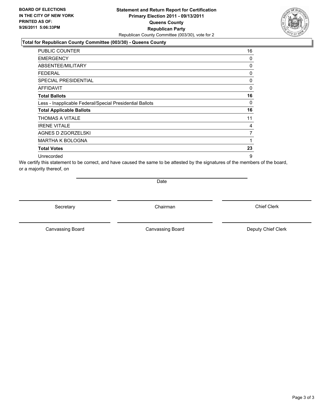### **Statement and Return Report for Certification Primary Election 2011 - 09/13/2011 Queens County Republican Party** Republican County Committee (003/30), vote for 2

### **Total for Republican County Committee (003/30) - Queens County**

| <b>PUBLIC COUNTER</b>                                    | 16 |
|----------------------------------------------------------|----|
| <b>EMERGENCY</b>                                         | 0  |
| ABSENTEE/MILITARY                                        | 0  |
| <b>FEDERAL</b>                                           | 0  |
| <b>SPECIAL PRESIDENTIAL</b>                              | 0  |
| AFFIDAVIT                                                | 0  |
| <b>Total Ballots</b>                                     | 16 |
| Less - Inapplicable Federal/Special Presidential Ballots | 0  |
| <b>Total Applicable Ballots</b>                          | 16 |
| THOMAS A VITALE                                          | 11 |
| <b>IRENE VITALE</b>                                      | 4  |
| AGNES D ZGORZELSKI                                       | 7  |
| <b>MARTHA K BOLOGNA</b>                                  | 1  |
| <b>Total Votes</b>                                       | 23 |
| Unrecorded                                               | 9  |

We certify this statement to be correct, and have caused the same to be attested by the signatures of the members of the board, or a majority thereof, on

Date

Secretary **Chairman** 

Canvassing Board **Canvassing Board** Canvassing Board **Deputy Chief Clerk** 

Canvassing Board

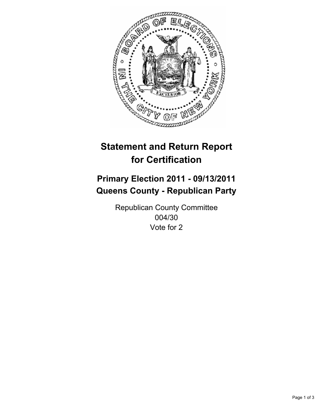

## **Primary Election 2011 - 09/13/2011 Queens County - Republican Party**

Republican County Committee 004/30 Vote for 2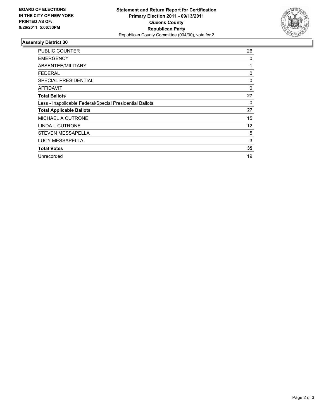

| <b>PUBLIC COUNTER</b>                                    | 26 |
|----------------------------------------------------------|----|
| <b>EMERGENCY</b>                                         | 0  |
| ABSENTEE/MILITARY                                        | 1  |
| <b>FEDERAL</b>                                           | 0  |
| <b>SPECIAL PRESIDENTIAL</b>                              | 0  |
| AFFIDAVIT                                                | 0  |
| <b>Total Ballots</b>                                     | 27 |
| Less - Inapplicable Federal/Special Presidential Ballots | 0  |
| <b>Total Applicable Ballots</b>                          | 27 |
| MICHAEL A CUTRONE                                        | 15 |
| <b>LINDA L CUTRONE</b>                                   | 12 |
| <b>STEVEN MESSAPELLA</b>                                 | 5  |
| <b>LUCY MESSAPELLA</b>                                   | 3  |
| <b>Total Votes</b>                                       | 35 |
| Unrecorded                                               | 19 |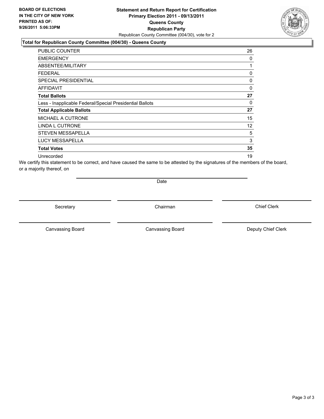### **Statement and Return Report for Certification Primary Election 2011 - 09/13/2011 Queens County Republican Party** Republican County Committee (004/30), vote for 2

### **Total for Republican County Committee (004/30) - Queens County**

| <b>PUBLIC COUNTER</b>                                    | 26       |
|----------------------------------------------------------|----------|
| <b>EMERGENCY</b>                                         | 0        |
| ABSENTEE/MILITARY                                        | 1        |
| <b>FEDERAL</b>                                           | 0        |
| <b>SPECIAL PRESIDENTIAL</b>                              | 0        |
| <b>AFFIDAVIT</b>                                         | $\Omega$ |
| <b>Total Ballots</b>                                     | 27       |
| Less - Inapplicable Federal/Special Presidential Ballots | 0        |
| <b>Total Applicable Ballots</b>                          | 27       |
| <b>MICHAEL A CUTRONE</b>                                 | 15       |
| LINDA L CUTRONE                                          | 12       |
| STEVEN MESSAPELLA                                        | 5        |
| <b>LUCY MESSAPELLA</b>                                   | 3        |
| <b>Total Votes</b>                                       | 35       |
| Unrecorded                                               | 19       |

We certify this statement to be correct, and have caused the same to be attested by the signatures of the members of the board, or a majority thereof, on

Date

Secretary **Chairman** 

Canvassing Board **Canvassing Board** Canvassing Board **Deputy Chief Clerk** 

Canvassing Board

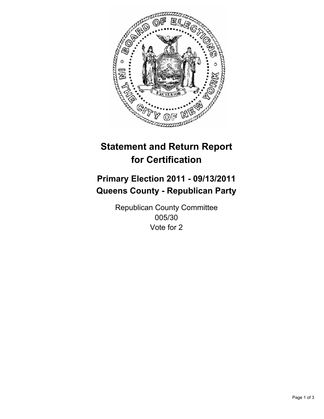

## **Primary Election 2011 - 09/13/2011 Queens County - Republican Party**

Republican County Committee 005/30 Vote for 2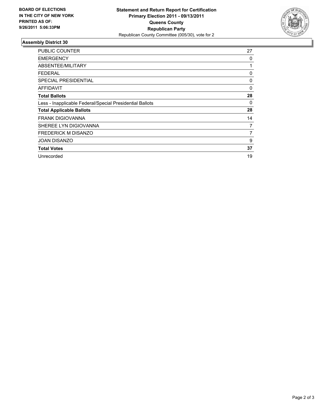

| <b>PUBLIC COUNTER</b>                                    | 27 |
|----------------------------------------------------------|----|
| <b>EMERGENCY</b>                                         | 0  |
| ABSENTEE/MILITARY                                        | 1  |
| <b>FEDERAL</b>                                           | 0  |
| <b>SPECIAL PRESIDENTIAL</b>                              | 0  |
| AFFIDAVIT                                                | 0  |
| <b>Total Ballots</b>                                     | 28 |
| Less - Inapplicable Federal/Special Presidential Ballots | 0  |
| <b>Total Applicable Ballots</b>                          | 28 |
| <b>FRANK DIGIOVANNA</b>                                  | 14 |
| SHEREE LYN DIGIOVANNA                                    | 7  |
| <b>FREDERICK M DISANZO</b>                               | 7  |
| <b>JOAN DISANZO</b>                                      | 9  |
| <b>Total Votes</b>                                       | 37 |
| Unrecorded                                               | 19 |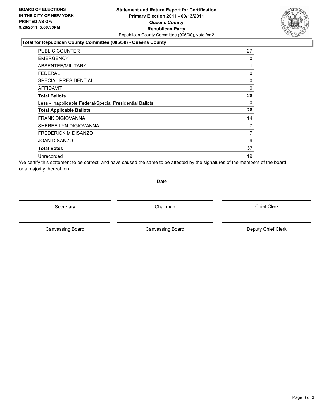### **Statement and Return Report for Certification Primary Election 2011 - 09/13/2011 Queens County Republican Party** Republican County Committee (005/30), vote for 2

### **Total for Republican County Committee (005/30) - Queens County**

| PUBLIC COUNTER                                           | 27       |
|----------------------------------------------------------|----------|
| <b>EMERGENCY</b>                                         | 0        |
| <b>ABSENTEE/MILITARY</b>                                 | 1        |
| <b>FEDERAL</b>                                           | 0        |
| <b>SPECIAL PRESIDENTIAL</b>                              | 0        |
| AFFIDAVIT                                                | $\Omega$ |
| <b>Total Ballots</b>                                     | 28       |
| Less - Inapplicable Federal/Special Presidential Ballots | 0        |
| <b>Total Applicable Ballots</b>                          | 28       |
| <b>FRANK DIGIOVANNA</b>                                  | 14       |
| SHEREE LYN DIGIOVANNA                                    | 7        |
| <b>FREDERICK M DISANZO</b>                               | 7        |
| <b>JOAN DISANZO</b>                                      | 9        |
| <b>Total Votes</b>                                       | 37       |
| Unrecorded                                               | 19       |

We certify this statement to be correct, and have caused the same to be attested by the signatures of the members of the board, or a majority thereof, on

Date

Secretary **Chairman** 

Canvassing Board **Canvassing Board** Canvassing Board **Deputy Chief Clerk** 

Canvassing Board

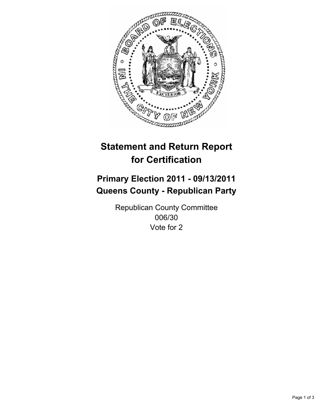

## **Primary Election 2011 - 09/13/2011 Queens County - Republican Party**

Republican County Committee 006/30 Vote for 2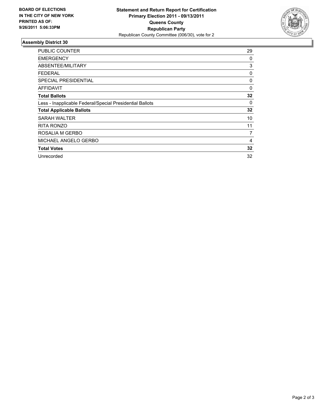

| <b>PUBLIC COUNTER</b>                                    | 29 |
|----------------------------------------------------------|----|
| <b>EMERGENCY</b>                                         | 0  |
| ABSENTEE/MILITARY                                        | 3  |
| <b>FEDERAL</b>                                           | 0  |
| <b>SPECIAL PRESIDENTIAL</b>                              | 0  |
| AFFIDAVIT                                                | 0  |
| <b>Total Ballots</b>                                     | 32 |
| Less - Inapplicable Federal/Special Presidential Ballots | 0  |
| <b>Total Applicable Ballots</b>                          | 32 |
| SARAH WALTER                                             | 10 |
| RITA RONZO                                               | 11 |
| ROSALIA M GERBO                                          | 7  |
| MICHAEL ANGELO GERBO                                     | 4  |
| <b>Total Votes</b>                                       | 32 |
| Unrecorded                                               | 32 |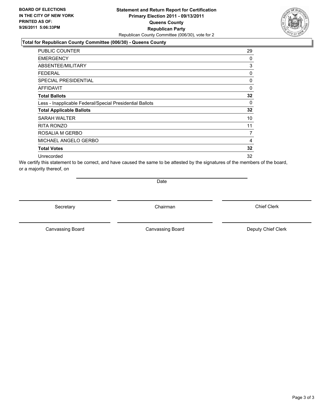### **Statement and Return Report for Certification Primary Election 2011 - 09/13/2011 Queens County Republican Party** Republican County Committee (006/30), vote for 2

### **Total for Republican County Committee (006/30) - Queens County**

| <b>PUBLIC COUNTER</b>                                    | 29           |
|----------------------------------------------------------|--------------|
| <b>EMERGENCY</b>                                         | 0            |
| ABSENTEE/MILITARY                                        | 3            |
| <b>FEDERAL</b>                                           | 0            |
| <b>SPECIAL PRESIDENTIAL</b>                              | 0            |
| <b>AFFIDAVIT</b>                                         | $\mathbf{0}$ |
| <b>Total Ballots</b>                                     | 32           |
| Less - Inapplicable Federal/Special Presidential Ballots | 0            |
| <b>Total Applicable Ballots</b>                          | 32           |
| SARAH WALTER                                             | 10           |
| <b>RITA RONZO</b>                                        | 11           |
| ROSALIA M GERBO                                          | 7            |
| MICHAEL ANGELO GERBO                                     | 4            |
| <b>Total Votes</b>                                       | 32           |
| Unrecorded                                               | 32           |

We certify this statement to be correct, and have caused the same to be attested by the signatures of the members of the board, or a majority thereof, on

Date

Secretary **Chairman** 

Canvassing Board

Canvassing Board **Canvassing Board** Canvassing Board **Deputy Chief Clerk** 

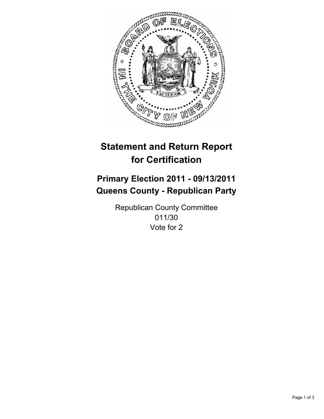

## **Primary Election 2011 - 09/13/2011 Queens County - Republican Party**

Republican County Committee 011/30 Vote for 2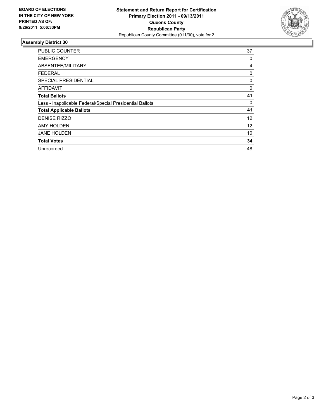

| <b>PUBLIC COUNTER</b>                                    | 37 |
|----------------------------------------------------------|----|
| <b>EMERGENCY</b>                                         | 0  |
| ABSENTEE/MILITARY                                        | 4  |
| <b>FEDERAL</b>                                           | 0  |
| <b>SPECIAL PRESIDENTIAL</b>                              | 0  |
| AFFIDAVIT                                                | 0  |
| <b>Total Ballots</b>                                     | 41 |
| Less - Inapplicable Federal/Special Presidential Ballots | 0  |
| <b>Total Applicable Ballots</b>                          | 41 |
| <b>DENISE RIZZO</b>                                      | 12 |
| <b>AMY HOLDEN</b>                                        | 12 |
| <b>JANE HOLDEN</b>                                       | 10 |
| <b>Total Votes</b>                                       | 34 |
| Unrecorded                                               | 48 |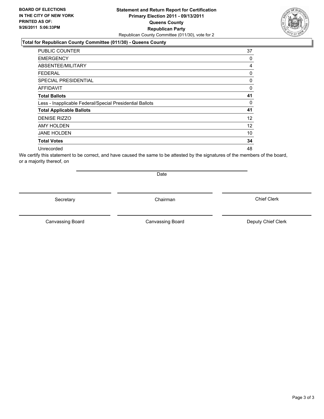### **Statement and Return Report for Certification Primary Election 2011 - 09/13/2011 Queens County Republican Party** Republican County Committee (011/30), vote for 2

#### **Total for Republican County Committee (011/30) - Queens County**

| <b>PUBLIC COUNTER</b>                                    | 37 |
|----------------------------------------------------------|----|
| <b>EMERGENCY</b>                                         | 0  |
| ABSENTEE/MILITARY                                        | 4  |
| <b>FEDERAL</b>                                           | 0  |
| <b>SPECIAL PRESIDENTIAL</b>                              | 0  |
| <b>AFFIDAVIT</b>                                         | 0  |
| <b>Total Ballots</b>                                     | 41 |
| Less - Inapplicable Federal/Special Presidential Ballots | 0  |
| <b>Total Applicable Ballots</b>                          | 41 |
| <b>DENISE RIZZO</b>                                      | 12 |
| <b>AMY HOLDEN</b>                                        | 12 |
| <b>JANE HOLDEN</b>                                       | 10 |
| <b>Total Votes</b>                                       | 34 |
| Unrecorded                                               | 48 |

We certify this statement to be correct, and have caused the same to be attested by the signatures of the members of the board, or a majority thereof, on

Secretary **Chairman** 

Date

Canvassing Board

Canvassing Board **Canvassing Board** Canvassing Board **Deputy Chief Clerk** 

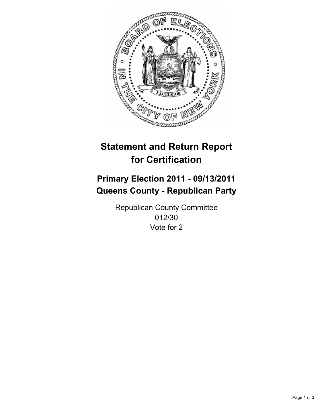

## **Primary Election 2011 - 09/13/2011 Queens County - Republican Party**

Republican County Committee 012/30 Vote for 2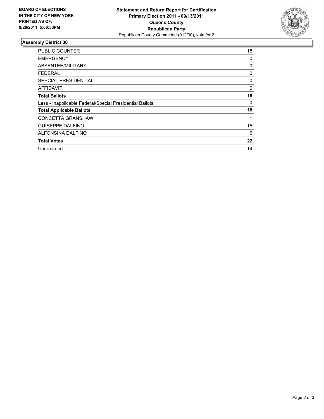

| <b>PUBLIC COUNTER</b>                                    | 18 |
|----------------------------------------------------------|----|
| <b>EMERGENCY</b>                                         | 0  |
| ABSENTEE/MILITARY                                        | 0  |
| <b>FEDERAL</b>                                           | 0  |
| <b>SPECIAL PRESIDENTIAL</b>                              | 0  |
| <b>AFFIDAVIT</b>                                         | 0  |
| <b>Total Ballots</b>                                     | 18 |
| Less - Inapplicable Federal/Special Presidential Ballots | 0  |
| <b>Total Applicable Ballots</b>                          | 18 |
| <b>CONCETTA GRANSHAW</b>                                 |    |
| <b>GUISEPPE DALFINO</b>                                  | 15 |
| ALFONSINA DALFINO                                        | 6  |
| <b>Total Votes</b>                                       | 22 |
| Unrecorded                                               | 14 |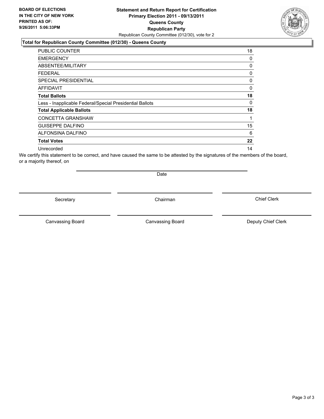### **Statement and Return Report for Certification Primary Election 2011 - 09/13/2011 Queens County Republican Party** Republican County Committee (012/30), vote for 2

#### **Total for Republican County Committee (012/30) - Queens County**

| <b>PUBLIC COUNTER</b>                                    | 18           |
|----------------------------------------------------------|--------------|
| <b>EMERGENCY</b>                                         | 0            |
| ABSENTEE/MILITARY                                        | 0            |
| <b>FEDERAL</b>                                           | 0            |
| <b>SPECIAL PRESIDENTIAL</b>                              | 0            |
| <b>AFFIDAVIT</b>                                         | 0            |
| <b>Total Ballots</b>                                     | 18           |
| Less - Inapplicable Federal/Special Presidential Ballots | $\mathbf{0}$ |
| <b>Total Applicable Ballots</b>                          | 18           |
| <b>CONCETTA GRANSHAW</b>                                 | 1            |
| <b>GUISEPPE DALFINO</b>                                  | 15           |
| <b>ALFONSINA DALFINO</b>                                 | 6            |
| <b>Total Votes</b>                                       | 22           |
| Unrecorded                                               | 14           |

We certify this statement to be correct, and have caused the same to be attested by the signatures of the members of the board, or a majority thereof, on

Secretary **Chairman** 

Date

Canvassing Board **Canvassing Board** Canvassing Board **Deputy Chief Clerk** 

Canvassing Board

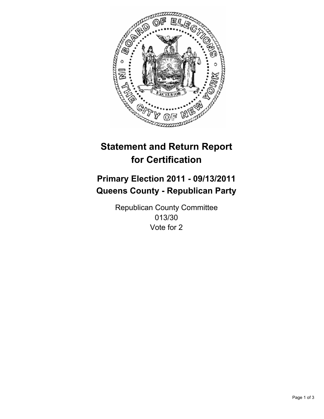

## **Primary Election 2011 - 09/13/2011 Queens County - Republican Party**

Republican County Committee 013/30 Vote for 2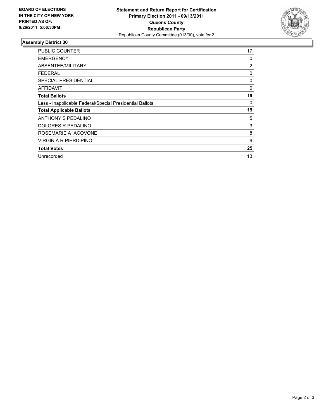

| <b>PUBLIC COUNTER</b>                                    | 17             |
|----------------------------------------------------------|----------------|
| <b>EMERGENCY</b>                                         | 0              |
| ABSENTEE/MILITARY                                        | $\overline{2}$ |
| <b>FEDERAL</b>                                           | 0              |
| SPECIAL PRESIDENTIAL                                     | 0              |
| AFFIDAVIT                                                | 0              |
| <b>Total Ballots</b>                                     | 19             |
| Less - Inapplicable Federal/Special Presidential Ballots | 0              |
| <b>Total Applicable Ballots</b>                          | 19             |
| ANTHONY S PEDALINO                                       | 5              |
| DOLORES R PEDALINO                                       | 3              |
| ROSEMARIE A IACOVONE                                     | 8              |
| VIRGINIA R PIERDIPINO                                    | 9              |
| <b>Total Votes</b>                                       | 25             |
| Unrecorded                                               | 13             |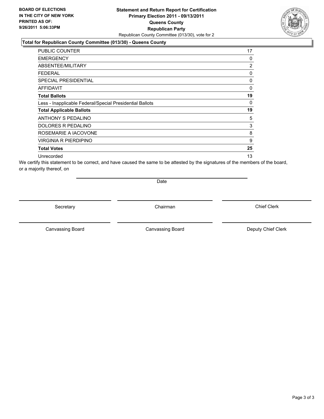### **Statement and Return Report for Certification Primary Election 2011 - 09/13/2011 Queens County Republican Party** Republican County Committee (013/30), vote for 2

### **Total for Republican County Committee (013/30) - Queens County**

| <b>PUBLIC COUNTER</b>                                    | 17 |
|----------------------------------------------------------|----|
| <b>EMERGENCY</b>                                         | 0  |
| ABSENTEE/MILITARY                                        | 2  |
| <b>FEDERAL</b>                                           | 0  |
| <b>SPECIAL PRESIDENTIAL</b>                              | 0  |
| <b>AFFIDAVIT</b>                                         | 0  |
| <b>Total Ballots</b>                                     | 19 |
| Less - Inapplicable Federal/Special Presidential Ballots | 0  |
| <b>Total Applicable Ballots</b>                          | 19 |
| ANTHONY S PEDALINO                                       | 5  |
| DOLORES R PEDALINO                                       | 3  |
| ROSEMARIE A IACOVONE                                     | 8  |
| VIRGINIA R PIERDIPINO                                    | 9  |
| <b>Total Votes</b>                                       | 25 |
| Unrecorded                                               | 13 |

We certify this statement to be correct, and have caused the same to be attested by the signatures of the members of the board, or a majority thereof, on

Date

Secretary **Chairman** 

Canvassing Board **Canvassing Board** Canvassing Board **Deputy Chief Clerk** 

Canvassing Board

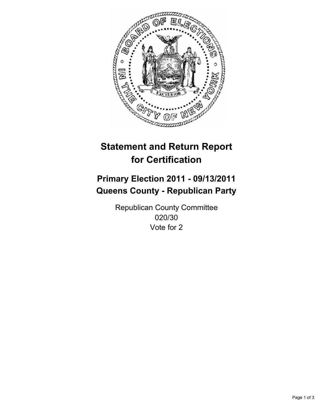

## **Primary Election 2011 - 09/13/2011 Queens County - Republican Party**

Republican County Committee 020/30 Vote for 2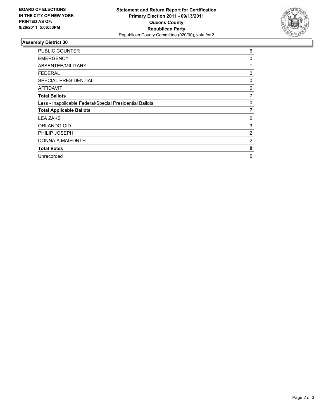

| <b>PUBLIC COUNTER</b>                                    | 6 |
|----------------------------------------------------------|---|
| <b>EMERGENCY</b>                                         | 0 |
| ABSENTEE/MILITARY                                        | 1 |
| <b>FEDERAL</b>                                           | 0 |
| <b>SPECIAL PRESIDENTIAL</b>                              | 0 |
| AFFIDAVIT                                                | 0 |
| <b>Total Ballots</b>                                     | 7 |
| Less - Inapplicable Federal/Special Presidential Ballots | 0 |
| <b>Total Applicable Ballots</b>                          | 7 |
| LEA ZAKS                                                 | 2 |
| ORLANDO CID                                              | 3 |
| PHILIP JOSEPH                                            | 2 |
| DONNA A MAIFORTH                                         | 2 |
| <b>Total Votes</b>                                       | 9 |
| Unrecorded                                               | 5 |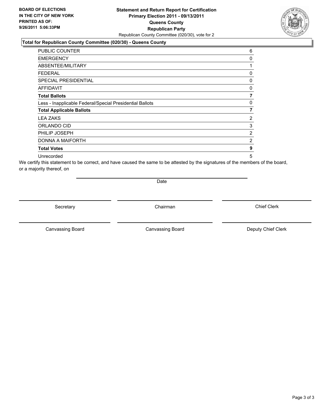### **Statement and Return Report for Certification Primary Election 2011 - 09/13/2011 Queens County Republican Party** Republican County Committee (020/30), vote for 2

### **Total for Republican County Committee (020/30) - Queens County**

| PUBLIC COUNTER                                           | 6 |
|----------------------------------------------------------|---|
| <b>EMERGENCY</b>                                         | 0 |
| ABSENTEE/MILITARY                                        | 1 |
| <b>FEDERAL</b>                                           | 0 |
| <b>SPECIAL PRESIDENTIAL</b>                              | 0 |
| <b>AFFIDAVIT</b>                                         | 0 |
| <b>Total Ballots</b>                                     | 7 |
| Less - Inapplicable Federal/Special Presidential Ballots | 0 |
| <b>Total Applicable Ballots</b>                          | 7 |
| <b>LEA ZAKS</b>                                          | 2 |
| ORLANDO CID                                              | 3 |
| PHILIP JOSEPH                                            | 2 |
| DONNA A MAIFORTH                                         | 2 |
| <b>Total Votes</b>                                       | 9 |
| Unrecorded                                               | 5 |

We certify this statement to be correct, and have caused the same to be attested by the signatures of the members of the board, or a majority thereof, on

Date

Secretary **Chairman** 

Canvassing Board **Canvassing Board** Canvassing Board **Deputy Chief Clerk** 

Canvassing Board

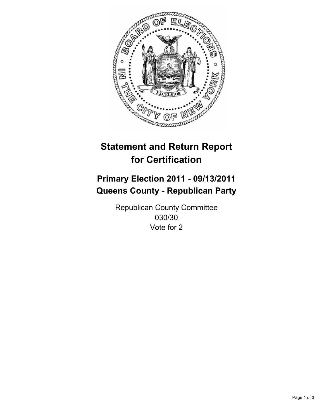

# **Primary Election 2011 - 09/13/2011 Queens County - Republican Party**

Republican County Committee 030/30 Vote for 2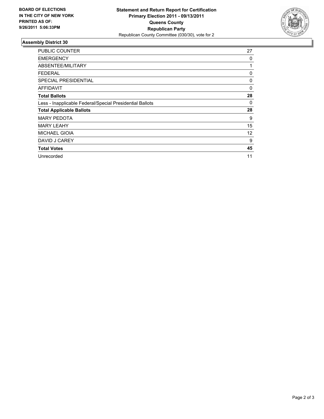

| <b>PUBLIC COUNTER</b>                                    | 27 |
|----------------------------------------------------------|----|
| <b>EMERGENCY</b>                                         | 0  |
| ABSENTEE/MILITARY                                        | 1  |
| <b>FEDERAL</b>                                           | 0  |
| <b>SPECIAL PRESIDENTIAL</b>                              | 0  |
| AFFIDAVIT                                                | 0  |
| <b>Total Ballots</b>                                     | 28 |
| Less - Inapplicable Federal/Special Presidential Ballots | 0  |
| <b>Total Applicable Ballots</b>                          | 28 |
| <b>MARY PEDOTA</b>                                       | 9  |
| <b>MARY LEAHY</b>                                        | 15 |
| <b>MICHAEL GIOIA</b>                                     | 12 |
| DAVID J CAREY                                            | 9  |
| <b>Total Votes</b>                                       | 45 |
| Unrecorded                                               | 11 |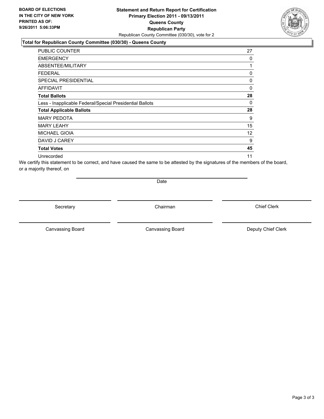### **Statement and Return Report for Certification Primary Election 2011 - 09/13/2011 Queens County Republican Party** Republican County Committee (030/30), vote for 2

### **Total for Republican County Committee (030/30) - Queens County**

| <b>PUBLIC COUNTER</b>                                    | 27 |
|----------------------------------------------------------|----|
| <b>EMERGENCY</b>                                         | 0  |
| ABSENTEE/MILITARY                                        | 1  |
| <b>FEDERAL</b>                                           | 0  |
| <b>SPECIAL PRESIDENTIAL</b>                              | 0  |
| <b>AFFIDAVIT</b>                                         | 0  |
| <b>Total Ballots</b>                                     | 28 |
| Less - Inapplicable Federal/Special Presidential Ballots | 0  |
| <b>Total Applicable Ballots</b>                          | 28 |
| <b>MARY PEDOTA</b>                                       | 9  |
| <b>MARY LEAHY</b>                                        | 15 |
| <b>MICHAEL GIOIA</b>                                     | 12 |
| DAVID J CAREY                                            | 9  |
| <b>Total Votes</b>                                       | 45 |
| Unrecorded                                               | 11 |

We certify this statement to be correct, and have caused the same to be attested by the signatures of the members of the board, or a majority thereof, on

Date

Secretary **Chairman** 

Canvassing Board **Canvassing Board** Canvassing Board **Deputy Chief Clerk** 

Canvassing Board

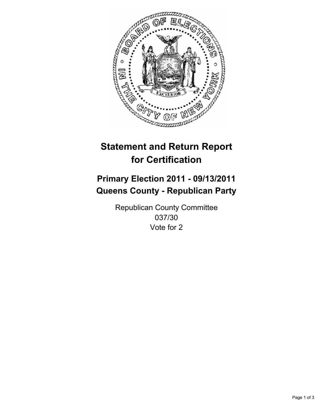

# **Primary Election 2011 - 09/13/2011 Queens County - Republican Party**

Republican County Committee 037/30 Vote for 2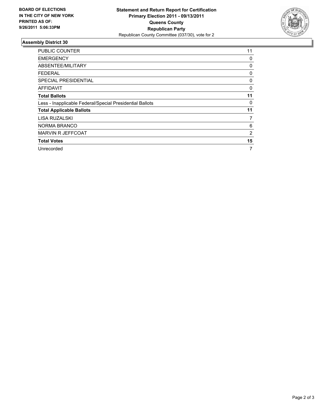

| <b>PUBLIC COUNTER</b>                                    | 11 |
|----------------------------------------------------------|----|
| <b>EMERGENCY</b>                                         | 0  |
| ABSENTEE/MILITARY                                        | 0  |
| <b>FEDERAL</b>                                           | 0  |
| SPECIAL PRESIDENTIAL                                     | 0  |
| <b>AFFIDAVIT</b>                                         | 0  |
| <b>Total Ballots</b>                                     | 11 |
| Less - Inapplicable Federal/Special Presidential Ballots | 0  |
| <b>Total Applicable Ballots</b>                          | 11 |
| LISA RUZALSKI                                            | 7  |
| NORMA BRANCO                                             | 6  |
| MARVIN R JEFFCOAT                                        | 2  |
| <b>Total Votes</b>                                       | 15 |
| Unrecorded                                               | 7  |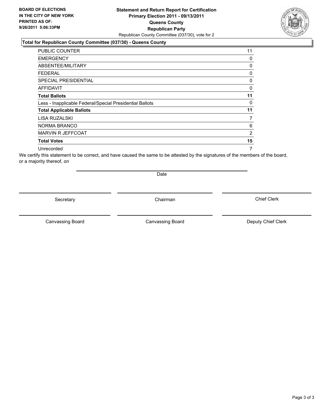### **Statement and Return Report for Certification Primary Election 2011 - 09/13/2011 Queens County Republican Party** Republican County Committee (037/30), vote for 2

### **Total for Republican County Committee (037/30) - Queens County**

| <b>PUBLIC COUNTER</b>                                    | 11             |
|----------------------------------------------------------|----------------|
| <b>EMERGENCY</b>                                         | 0              |
| ABSENTEE/MILITARY                                        | 0              |
| <b>FEDERAL</b>                                           | 0              |
| <b>SPECIAL PRESIDENTIAL</b>                              | 0              |
| <b>AFFIDAVIT</b>                                         | 0              |
| <b>Total Ballots</b>                                     | 11             |
| Less - Inapplicable Federal/Special Presidential Ballots | 0              |
| <b>Total Applicable Ballots</b>                          | 11             |
| LISA RUZALSKI                                            | 7              |
| <b>NORMA BRANCO</b>                                      | 6              |
| MARVIN R JEFFCOAT                                        | $\overline{2}$ |
| <b>Total Votes</b>                                       | 15             |
| Unrecorded                                               | 7              |

We certify this statement to be correct, and have caused the same to be attested by the signatures of the members of the board, or a majority thereof, on

Secretary **Chairman** 

Date

Canvassing Board **Canvassing Board** Canvassing Board **Deputy Chief Clerk** 

Canvassing Board

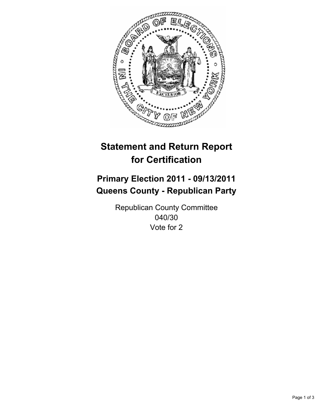

# **Primary Election 2011 - 09/13/2011 Queens County - Republican Party**

Republican County Committee 040/30 Vote for 2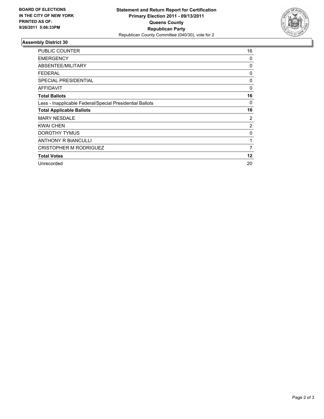

| <b>PUBLIC COUNTER</b>                                    | 16             |
|----------------------------------------------------------|----------------|
| <b>EMERGENCY</b>                                         | 0              |
| ABSENTEE/MILITARY                                        | 0              |
| FEDERAL                                                  | 0              |
| SPECIAL PRESIDENTIAL                                     | 0              |
| <b>AFFIDAVIT</b>                                         | 0              |
| <b>Total Ballots</b>                                     | 16             |
| Less - Inapplicable Federal/Special Presidential Ballots | 0              |
| <b>Total Applicable Ballots</b>                          | 16             |
| <b>MARY NESDALE</b>                                      | $\overline{2}$ |
| <b>KWAI CHEN</b>                                         | $\overline{2}$ |
| DOROTHY TYMUS                                            | 0              |
| <b>ANTHONY R BIANCULLI</b>                               | 1              |
| <b>CRISTOPHER M RODRIGUEZ</b>                            | 7              |
| <b>Total Votes</b>                                       | 12             |
| Unrecorded                                               | 20             |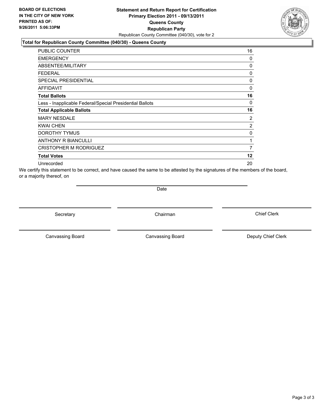### **Statement and Return Report for Certification Primary Election 2011 - 09/13/2011 Queens County Republican Party** Republican County Committee (040/30), vote for 2

### **Total for Republican County Committee (040/30) - Queens County**

| <b>PUBLIC COUNTER</b>                                    | 16             |
|----------------------------------------------------------|----------------|
| <b>EMERGENCY</b>                                         | 0              |
| ABSENTEE/MILITARY                                        | 0              |
| <b>FEDERAL</b>                                           | 0              |
| <b>SPECIAL PRESIDENTIAL</b>                              | 0              |
| <b>AFFIDAVIT</b>                                         | 0              |
| <b>Total Ballots</b>                                     | 16             |
| Less - Inapplicable Federal/Special Presidential Ballots | 0              |
| <b>Total Applicable Ballots</b>                          | 16             |
| <b>MARY NESDALE</b>                                      | 2              |
| <b>KWAI CHEN</b>                                         | $\overline{2}$ |
| DOROTHY TYMUS                                            | 0              |
| <b>ANTHONY R BIANCULLI</b>                               | 1              |
| <b>CRISTOPHER M RODRIGUEZ</b>                            | 7              |
| <b>Total Votes</b>                                       | 12             |
| Unrecorded                                               | 20             |

We certify this statement to be correct, and have caused the same to be attested by the signatures of the members of the board, or a majority thereof, on

**Date** 

Secretary **Chairman** 

Canvassing Board **Canvassing Board** Canvassing Board **Deputy Chief Clerk** 

Canvassing Board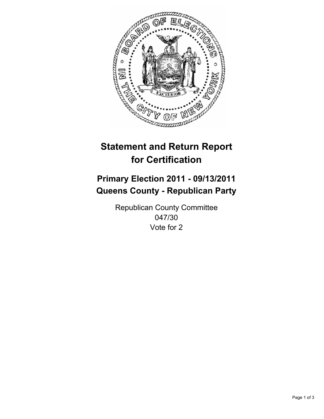

# **Primary Election 2011 - 09/13/2011 Queens County - Republican Party**

Republican County Committee 047/30 Vote for 2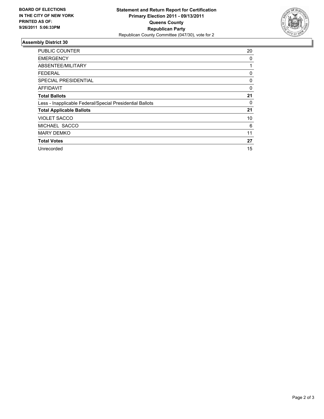

| <b>PUBLIC COUNTER</b>                                    | 20 |
|----------------------------------------------------------|----|
| <b>EMERGENCY</b>                                         | 0  |
| ABSENTEE/MILITARY                                        | 1  |
| <b>FEDERAL</b>                                           | 0  |
| <b>SPECIAL PRESIDENTIAL</b>                              | 0  |
| AFFIDAVIT                                                | 0  |
| <b>Total Ballots</b>                                     | 21 |
| Less - Inapplicable Federal/Special Presidential Ballots | 0  |
| <b>Total Applicable Ballots</b>                          | 21 |
| <b>VIOLET SACCO</b>                                      | 10 |
| MICHAEL SACCO                                            | 6  |
| <b>MARY DEMKO</b>                                        | 11 |
| <b>Total Votes</b>                                       | 27 |
| Unrecorded                                               | 15 |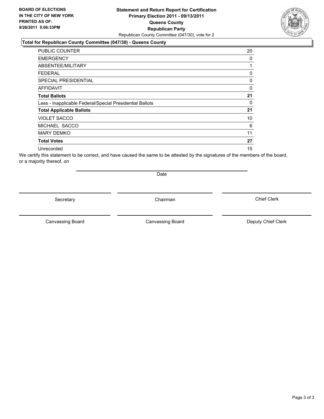### **Statement and Return Report for Certification Primary Election 2011 - 09/13/2011 Queens County Republican Party** Republican County Committee (047/30), vote for 2

#### **Total for Republican County Committee (047/30) - Queens County**

| <b>PUBLIC COUNTER</b>                                    | 20 |
|----------------------------------------------------------|----|
| <b>EMERGENCY</b>                                         | 0  |
| ABSENTEE/MILITARY                                        |    |
| FEDERAL                                                  | 0  |
| SPECIAL PRESIDENTIAL                                     | 0  |
| <b>AFFIDAVIT</b>                                         | 0  |
| <b>Total Ballots</b>                                     | 21 |
| Less - Inapplicable Federal/Special Presidential Ballots | 0  |
| <b>Total Applicable Ballots</b>                          | 21 |
| <b>VIOLET SACCO</b>                                      | 10 |
| MICHAEL SACCO                                            | 6  |
| <b>MARY DEMKO</b>                                        | 11 |
| <b>Total Votes</b>                                       | 27 |
| Unrecorded                                               | 15 |

We certify this statement to be correct, and have caused the same to be attested by the signatures of the members of the board, or a majority thereof, on

Secretary **Chairman** 

Date

Canvassing Board

Canvassing Board **Canvassing Board** Canvassing Board **Deputy Chief Clerk** 

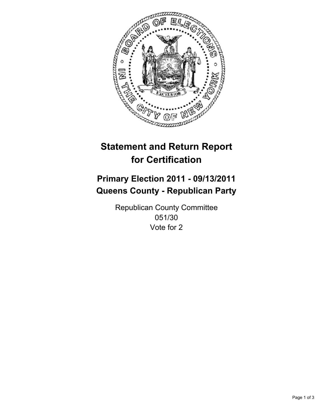

# **Primary Election 2011 - 09/13/2011 Queens County - Republican Party**

Republican County Committee 051/30 Vote for 2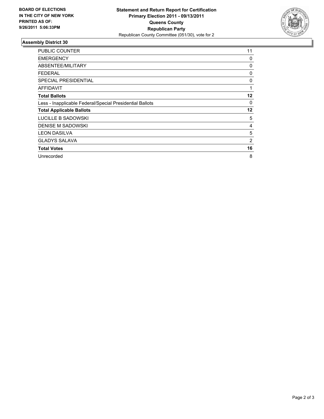

| <b>PUBLIC COUNTER</b>                                    | 11      |
|----------------------------------------------------------|---------|
| <b>EMERGENCY</b>                                         | 0       |
| ABSENTEE/MILITARY                                        | 0       |
| <b>FEDERAL</b>                                           | 0       |
| <b>SPECIAL PRESIDENTIAL</b>                              | 0       |
| <b>AFFIDAVIT</b>                                         | 1       |
| <b>Total Ballots</b>                                     | $12 \,$ |
| Less - Inapplicable Federal/Special Presidential Ballots | 0       |
| <b>Total Applicable Ballots</b>                          | 12      |
| LUCILLE B SADOWSKI                                       | 5       |
| <b>DENISE M SADOWSKI</b>                                 | 4       |
| <b>LEON DASILVA</b>                                      | 5       |
| <b>GLADYS SALAVA</b>                                     | 2       |
| <b>Total Votes</b>                                       | 16      |
| Unrecorded                                               | 8       |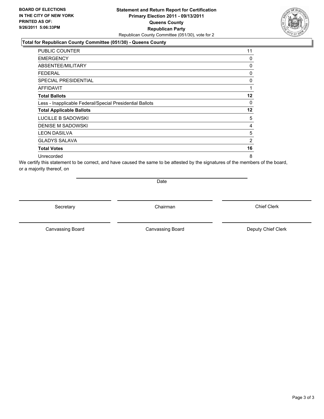### **Statement and Return Report for Certification Primary Election 2011 - 09/13/2011 Queens County Republican Party** Republican County Committee (051/30), vote for 2

### **Total for Republican County Committee (051/30) - Queens County**

| <b>PUBLIC COUNTER</b>                                    | 11      |
|----------------------------------------------------------|---------|
| <b>EMERGENCY</b>                                         | 0       |
| <b>ABSENTEE/MILITARY</b>                                 | 0       |
| FEDERAL                                                  | 0       |
| <b>SPECIAL PRESIDENTIAL</b>                              | 0       |
| AFFIDAVIT                                                | 1       |
| <b>Total Ballots</b>                                     | $12 \,$ |
| Less - Inapplicable Federal/Special Presidential Ballots | 0       |
| <b>Total Applicable Ballots</b>                          | 12      |
| LUCILLE B SADOWSKI                                       | 5       |
| <b>DENISE M SADOWSKI</b>                                 | 4       |
| <b>LEON DASILVA</b>                                      | 5       |
| <b>GLADYS SALAVA</b>                                     | 2       |
| <b>Total Votes</b>                                       | 16      |
| Unrecorded                                               | 8       |

We certify this statement to be correct, and have caused the same to be attested by the signatures of the members of the board, or a majority thereof, on

Date

Secretary **Chairman** 

Canvassing Board **Canvassing Board** Canvassing Board **Deputy Chief Clerk** 

Canvassing Board

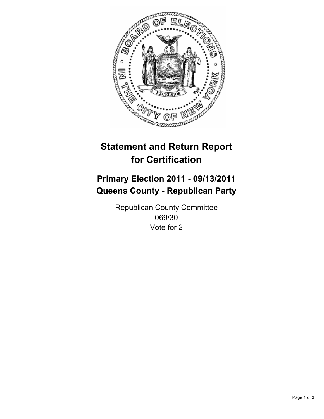

# **Primary Election 2011 - 09/13/2011 Queens County - Republican Party**

Republican County Committee 069/30 Vote for 2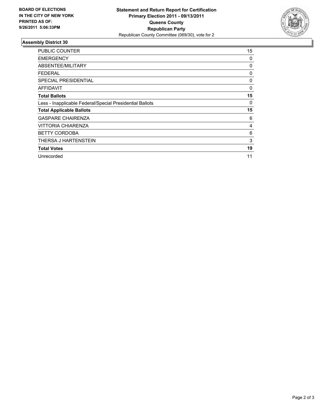

| <b>PUBLIC COUNTER</b>                                    | 15 |
|----------------------------------------------------------|----|
| <b>EMERGENCY</b>                                         | 0  |
| ABSENTEE/MILITARY                                        | 0  |
| <b>FEDERAL</b>                                           | 0  |
| <b>SPECIAL PRESIDENTIAL</b>                              | 0  |
| AFFIDAVIT                                                | 0  |
| <b>Total Ballots</b>                                     | 15 |
| Less - Inapplicable Federal/Special Presidential Ballots | 0  |
| <b>Total Applicable Ballots</b>                          | 15 |
| <b>GASPARE CHAIRENZA</b>                                 | 6  |
| VITTORIA CHIARENZA                                       | 4  |
| <b>BETTY CORDOBA</b>                                     | 6  |
| THERSA J HARTENSTEIN                                     | 3  |
| <b>Total Votes</b>                                       | 19 |
| Unrecorded                                               | 11 |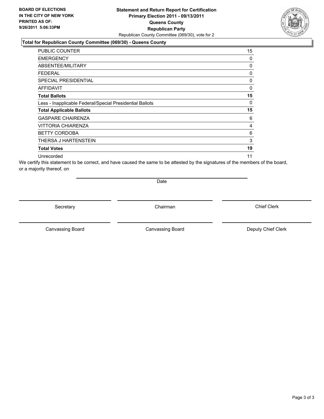### **Statement and Return Report for Certification Primary Election 2011 - 09/13/2011 Queens County Republican Party** Republican County Committee (069/30), vote for 2

### **Total for Republican County Committee (069/30) - Queens County**

| PUBLIC COUNTER                                           | 15 |
|----------------------------------------------------------|----|
| <b>EMERGENCY</b>                                         | 0  |
| <b>ABSENTEE/MILITARY</b>                                 | 0  |
| FEDERAL                                                  | 0  |
| <b>SPECIAL PRESIDENTIAL</b>                              | 0  |
| <b>AFFIDAVIT</b>                                         | 0  |
| <b>Total Ballots</b>                                     | 15 |
| Less - Inapplicable Federal/Special Presidential Ballots | 0  |
| <b>Total Applicable Ballots</b>                          | 15 |
| <b>GASPARE CHAIRENZA</b>                                 | 6  |
| VITTORIA CHIARENZA                                       | 4  |
| <b>BETTY CORDOBA</b>                                     | 6  |
| THERSA J HARTENSTEIN                                     | 3  |
| <b>Total Votes</b>                                       | 19 |
| Unrecorded                                               | 11 |

We certify this statement to be correct, and have caused the same to be attested by the signatures of the members of the board, or a majority thereof, on

Date

Secretary **Chairman** 

Canvassing Board **Canvassing Board** Canvassing Board **Deputy Chief Clerk** 

Canvassing Board

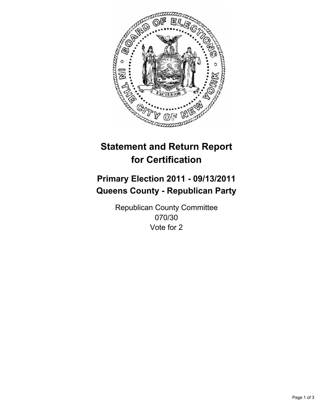

# **Primary Election 2011 - 09/13/2011 Queens County - Republican Party**

Republican County Committee 070/30 Vote for 2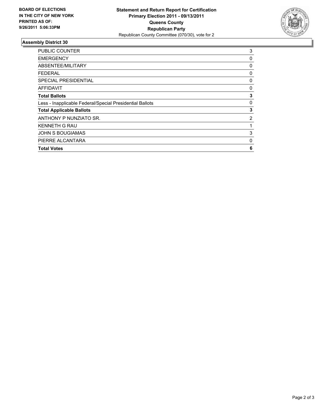

| <b>PUBLIC COUNTER</b>                                    | 3           |
|----------------------------------------------------------|-------------|
| <b>EMERGENCY</b>                                         | 0           |
| ABSENTEE/MILITARY                                        | 0           |
| FEDERAL                                                  | 0           |
| <b>SPECIAL PRESIDENTIAL</b>                              | 0           |
| <b>AFFIDAVIT</b>                                         | 0           |
| <b>Total Ballots</b>                                     | 3           |
| Less - Inapplicable Federal/Special Presidential Ballots | 0           |
| <b>Total Applicable Ballots</b>                          | 3           |
| ANTHONY P NUNZIATO SR.                                   | 2           |
| <b>KENNETH G RAU</b>                                     |             |
| <b>JOHN S BOUGIAMAS</b>                                  | 3           |
| PIERRE ALCANTARA                                         | $\mathbf 0$ |
| <b>Total Votes</b>                                       | 6           |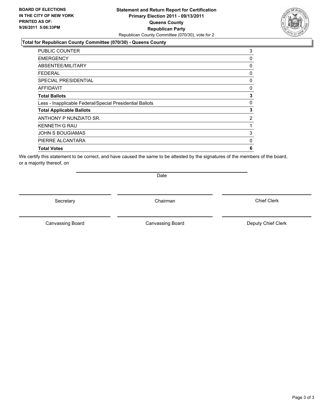### **Statement and Return Report for Certification Primary Election 2011 - 09/13/2011 Queens County Republican Party** Republican County Committee (070/30), vote for 2

### **Total for Republican County Committee (070/30) - Queens County**

| <b>PUBLIC COUNTER</b>                                    | 3           |
|----------------------------------------------------------|-------------|
| <b>EMERGENCY</b>                                         | 0           |
| ABSENTEE/MILITARY                                        | $\mathbf 0$ |
| <b>FEDERAL</b>                                           | 0           |
| <b>SPECIAL PRESIDENTIAL</b>                              | 0           |
| <b>AFFIDAVIT</b>                                         | 0           |
| <b>Total Ballots</b>                                     | 3           |
| Less - Inapplicable Federal/Special Presidential Ballots | 0           |
| <b>Total Applicable Ballots</b>                          | 3           |
| ANTHONY P NUNZIATO SR.                                   | 2           |
| <b>KENNETH G RAU</b>                                     | 1           |
| <b>JOHN S BOUGIAMAS</b>                                  | 3           |
| PIERRE ALCANTARA                                         | $\mathbf 0$ |
| <b>Total Votes</b>                                       | 6           |

We certify this statement to be correct, and have caused the same to be attested by the signatures of the members of the board, or a majority thereof, on

Secretary **Chairman** 

Date

Canvassing Board **Canvassing Board** Canvassing Board **Deputy Chief Clerk** 

Canvassing Board

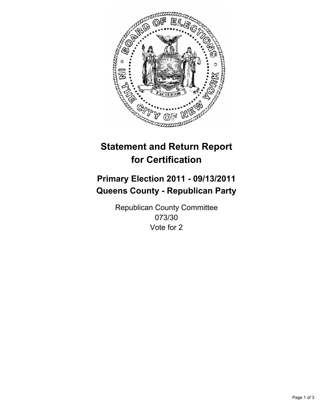

# **Primary Election 2011 - 09/13/2011 Queens County - Republican Party**

Republican County Committee 073/30 Vote for 2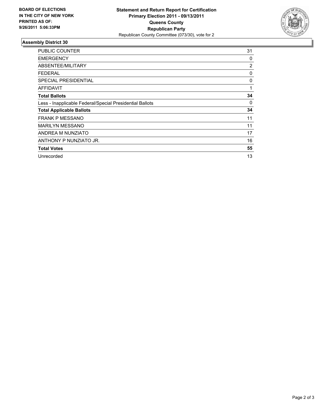

| <b>PUBLIC COUNTER</b>                                    | 31             |
|----------------------------------------------------------|----------------|
| <b>EMERGENCY</b>                                         | 0              |
| ABSENTEE/MILITARY                                        | $\overline{2}$ |
| <b>FEDERAL</b>                                           | 0              |
| <b>SPECIAL PRESIDENTIAL</b>                              | 0              |
| AFFIDAVIT                                                | 1              |
| <b>Total Ballots</b>                                     | 34             |
| Less - Inapplicable Federal/Special Presidential Ballots | 0              |
| <b>Total Applicable Ballots</b>                          | 34             |
| <b>FRANK P MESSANO</b>                                   | 11             |
| <b>MARILYN MESSANO</b>                                   | 11             |
| ANDREA M NUNZIATO                                        | 17             |
| ANTHONY P NUNZIATO JR.                                   | 16             |
| <b>Total Votes</b>                                       | 55             |
| Unrecorded                                               | 13             |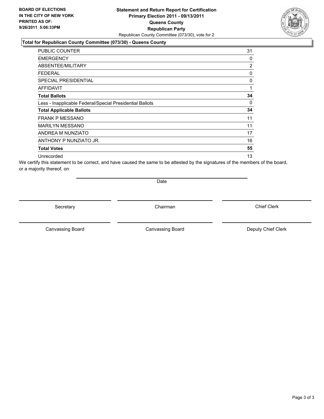### **Statement and Return Report for Certification Primary Election 2011 - 09/13/2011 Queens County Republican Party** Republican County Committee (073/30), vote for 2

## **Total for Republican County Committee (073/30) - Queens County**

| <b>PUBLIC COUNTER</b>                                    | 31             |
|----------------------------------------------------------|----------------|
| <b>EMERGENCY</b>                                         | 0              |
| ABSENTEE/MILITARY                                        | $\overline{2}$ |
| FEDERAL                                                  | 0              |
| <b>SPECIAL PRESIDENTIAL</b>                              | 0              |
| <b>AFFIDAVIT</b>                                         | 1              |
| <b>Total Ballots</b>                                     | 34             |
| Less - Inapplicable Federal/Special Presidential Ballots | 0              |
| <b>Total Applicable Ballots</b>                          | 34             |
| <b>FRANK P MESSANO</b>                                   | 11             |
| <b>MARILYN MESSANO</b>                                   | 11             |
| ANDREA M NUNZIATO                                        | 17             |
| ANTHONY P NUNZIATO JR.                                   | 16             |
| <b>Total Votes</b>                                       | 55             |
| Unrecorded                                               | 13             |

We certify this statement to be correct, and have caused the same to be attested by the signatures of the members of the board, or a majority thereof, on

Date

Secretary **Chairman** 

Canvassing Board **Canvassing Board** Canvassing Board **Deputy Chief Clerk** 

Canvassing Board

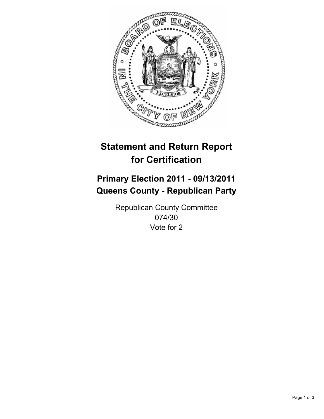

# **Primary Election 2011 - 09/13/2011 Queens County - Republican Party**

Republican County Committee 074/30 Vote for 2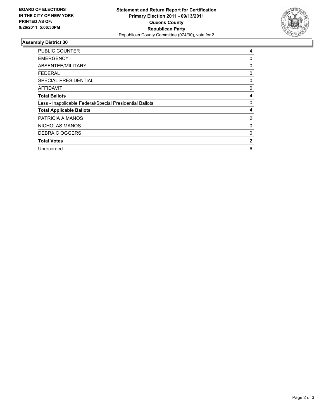

| <b>PUBLIC COUNTER</b>                                    | 4            |
|----------------------------------------------------------|--------------|
| <b>EMERGENCY</b>                                         | 0            |
| ABSENTEE/MILITARY                                        | 0            |
| FEDERAL                                                  | 0            |
| <b>SPECIAL PRESIDENTIAL</b>                              | 0            |
| <b>AFFIDAVIT</b>                                         | 0            |
| <b>Total Ballots</b>                                     | 4            |
| Less - Inapplicable Federal/Special Presidential Ballots | 0            |
| <b>Total Applicable Ballots</b>                          | 4            |
| PATRICIA A MANOS                                         | 2            |
| <b>NICHOLAS MANOS</b>                                    | 0            |
| DEBRA C OGGERS                                           | 0            |
| <b>Total Votes</b>                                       | $\mathbf{2}$ |
| Unrecorded                                               | 6            |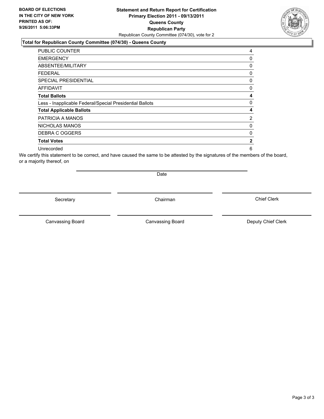### **Statement and Return Report for Certification Primary Election 2011 - 09/13/2011 Queens County Republican Party** Republican County Committee (074/30), vote for 2

### **Total for Republican County Committee (074/30) - Queens County**

| <b>PUBLIC COUNTER</b>                                    | 4              |
|----------------------------------------------------------|----------------|
| <b>EMERGENCY</b>                                         | 0              |
| ABSENTEE/MILITARY                                        | 0              |
| FEDERAL                                                  | 0              |
| <b>SPECIAL PRESIDENTIAL</b>                              | 0              |
| <b>AFFIDAVIT</b>                                         | 0              |
| <b>Total Ballots</b>                                     | 4              |
| Less - Inapplicable Federal/Special Presidential Ballots | 0              |
| <b>Total Applicable Ballots</b>                          | 4              |
| PATRICIA A MANOS                                         | $\overline{2}$ |
| NICHOLAS MANOS                                           | 0              |
| DEBRA C OGGERS                                           | 0              |
| <b>Total Votes</b>                                       | $\mathbf{2}$   |
| Unrecorded                                               | 6              |

We certify this statement to be correct, and have caused the same to be attested by the signatures of the members of the board, or a majority thereof, on

Secretary **Chairman** 

Date

Canvassing Board

Canvassing Board **Canvassing Board** Canvassing Board **Deputy Chief Clerk** 

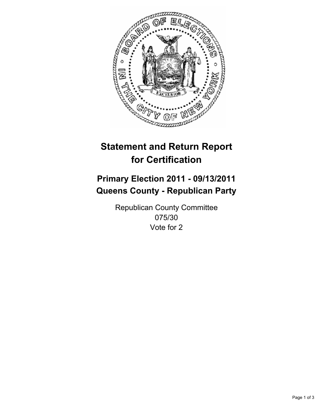

# **Primary Election 2011 - 09/13/2011 Queens County - Republican Party**

Republican County Committee 075/30 Vote for 2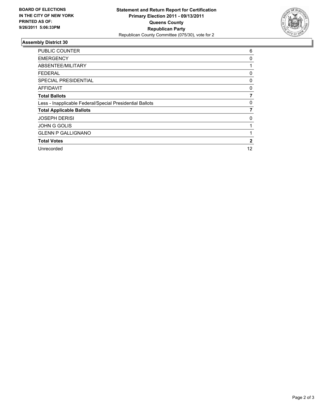

| <b>PUBLIC COUNTER</b>                                    | 6            |
|----------------------------------------------------------|--------------|
| <b>EMERGENCY</b>                                         | 0            |
| ABSENTEE/MILITARY                                        |              |
| FEDERAL                                                  | 0            |
| <b>SPECIAL PRESIDENTIAL</b>                              | 0            |
| AFFIDAVIT                                                | 0            |
| <b>Total Ballots</b>                                     | 7            |
| Less - Inapplicable Federal/Special Presidential Ballots | 0            |
| <b>Total Applicable Ballots</b>                          | 7            |
| <b>JOSEPH DERISI</b>                                     | 0            |
| <b>JOHN G GOLIS</b>                                      |              |
| <b>GLENN P GALLIGNANO</b>                                |              |
| <b>Total Votes</b>                                       | $\mathbf{2}$ |
| Unrecorded                                               | 12           |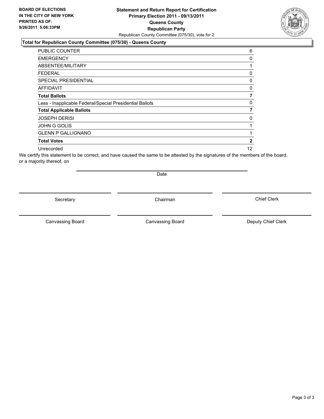### **Statement and Return Report for Certification Primary Election 2011 - 09/13/2011 Queens County Republican Party** Republican County Committee (075/30), vote for 2

### **Total for Republican County Committee (075/30) - Queens County**

| <b>PUBLIC COUNTER</b>                                    | 6  |
|----------------------------------------------------------|----|
| <b>EMERGENCY</b>                                         | 0  |
| ABSENTEE/MILITARY                                        |    |
| FEDERAL                                                  | 0  |
| <b>SPECIAL PRESIDENTIAL</b>                              | 0  |
| <b>AFFIDAVIT</b>                                         | 0  |
| <b>Total Ballots</b>                                     |    |
| Less - Inapplicable Federal/Special Presidential Ballots | 0  |
| <b>Total Applicable Ballots</b>                          | 7  |
| <b>JOSEPH DERISI</b>                                     | 0  |
| <b>JOHN G GOLIS</b>                                      |    |
| <b>GLENN P GALLIGNANO</b>                                |    |
| <b>Total Votes</b>                                       | 2  |
| Unrecorded                                               | 12 |

We certify this statement to be correct, and have caused the same to be attested by the signatures of the members of the board, or a majority thereof, on

Secretary **Chairman** 

Date

Canvassing Board

Canvassing Board **Canvassing Board** Canvassing Board **Deputy Chief Clerk** 

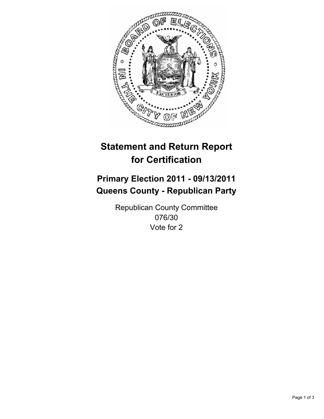

# **Primary Election 2011 - 09/13/2011 Queens County - Republican Party**

Republican County Committee 076/30 Vote for 2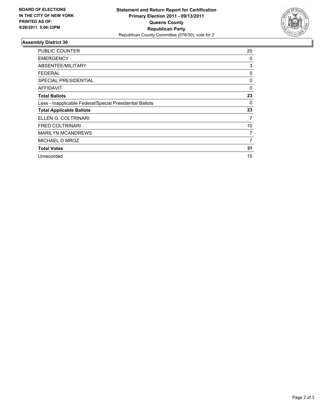

| <b>PUBLIC COUNTER</b>                                    | 20 |
|----------------------------------------------------------|----|
| <b>EMERGENCY</b>                                         | 0  |
| ABSENTEE/MILITARY                                        | 3  |
| <b>FEDERAL</b>                                           | 0  |
| <b>SPECIAL PRESIDENTIAL</b>                              | 0  |
| AFFIDAVIT                                                | 0  |
| <b>Total Ballots</b>                                     | 23 |
| Less - Inapplicable Federal/Special Presidential Ballots | 0  |
| <b>Total Applicable Ballots</b>                          | 23 |
| ELLEN G. COLTRINARI                                      | 7  |
| <b>FRED COLTRINARI</b>                                   | 10 |
| <b>MARILYN MCANDREWS</b>                                 | 7  |
| MICHAEL D MROZ                                           | 7  |
| <b>Total Votes</b>                                       | 31 |
| Unrecorded                                               | 15 |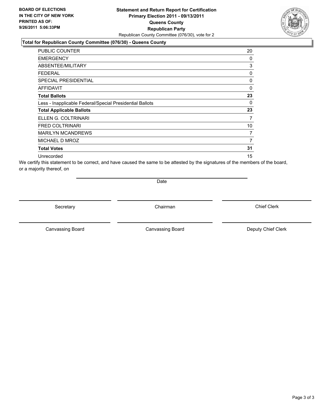### **Statement and Return Report for Certification Primary Election 2011 - 09/13/2011 Queens County Republican Party** Republican County Committee (076/30), vote for 2

### **Total for Republican County Committee (076/30) - Queens County**

| <b>PUBLIC COUNTER</b>                                    | 20       |
|----------------------------------------------------------|----------|
| <b>EMERGENCY</b>                                         | 0        |
| ABSENTEE/MILITARY                                        | 3        |
| FEDERAL                                                  | 0        |
| <b>SPECIAL PRESIDENTIAL</b>                              | 0        |
| <b>AFFIDAVIT</b>                                         | $\Omega$ |
| <b>Total Ballots</b>                                     | 23       |
| Less - Inapplicable Federal/Special Presidential Ballots | 0        |
| <b>Total Applicable Ballots</b>                          | 23       |
| ELLEN G. COLTRINARI                                      | 7        |
| <b>FRED COLTRINARI</b>                                   | 10       |
| <b>MARILYN MCANDREWS</b>                                 | 7        |
| MICHAEL D MROZ                                           | 7        |
| <b>Total Votes</b>                                       | 31       |
| Unrecorded                                               | 15       |

We certify this statement to be correct, and have caused the same to be attested by the signatures of the members of the board, or a majority thereof, on

Date

Secretary **Chairman** 

Canvassing Board **Canvassing Board** Canvassing Board **Deputy Chief Clerk** 

Canvassing Board

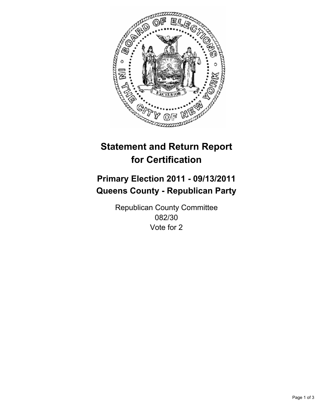

# **Primary Election 2011 - 09/13/2011 Queens County - Republican Party**

Republican County Committee 082/30 Vote for 2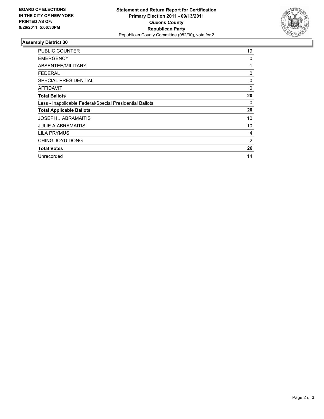

| <b>PUBLIC COUNTER</b>                                    | 19 |
|----------------------------------------------------------|----|
| <b>EMERGENCY</b>                                         | 0  |
| ABSENTEE/MILITARY                                        | 1  |
| <b>FEDERAL</b>                                           | 0  |
| <b>SPECIAL PRESIDENTIAL</b>                              | 0  |
| AFFIDAVIT                                                | 0  |
| <b>Total Ballots</b>                                     | 20 |
| Less - Inapplicable Federal/Special Presidential Ballots | 0  |
| <b>Total Applicable Ballots</b>                          | 20 |
| <b>JOSEPH J ABRAMAITIS</b>                               | 10 |
| <b>JULIE A ABRAMAITIS</b>                                | 10 |
| <b>LILA PRYMUS</b>                                       | 4  |
| CHING JOYU DONG                                          | 2  |
| <b>Total Votes</b>                                       | 26 |
| Unrecorded                                               | 14 |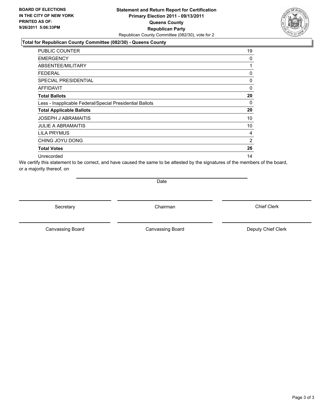### **Statement and Return Report for Certification Primary Election 2011 - 09/13/2011 Queens County Republican Party** Republican County Committee (082/30), vote for 2

### **Total for Republican County Committee (082/30) - Queens County**

| <b>PUBLIC COUNTER</b>                                    | 19             |
|----------------------------------------------------------|----------------|
| <b>EMERGENCY</b>                                         | 0              |
| ABSENTEE/MILITARY                                        | 1              |
| FEDERAL                                                  | 0              |
| <b>SPECIAL PRESIDENTIAL</b>                              | 0              |
| <b>AFFIDAVIT</b>                                         | 0              |
| <b>Total Ballots</b>                                     | 20             |
| Less - Inapplicable Federal/Special Presidential Ballots | 0              |
| <b>Total Applicable Ballots</b>                          | 20             |
| <b>JOSEPH J ABRAMAITIS</b>                               | 10             |
| <b>JULIE A ABRAMAITIS</b>                                | 10             |
| LILA PRYMUS                                              | 4              |
| CHING JOYU DONG                                          | $\overline{2}$ |
| <b>Total Votes</b>                                       | 26             |
| Unrecorded                                               | 14             |

We certify this statement to be correct, and have caused the same to be attested by the signatures of the members of the board, or a majority thereof, on

Date

Secretary **Chairman** 

Canvassing Board **Canvassing Board** Canvassing Board **Deputy Chief Clerk** 

Canvassing Board

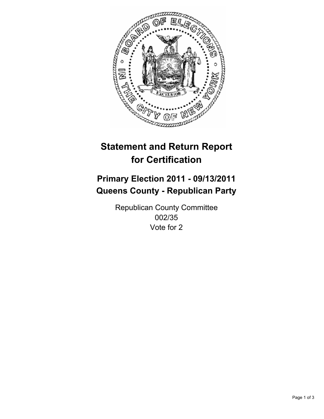

## **Primary Election 2011 - 09/13/2011 Queens County - Republican Party**

Republican County Committee 002/35 Vote for 2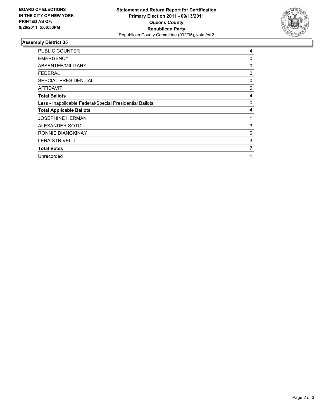

| <b>PUBLIC COUNTER</b>                                    | 4 |
|----------------------------------------------------------|---|
| <b>EMERGENCY</b>                                         | 0 |
| ABSENTEE/MILITARY                                        | 0 |
| FEDERAL                                                  | 0 |
| SPECIAL PRESIDENTIAL                                     | 0 |
| <b>AFFIDAVIT</b>                                         | 0 |
| <b>Total Ballots</b>                                     | 4 |
| Less - Inapplicable Federal/Special Presidential Ballots | 0 |
| <b>Total Applicable Ballots</b>                          | 4 |
| <b>JOSEPHINE HERMAN</b>                                  | 1 |
| ALEXANDER SOTO                                           | 3 |
| RONNIE DIANGKINAY                                        | 0 |
| <b>LENA STRIVELLI</b>                                    | 3 |
| <b>Total Votes</b>                                       | 7 |
| Unrecorded                                               | 1 |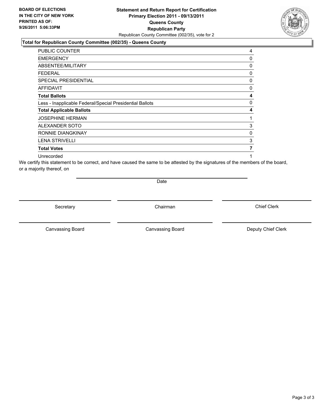#### **Statement and Return Report for Certification Primary Election 2011 - 09/13/2011 Queens County Republican Party** Republican County Committee (002/35), vote for 2

#### **Total for Republican County Committee (002/35) - Queens County**

| <b>PUBLIC COUNTER</b>                                    | 4 |
|----------------------------------------------------------|---|
| <b>EMERGENCY</b>                                         | 0 |
| <b>ABSENTEE/MILITARY</b>                                 | 0 |
| FEDERAL                                                  | 0 |
| <b>SPECIAL PRESIDENTIAL</b>                              | 0 |
| AFFIDAVIT                                                | 0 |
| <b>Total Ballots</b>                                     | 4 |
| Less - Inapplicable Federal/Special Presidential Ballots | 0 |
| <b>Total Applicable Ballots</b>                          | 4 |
| <b>JOSEPHINE HERMAN</b>                                  | 1 |
| ALEXANDER SOTO                                           | 3 |
| RONNIE DIANGKINAY                                        | 0 |
| <b>LENA STRIVELLI</b>                                    | 3 |
| <b>Total Votes</b>                                       | 7 |
| Unrecorded                                               | 1 |

We certify this statement to be correct, and have caused the same to be attested by the signatures of the members of the board, or a majority thereof, on

Date

Secretary **Chairman** 

Canvassing Board **Canvassing Board** Canvassing Board **Deputy Chief Clerk** 

Canvassing Board

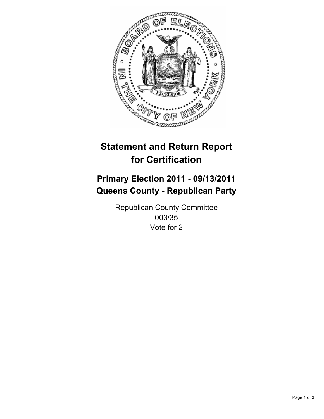

## **Primary Election 2011 - 09/13/2011 Queens County - Republican Party**

Republican County Committee 003/35 Vote for 2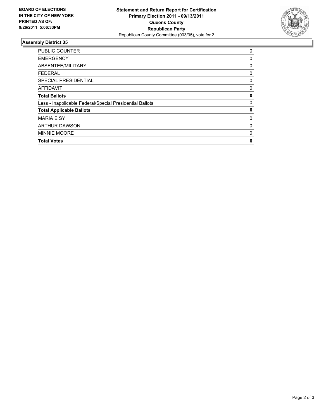

| <b>Total Votes</b>                                       | 0           |
|----------------------------------------------------------|-------------|
| MINNIE MOORE                                             | 0           |
| <b>ARTHUR DAWSON</b>                                     | 0           |
| <b>MARIA E SY</b>                                        | 0           |
| <b>Total Applicable Ballots</b>                          | 0           |
| Less - Inapplicable Federal/Special Presidential Ballots | $\mathbf 0$ |
| <b>Total Ballots</b>                                     | 0           |
| <b>AFFIDAVIT</b>                                         | 0           |
| SPECIAL PRESIDENTIAL                                     | 0           |
| <b>FEDERAL</b>                                           | 0           |
| ABSENTEE/MILITARY                                        | 0           |
| <b>EMERGENCY</b>                                         | 0           |
| PUBLIC COUNTER                                           | 0           |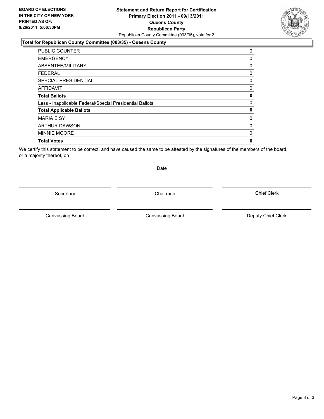#### **Statement and Return Report for Certification Primary Election 2011 - 09/13/2011 Queens County Republican Party** Republican County Committee (003/35), vote for 2

#### **Total for Republican County Committee (003/35) - Queens County**

| PUBLIC COUNTER                                           | 0 |
|----------------------------------------------------------|---|
| <b>EMERGENCY</b>                                         | 0 |
| ABSENTEE/MILITARY                                        | 0 |
| <b>FEDERAL</b>                                           | 0 |
| <b>SPECIAL PRESIDENTIAL</b>                              | 0 |
| <b>AFFIDAVIT</b>                                         | 0 |
| <b>Total Ballots</b>                                     | 0 |
| Less - Inapplicable Federal/Special Presidential Ballots | 0 |
| <b>Total Applicable Ballots</b>                          | 0 |
| <b>MARIA E SY</b>                                        | 0 |
| <b>ARTHUR DAWSON</b>                                     | 0 |
| <b>MINNIE MOORE</b>                                      | 0 |
| <b>Total Votes</b>                                       | 0 |
|                                                          |   |

We certify this statement to be correct, and have caused the same to be attested by the signatures of the members of the board, or a majority thereof, on

Secretary **Chairman** 

Date

Canvassing Board

Canvassing Board **Canvassing Board** Canvassing Board **Deputy Chief Clerk**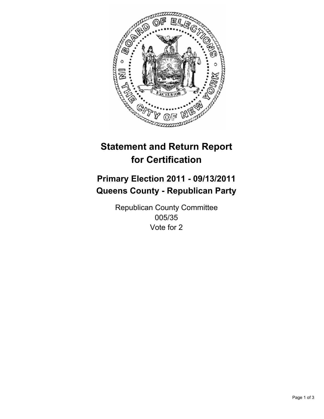

## **Primary Election 2011 - 09/13/2011 Queens County - Republican Party**

Republican County Committee 005/35 Vote for 2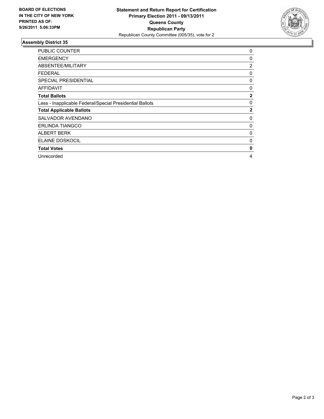

| <b>PUBLIC COUNTER</b>                                    | 0            |
|----------------------------------------------------------|--------------|
| <b>EMERGENCY</b>                                         | 0            |
| ABSENTEE/MILITARY                                        | 2            |
| <b>FEDERAL</b>                                           | 0            |
| <b>SPECIAL PRESIDENTIAL</b>                              | 0            |
| AFFIDAVIT                                                | 0            |
| <b>Total Ballots</b>                                     | $\mathbf{2}$ |
| Less - Inapplicable Federal/Special Presidential Ballots | 0            |
| <b>Total Applicable Ballots</b>                          | $\mathbf{2}$ |
| SALVADOR AVENDANO                                        | 0            |
| <b>ERLINDA TIANGCO</b>                                   | 0            |
| <b>ALBERT BERK</b>                                       | 0            |
| ELAINE DOSKOCIL                                          | 0            |
| <b>Total Votes</b>                                       | 0            |
| Unrecorded                                               | 4            |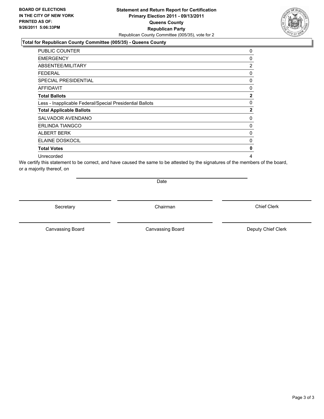#### **Statement and Return Report for Certification Primary Election 2011 - 09/13/2011 Queens County Republican Party** Republican County Committee (005/35), vote for 2

#### **Total for Republican County Committee (005/35) - Queens County**

| PUBLIC COUNTER                                           | 0            |
|----------------------------------------------------------|--------------|
| <b>EMERGENCY</b>                                         | 0            |
| <b>ABSENTEE/MILITARY</b>                                 | 2            |
| FEDERAL                                                  | 0            |
| <b>SPECIAL PRESIDENTIAL</b>                              | 0            |
| <b>AFFIDAVIT</b>                                         | 0            |
| <b>Total Ballots</b>                                     | $\mathbf{2}$ |
| Less - Inapplicable Federal/Special Presidential Ballots | 0            |
| <b>Total Applicable Ballots</b>                          | $\mathbf{2}$ |
| SALVADOR AVENDANO                                        | 0            |
| <b>ERLINDA TIANGCO</b>                                   | 0            |
| ALBERT BERK                                              | 0            |
| ELAINE DOSKOCIL                                          | 0            |
| <b>Total Votes</b>                                       | 0            |
| Unrecorded                                               | 4            |

We certify this statement to be correct, and have caused the same to be attested by the signatures of the members of the board, or a majority thereof, on

Date

Secretary **Chairman** 

Canvassing Board **Canvassing Board** Canvassing Board **Deputy Chief Clerk** 

Canvassing Board

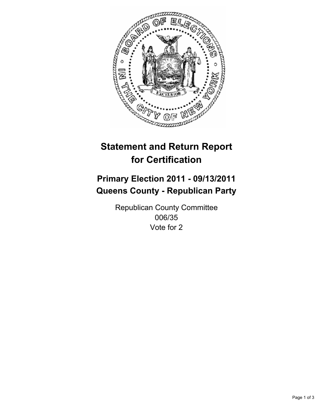

## **Primary Election 2011 - 09/13/2011 Queens County - Republican Party**

Republican County Committee 006/35 Vote for 2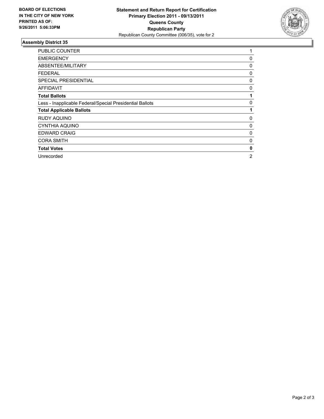

| <b>PUBLIC COUNTER</b>                                    | 1 |
|----------------------------------------------------------|---|
| <b>EMERGENCY</b>                                         | 0 |
| ABSENTEE/MILITARY                                        | 0 |
| <b>FEDERAL</b>                                           | 0 |
| SPECIAL PRESIDENTIAL                                     | 0 |
| <b>AFFIDAVIT</b>                                         | 0 |
| <b>Total Ballots</b>                                     |   |
| Less - Inapplicable Federal/Special Presidential Ballots | 0 |
| <b>Total Applicable Ballots</b>                          | 1 |
| RUDY AQUINO                                              | 0 |
| CYNTHIA AQUINO                                           | 0 |
| <b>EDWARD CRAIG</b>                                      | 0 |
| <b>CORA SMITH</b>                                        | 0 |
| <b>Total Votes</b>                                       | 0 |
| Unrecorded                                               | 2 |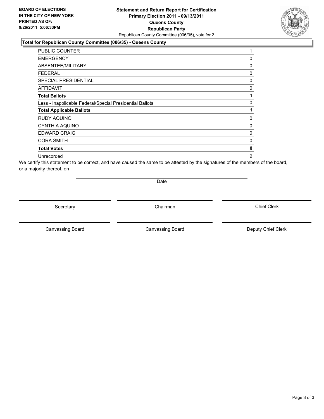#### **Statement and Return Report for Certification Primary Election 2011 - 09/13/2011 Queens County Republican Party** Republican County Committee (006/35), vote for 2

#### **Total for Republican County Committee (006/35) - Queens County**

| PUBLIC COUNTER                                           | 1 |
|----------------------------------------------------------|---|
| <b>EMERGENCY</b>                                         | 0 |
| ABSENTEE/MILITARY                                        | 0 |
| FEDERAL                                                  | 0 |
| <b>SPECIAL PRESIDENTIAL</b>                              | 0 |
| <b>AFFIDAVIT</b>                                         | 0 |
| <b>Total Ballots</b>                                     | 1 |
| Less - Inapplicable Federal/Special Presidential Ballots | 0 |
| <b>Total Applicable Ballots</b>                          | 1 |
| RUDY AQUINO                                              | 0 |
| <b>CYNTHIA AQUINO</b>                                    | 0 |
| <b>EDWARD CRAIG</b>                                      | 0 |
| <b>CORA SMITH</b>                                        | 0 |
| <b>Total Votes</b>                                       | 0 |
| Unrecorded                                               | 2 |

We certify this statement to be correct, and have caused the same to be attested by the signatures of the members of the board, or a majority thereof, on

Date

Secretary **Chairman** 

Canvassing Board **Canvassing Board** Canvassing Board **Deputy Chief Clerk** 

Canvassing Board

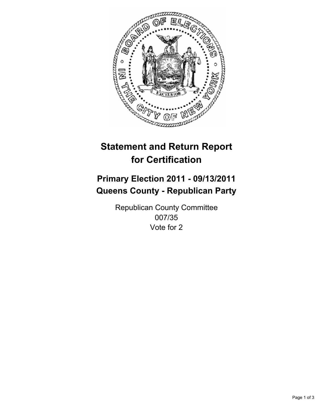

## **Primary Election 2011 - 09/13/2011 Queens County - Republican Party**

Republican County Committee 007/35 Vote for 2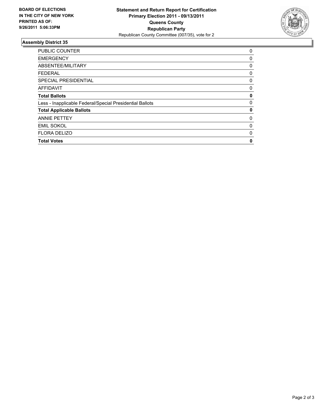

| <b>PUBLIC COUNTER</b>                                    | $\Omega$ |
|----------------------------------------------------------|----------|
| <b>EMERGENCY</b>                                         | 0        |
| ABSENTEE/MILITARY                                        | 0        |
| <b>FEDERAL</b>                                           | 0        |
| <b>SPECIAL PRESIDENTIAL</b>                              | 0        |
| <b>AFFIDAVIT</b>                                         | 0        |
| <b>Total Ballots</b>                                     | 0        |
| Less - Inapplicable Federal/Special Presidential Ballots | 0        |
| <b>Total Applicable Ballots</b>                          | 0        |
| <b>ANNIE PETTEY</b>                                      | 0        |
| <b>EMIL SOKOL</b>                                        | 0        |
| <b>FLORA DELIZO</b>                                      | 0        |
| <b>Total Votes</b>                                       | 0        |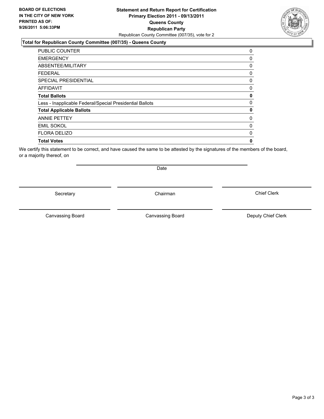#### **Statement and Return Report for Certification Primary Election 2011 - 09/13/2011 Queens County Republican Party** Republican County Committee (007/35), vote for 2

#### **Total for Republican County Committee (007/35) - Queens County**

| 0 |
|---|
| 0 |
| 0 |
| 0 |
| 0 |
| 0 |
| 0 |
| 0 |
| 0 |
| 0 |
| 0 |
| 0 |
| 0 |
|   |

We certify this statement to be correct, and have caused the same to be attested by the signatures of the members of the board, or a majority thereof, on

Secretary **Chairman** 

Date

Canvassing Board

Canvassing Board **Canvassing Board** Canvassing Board **Deputy Chief Clerk** 

Chief Clerk



Page 3 of 3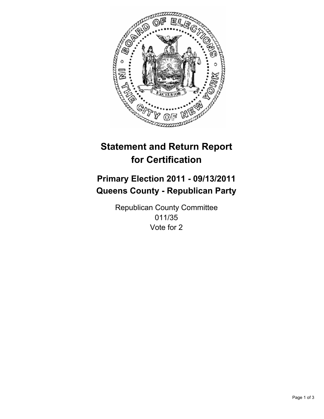

## **Primary Election 2011 - 09/13/2011 Queens County - Republican Party**

Republican County Committee 011/35 Vote for 2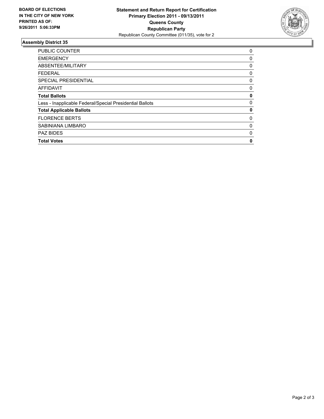

| <b>PUBLIC COUNTER</b>                                    | 0 |
|----------------------------------------------------------|---|
| <b>EMERGENCY</b>                                         | 0 |
| ABSENTEE/MILITARY                                        | 0 |
| <b>FEDERAL</b>                                           | 0 |
| <b>SPECIAL PRESIDENTIAL</b>                              | 0 |
| <b>AFFIDAVIT</b>                                         | 0 |
| <b>Total Ballots</b>                                     | 0 |
| Less - Inapplicable Federal/Special Presidential Ballots | 0 |
| <b>Total Applicable Ballots</b>                          | 0 |
| <b>FLORENCE BERTS</b>                                    | 0 |
| SABINIANA LIMBARO                                        | 0 |
| <b>PAZ BIDES</b>                                         | 0 |
| <b>Total Votes</b>                                       | 0 |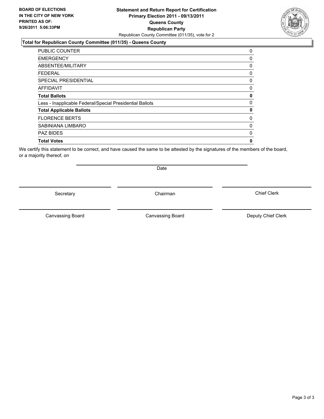#### **Statement and Return Report for Certification Primary Election 2011 - 09/13/2011 Queens County Republican Party** Republican County Committee (011/35), vote for 2

#### **Total for Republican County Committee (011/35) - Queens County**

| <b>PUBLIC COUNTER</b>                                    | 0            |
|----------------------------------------------------------|--------------|
| <b>EMERGENCY</b>                                         | 0            |
| ABSENTEE/MILITARY                                        | 0            |
| <b>FEDERAL</b>                                           | 0            |
| <b>SPECIAL PRESIDENTIAL</b>                              | 0            |
| <b>AFFIDAVIT</b>                                         | 0            |
| <b>Total Ballots</b>                                     | 0            |
| Less - Inapplicable Federal/Special Presidential Ballots | $\mathbf{0}$ |
| <b>Total Applicable Ballots</b>                          | 0            |
| <b>FLORENCE BERTS</b>                                    | 0            |
| SABINIANA LIMBARO                                        | 0            |
| <b>PAZ BIDES</b>                                         | 0            |
| <b>Total Votes</b>                                       | 0            |
|                                                          |              |

We certify this statement to be correct, and have caused the same to be attested by the signatures of the members of the board, or a majority thereof, on

Secretary **Chairman** 

Date

Canvassing Board **Canvassing Board** Canvassing Board **Deputy Chief Clerk** 

Canvassing Board

Chief Clerk



Page 3 of 3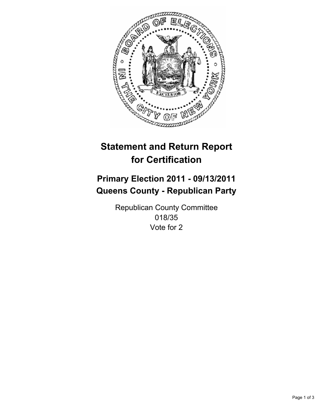

## **Primary Election 2011 - 09/13/2011 Queens County - Republican Party**

Republican County Committee 018/35 Vote for 2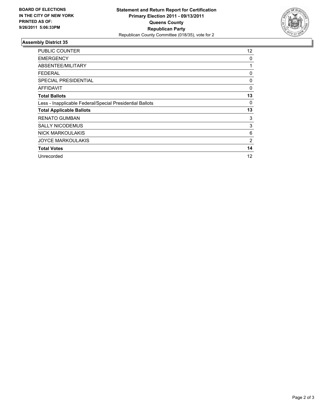

| <b>PUBLIC COUNTER</b>                                    | 12 |
|----------------------------------------------------------|----|
| <b>EMERGENCY</b>                                         | 0  |
| ABSENTEE/MILITARY                                        | 1  |
| <b>FEDERAL</b>                                           | 0  |
| <b>SPECIAL PRESIDENTIAL</b>                              | 0  |
| AFFIDAVIT                                                | 0  |
| <b>Total Ballots</b>                                     | 13 |
| Less - Inapplicable Federal/Special Presidential Ballots | 0  |
| <b>Total Applicable Ballots</b>                          | 13 |
| <b>RENATO GUMBAN</b>                                     | 3  |
| <b>SALLY NICODEMUS</b>                                   | 3  |
| <b>NICK MARKOULAKIS</b>                                  | 6  |
| <b>JOYCE MARKOULAKIS</b>                                 | 2  |
| <b>Total Votes</b>                                       | 14 |
| Unrecorded                                               | 12 |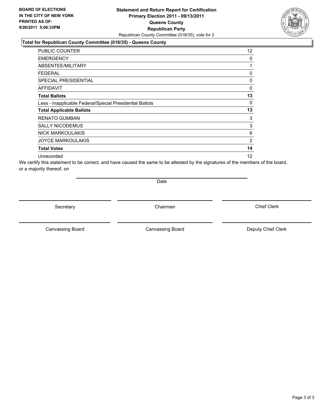#### **Statement and Return Report for Certification Primary Election 2011 - 09/13/2011 Queens County Republican Party** Republican County Committee (018/35), vote for 2

#### **Total for Republican County Committee (018/35) - Queens County**

| <b>PUBLIC COUNTER</b>                                    | 12 <sup>°</sup> |
|----------------------------------------------------------|-----------------|
| <b>EMERGENCY</b>                                         | 0               |
| ABSENTEE/MILITARY                                        | 1               |
| <b>FEDERAL</b>                                           | 0               |
| SPECIAL PRESIDENTIAL                                     | 0               |
| <b>AFFIDAVIT</b>                                         | $\mathbf{0}$    |
| <b>Total Ballots</b>                                     | 13              |
| Less - Inapplicable Federal/Special Presidential Ballots | 0               |
| <b>Total Applicable Ballots</b>                          | 13              |
| <b>RENATO GUMBAN</b>                                     | 3               |
| <b>SALLY NICODEMUS</b>                                   | 3               |
| <b>NICK MARKOULAKIS</b>                                  | 6               |
| <b>JOYCE MARKOULAKIS</b>                                 | $\overline{2}$  |
| <b>Total Votes</b>                                       | 14              |
| Unrecorded                                               | 12              |

We certify this statement to be correct, and have caused the same to be attested by the signatures of the members of the board, or a majority thereof, on

Date

Secretary **Chairman** 

Canvassing Board

Canvassing Board **Canvassing Board** Canvassing Board **Deputy Chief Clerk** 

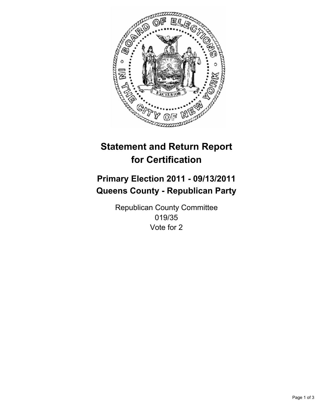

## **Primary Election 2011 - 09/13/2011 Queens County - Republican Party**

Republican County Committee 019/35 Vote for 2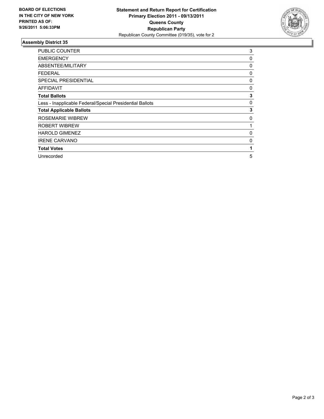

| <b>PUBLIC COUNTER</b>                                    | 3 |
|----------------------------------------------------------|---|
| <b>EMERGENCY</b>                                         | 0 |
| ABSENTEE/MILITARY                                        | 0 |
| FEDERAL                                                  | 0 |
| SPECIAL PRESIDENTIAL                                     | 0 |
| <b>AFFIDAVIT</b>                                         | 0 |
| <b>Total Ballots</b>                                     | 3 |
| Less - Inapplicable Federal/Special Presidential Ballots | 0 |
| <b>Total Applicable Ballots</b>                          | 3 |
| ROSEMARIE WIBREW                                         | 0 |
| <b>ROBERT WIBREW</b>                                     | 1 |
| <b>HAROLD GIMENEZ</b>                                    | 0 |
| <b>IRENE CARVANO</b>                                     | 0 |
| <b>Total Votes</b>                                       | 1 |
| Unrecorded                                               | 5 |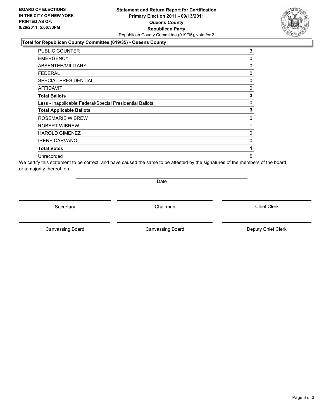#### **Statement and Return Report for Certification Primary Election 2011 - 09/13/2011 Queens County Republican Party** Republican County Committee (019/35), vote for 2

#### **Total for Republican County Committee (019/35) - Queens County**

| <b>PUBLIC COUNTER</b>                                    | 3 |
|----------------------------------------------------------|---|
| <b>EMERGENCY</b>                                         | 0 |
| ABSENTEE/MILITARY                                        | 0 |
| <b>FEDERAL</b>                                           | 0 |
| <b>SPECIAL PRESIDENTIAL</b>                              | 0 |
| <b>AFFIDAVIT</b>                                         | 0 |
| <b>Total Ballots</b>                                     | 3 |
| Less - Inapplicable Federal/Special Presidential Ballots | 0 |
| <b>Total Applicable Ballots</b>                          | 3 |
| <b>ROSEMARIE WIBREW</b>                                  | 0 |
| <b>ROBERT WIBREW</b>                                     | 1 |
| <b>HAROLD GIMENEZ</b>                                    | 0 |
| <b>IRENE CARVANO</b>                                     | 0 |
| <b>Total Votes</b>                                       | 1 |
| Unrecorded                                               | 5 |

We certify this statement to be correct, and have caused the same to be attested by the signatures of the members of the board, or a majority thereof, on

Date

Secretary **Chairman** 

Canvassing Board **Canvassing Board** Canvassing Board **Deputy Chief Clerk** 

Canvassing Board

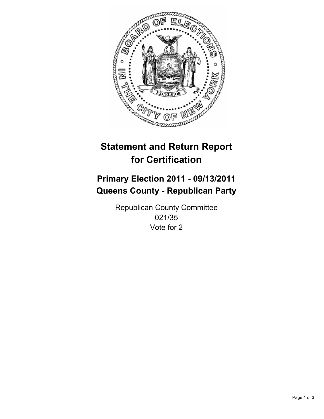

## **Primary Election 2011 - 09/13/2011 Queens County - Republican Party**

Republican County Committee 021/35 Vote for 2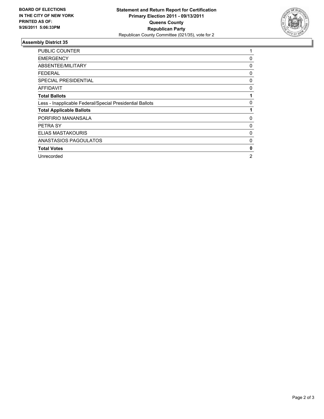

| <b>PUBLIC COUNTER</b>                                    | 1 |
|----------------------------------------------------------|---|
| <b>EMERGENCY</b>                                         | 0 |
| ABSENTEE/MILITARY                                        | 0 |
| <b>FEDERAL</b>                                           | 0 |
| <b>SPECIAL PRESIDENTIAL</b>                              | 0 |
| AFFIDAVIT                                                | 0 |
| <b>Total Ballots</b>                                     |   |
| Less - Inapplicable Federal/Special Presidential Ballots | 0 |
| <b>Total Applicable Ballots</b>                          |   |
| PORFIRIO MANANSALA                                       | 0 |
| PETRA SY                                                 | 0 |
| <b>ELIAS MASTAKOURIS</b>                                 | 0 |
| ANASTASIOS PAGOULATOS                                    | 0 |
| <b>Total Votes</b>                                       | 0 |
| Unrecorded                                               | 2 |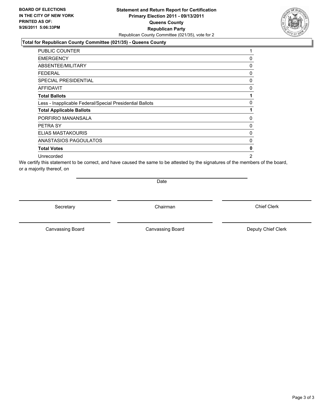#### **Statement and Return Report for Certification Primary Election 2011 - 09/13/2011 Queens County Republican Party** Republican County Committee (021/35), vote for 2

#### **Total for Republican County Committee (021/35) - Queens County**

| PUBLIC COUNTER                                           | 1              |
|----------------------------------------------------------|----------------|
| <b>EMERGENCY</b>                                         | 0              |
| ABSENTEE/MILITARY                                        | 0              |
| FEDERAL                                                  | 0              |
| <b>SPECIAL PRESIDENTIAL</b>                              | 0              |
| <b>AFFIDAVIT</b>                                         | 0              |
| <b>Total Ballots</b>                                     | 1              |
| Less - Inapplicable Federal/Special Presidential Ballots | 0              |
| <b>Total Applicable Ballots</b>                          | 1              |
| PORFIRIO MANANSALA                                       | 0              |
| PETRA SY                                                 | 0              |
| ELIAS MASTAKOURIS                                        | 0              |
| ANASTASIOS PAGOULATOS                                    | 0              |
| <b>Total Votes</b>                                       | 0              |
| Unrecorded                                               | $\overline{2}$ |

We certify this statement to be correct, and have caused the same to be attested by the signatures of the members of the board, or a majority thereof, on

Date

Secretary **Chairman** 

Canvassing Board

Canvassing Board **Canvassing Board** Canvassing Board **Deputy Chief Clerk** 

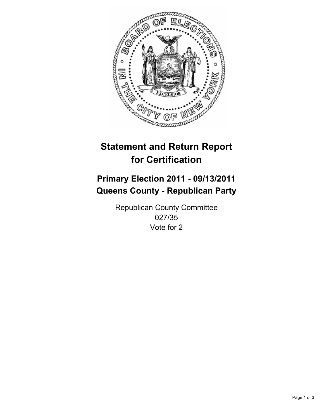

## **Primary Election 2011 - 09/13/2011 Queens County - Republican Party**

Republican County Committee 027/35 Vote for 2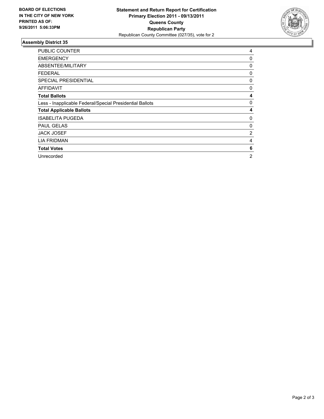

| <b>PUBLIC COUNTER</b>                                    | 4              |
|----------------------------------------------------------|----------------|
| <b>EMERGENCY</b>                                         | 0              |
| ABSENTEE/MILITARY                                        | 0              |
| FEDERAL                                                  | 0              |
| <b>SPECIAL PRESIDENTIAL</b>                              | 0              |
| <b>AFFIDAVIT</b>                                         | 0              |
| <b>Total Ballots</b>                                     | 4              |
| Less - Inapplicable Federal/Special Presidential Ballots | 0              |
| <b>Total Applicable Ballots</b>                          | 4              |
| <b>ISABELITA PUGEDA</b>                                  | 0              |
| <b>PAUL GELAS</b>                                        | 0              |
| <b>JACK JOSEF</b>                                        | 2              |
| <b>LIA FRIDMAN</b>                                       | 4              |
| <b>Total Votes</b>                                       | 6              |
| Unrecorded                                               | $\overline{2}$ |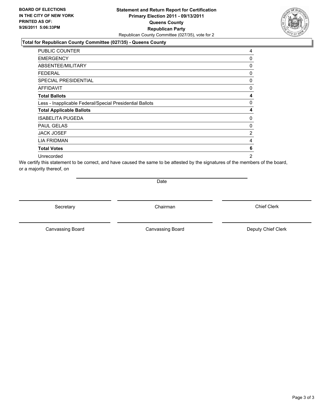#### **Statement and Return Report for Certification Primary Election 2011 - 09/13/2011 Queens County Republican Party** Republican County Committee (027/35), vote for 2

#### **Total for Republican County Committee (027/35) - Queens County**

| PUBLIC COUNTER                                           | 4              |
|----------------------------------------------------------|----------------|
| <b>EMERGENCY</b>                                         | 0              |
| ABSENTEE/MILITARY                                        | 0              |
| FEDERAL                                                  | 0              |
| <b>SPECIAL PRESIDENTIAL</b>                              | 0              |
| <b>AFFIDAVIT</b>                                         | 0              |
| <b>Total Ballots</b>                                     | 4              |
| Less - Inapplicable Federal/Special Presidential Ballots | 0              |
| <b>Total Applicable Ballots</b>                          | 4              |
| <b>ISABELITA PUGEDA</b>                                  | 0              |
| <b>PAUL GELAS</b>                                        | 0              |
| <b>JACK JOSEF</b>                                        | 2              |
| <b>LIA FRIDMAN</b>                                       | 4              |
| <b>Total Votes</b>                                       | 6              |
| Unrecorded                                               | $\overline{2}$ |

We certify this statement to be correct, and have caused the same to be attested by the signatures of the members of the board, or a majority thereof, on

Date

Secretary **Chairman** 

Canvassing Board **Canvassing Board** Canvassing Board **Deputy Chief Clerk** 

Canvassing Board

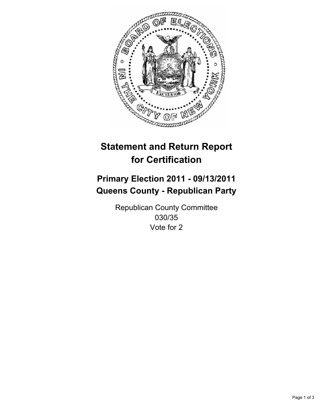

## **Primary Election 2011 - 09/13/2011 Queens County - Republican Party**

Republican County Committee 030/35 Vote for 2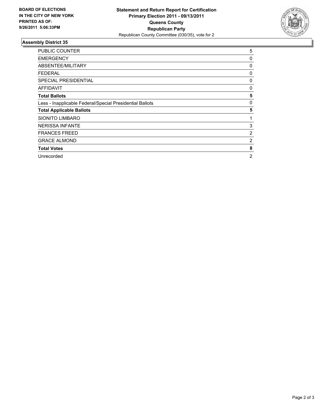

| <b>PUBLIC COUNTER</b>                                    | 5 |
|----------------------------------------------------------|---|
| <b>EMERGENCY</b>                                         | 0 |
| ABSENTEE/MILITARY                                        | 0 |
| FEDERAL                                                  | 0 |
| SPECIAL PRESIDENTIAL                                     | 0 |
| <b>AFFIDAVIT</b>                                         | 0 |
| <b>Total Ballots</b>                                     | 5 |
| Less - Inapplicable Federal/Special Presidential Ballots | 0 |
| <b>Total Applicable Ballots</b>                          | 5 |
| <b>SIONITO LIMBARO</b>                                   | 1 |
| <b>NERISSA INFANTE</b>                                   | 3 |
| <b>FRANCES FREED</b>                                     | 2 |
| <b>GRACE ALMOND</b>                                      | 2 |
| <b>Total Votes</b>                                       | 8 |
| Unrecorded                                               | 2 |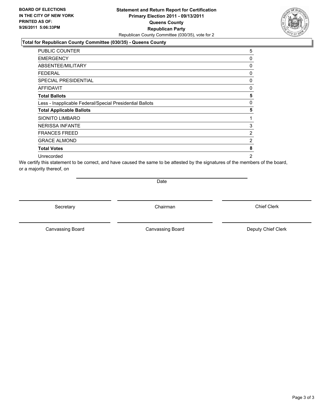#### **Statement and Return Report for Certification Primary Election 2011 - 09/13/2011 Queens County Republican Party** Republican County Committee (030/35), vote for 2

#### **Total for Republican County Committee (030/35) - Queens County**

| <b>PUBLIC COUNTER</b>                                    | 5              |
|----------------------------------------------------------|----------------|
| <b>EMERGENCY</b>                                         | 0              |
| ABSENTEE/MILITARY                                        | 0              |
| <b>FEDERAL</b>                                           | 0              |
| SPECIAL PRESIDENTIAL                                     | 0              |
| AFFIDAVIT                                                | 0              |
| <b>Total Ballots</b>                                     | 5              |
| Less - Inapplicable Federal/Special Presidential Ballots | 0              |
| <b>Total Applicable Ballots</b>                          | 5              |
| <b>SIONITO LIMBARO</b>                                   | 1              |
| <b>NERISSA INFANTE</b>                                   | 3              |
| <b>FRANCES FREED</b>                                     | 2              |
| <b>GRACE ALMOND</b>                                      | 2              |
| <b>Total Votes</b>                                       | 8              |
| Unrecorded                                               | $\overline{2}$ |

We certify this statement to be correct, and have caused the same to be attested by the signatures of the members of the board, or a majority thereof, on

Date

Secretary **Chairman** 

Canvassing Board **Canvassing Board** Canvassing Board **Deputy Chief Clerk** 

Canvassing Board

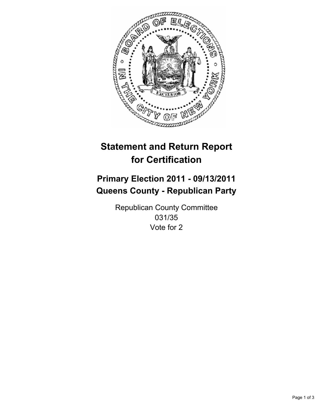

## **Primary Election 2011 - 09/13/2011 Queens County - Republican Party**

Republican County Committee 031/35 Vote for 2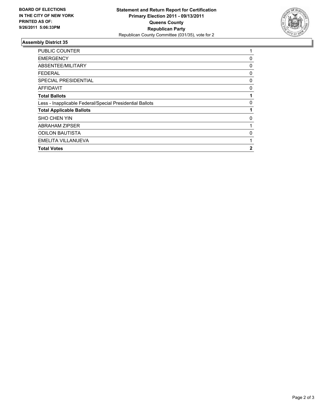

| PUBLIC COUNTER                                           | 1              |
|----------------------------------------------------------|----------------|
| <b>EMERGENCY</b>                                         | 0              |
| ABSENTEE/MILITARY                                        | 0              |
| FEDERAL                                                  | 0              |
| <b>SPECIAL PRESIDENTIAL</b>                              | 0              |
| <b>AFFIDAVIT</b>                                         | 0              |
| <b>Total Ballots</b>                                     |                |
| Less - Inapplicable Federal/Special Presidential Ballots | 0              |
| <b>Total Applicable Ballots</b>                          |                |
| <b>SHO CHEN YIN</b>                                      | 0              |
| <b>ABRAHAM ZIPSER</b>                                    |                |
| <b>ODILON BAUTISTA</b>                                   | 0              |
| <b>EMELITA VILLANUEVA</b>                                |                |
| <b>Total Votes</b>                                       | $\overline{2}$ |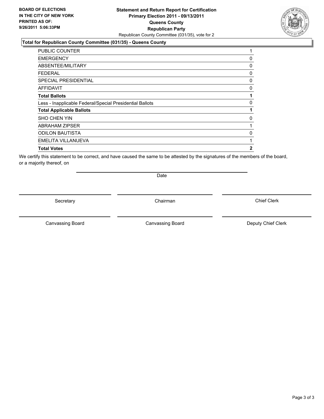#### **Statement and Return Report for Certification Primary Election 2011 - 09/13/2011 Queens County Republican Party** Republican County Committee (031/35), vote for 2

#### **Total for Republican County Committee (031/35) - Queens County**

| <b>PUBLIC COUNTER</b>                                    | 1 |
|----------------------------------------------------------|---|
| <b>EMERGENCY</b>                                         | 0 |
| ABSENTEE/MILITARY                                        | 0 |
| FEDERAL                                                  | 0 |
| SPECIAL PRESIDENTIAL                                     | 0 |
| <b>AFFIDAVIT</b>                                         | 0 |
| <b>Total Ballots</b>                                     | 1 |
| Less - Inapplicable Federal/Special Presidential Ballots | 0 |
| <b>Total Applicable Ballots</b>                          | 1 |
| <b>SHO CHEN YIN</b>                                      | 0 |
| <b>ABRAHAM ZIPSER</b>                                    | 1 |
| <b>ODILON BAUTISTA</b>                                   | 0 |
| EMELITA VILLANUEVA                                       | 1 |
| <b>Total Votes</b>                                       | 2 |

We certify this statement to be correct, and have caused the same to be attested by the signatures of the members of the board, or a majority thereof, on

Secretary **Chairman** 

Date

Canvassing Board **Canvassing Board** Canvassing Board **Deputy Chief Clerk** 

Canvassing Board

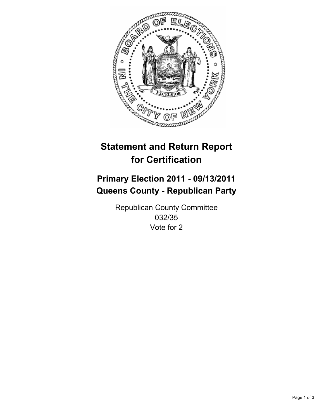

## **Primary Election 2011 - 09/13/2011 Queens County - Republican Party**

Republican County Committee 032/35 Vote for 2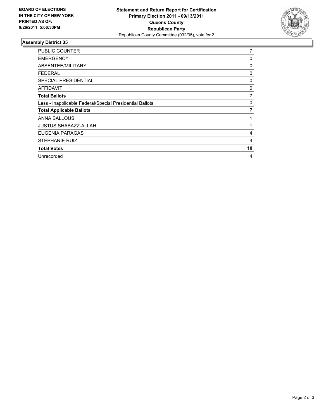

| <b>PUBLIC COUNTER</b>                                    | 7  |
|----------------------------------------------------------|----|
| <b>EMERGENCY</b>                                         | 0  |
| ABSENTEE/MILITARY                                        | 0  |
| <b>FEDERAL</b>                                           | 0  |
| <b>SPECIAL PRESIDENTIAL</b>                              | 0  |
| <b>AFFIDAVIT</b>                                         | 0  |
| <b>Total Ballots</b>                                     | 7  |
| Less - Inapplicable Federal/Special Presidential Ballots | 0  |
| <b>Total Applicable Ballots</b>                          | 7  |
| <b>ANNA BALLOUS</b>                                      |    |
| <b>JUSTUS SHABAZZ-ALLAH</b>                              |    |
| EUGENIA PARAGAS                                          | 4  |
| <b>STEPHANIE RUIZ</b>                                    | 4  |
| <b>Total Votes</b>                                       | 10 |
| Unrecorded                                               | 4  |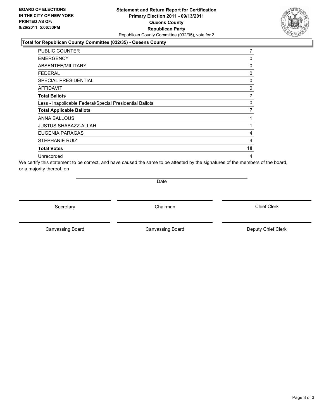### **Statement and Return Report for Certification Primary Election 2011 - 09/13/2011 Queens County Republican Party** Republican County Committee (032/35), vote for 2

### **Total for Republican County Committee (032/35) - Queens County**

| <b>PUBLIC COUNTER</b>                                    | 7  |
|----------------------------------------------------------|----|
| <b>EMERGENCY</b>                                         | 0  |
| ABSENTEE/MILITARY                                        | 0  |
| <b>FEDERAL</b>                                           | 0  |
| <b>SPECIAL PRESIDENTIAL</b>                              | 0  |
| AFFIDAVIT                                                | 0  |
| <b>Total Ballots</b>                                     | 7  |
| Less - Inapplicable Federal/Special Presidential Ballots | 0  |
| <b>Total Applicable Ballots</b>                          | 7  |
| ANNA BALLOUS                                             | 1  |
| <b>JUSTUS SHABAZZ-ALLAH</b>                              | 1  |
| EUGENIA PARAGAS                                          | 4  |
| <b>STEPHANIE RUIZ</b>                                    | 4  |
| <b>Total Votes</b>                                       | 10 |
| Unrecorded                                               | 4  |

We certify this statement to be correct, and have caused the same to be attested by the signatures of the members of the board, or a majority thereof, on

Date

Secretary **Chairman** 

Canvassing Board **Canvassing Board** Canvassing Board **Deputy Chief Clerk** 

Canvassing Board

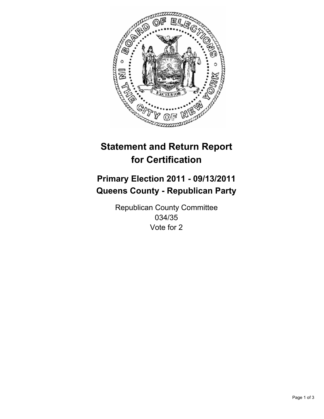

## **Primary Election 2011 - 09/13/2011 Queens County - Republican Party**

Republican County Committee 034/35 Vote for 2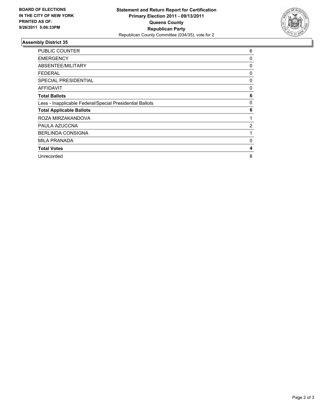

| <b>PUBLIC COUNTER</b>                                    | 6 |
|----------------------------------------------------------|---|
| <b>EMERGENCY</b>                                         | 0 |
| ABSENTEE/MILITARY                                        | 0 |
| FEDERAL                                                  | 0 |
| SPECIAL PRESIDENTIAL                                     | 0 |
| <b>AFFIDAVIT</b>                                         | 0 |
| <b>Total Ballots</b>                                     | 6 |
| Less - Inapplicable Federal/Special Presidential Ballots | 0 |
| <b>Total Applicable Ballots</b>                          | 6 |
| ROZA MIRZAKANDOVA                                        | 1 |
| PAULA AZUCCNA                                            | 2 |
| <b>BERLINDA CONSIGNA</b>                                 | 1 |
| <b>MILA PRANADA</b>                                      | 0 |
| <b>Total Votes</b>                                       | 4 |
| Unrecorded                                               | 8 |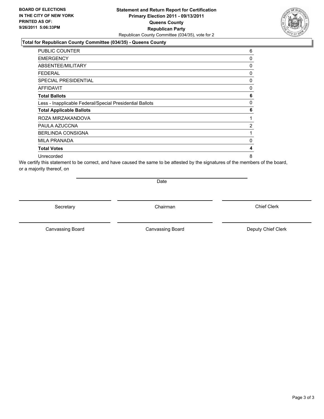### **Statement and Return Report for Certification Primary Election 2011 - 09/13/2011 Queens County Republican Party** Republican County Committee (034/35), vote for 2

#### **Total for Republican County Committee (034/35) - Queens County**

| PUBLIC COUNTER                                           | 6 |
|----------------------------------------------------------|---|
| <b>EMERGENCY</b>                                         | 0 |
| ABSENTEE/MILITARY                                        | 0 |
| FEDERAL                                                  | 0 |
| <b>SPECIAL PRESIDENTIAL</b>                              | 0 |
| <b>AFFIDAVIT</b>                                         | 0 |
| <b>Total Ballots</b>                                     | 6 |
| Less - Inapplicable Federal/Special Presidential Ballots | 0 |
| <b>Total Applicable Ballots</b>                          | 6 |
| ROZA MIRZAKANDOVA                                        | 1 |
| PAULA AZUCCNA                                            | 2 |
| <b>BERLINDA CONSIGNA</b>                                 | 1 |
| <b>MILA PRANADA</b>                                      | 0 |
| <b>Total Votes</b>                                       | 4 |
| Unrecorded                                               | 8 |

We certify this statement to be correct, and have caused the same to be attested by the signatures of the members of the board, or a majority thereof, on

Date

Secretary **Chairman** 

Canvassing Board **Canvassing Board** Canvassing Board **Deputy Chief Clerk** 

Canvassing Board

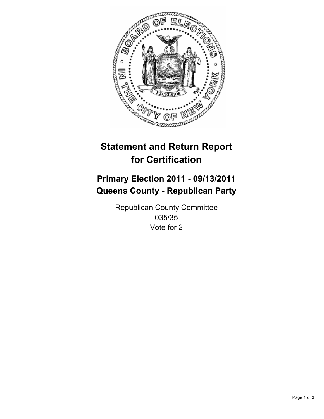

## **Primary Election 2011 - 09/13/2011 Queens County - Republican Party**

Republican County Committee 035/35 Vote for 2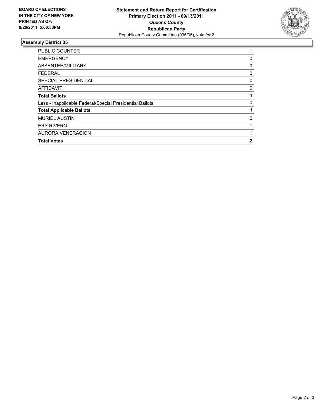

| <b>Total Votes</b>                                       | 2 |
|----------------------------------------------------------|---|
| <b>AURORA VENERACION</b>                                 |   |
| <b>ERY RIVERO</b>                                        |   |
| <b>MURIEL AUSTIN</b>                                     | 0 |
| <b>Total Applicable Ballots</b>                          |   |
| Less - Inapplicable Federal/Special Presidential Ballots | 0 |
| <b>Total Ballots</b>                                     |   |
| <b>AFFIDAVIT</b>                                         | 0 |
| <b>SPECIAL PRESIDENTIAL</b>                              | 0 |
| <b>FEDERAL</b>                                           | 0 |
| ABSENTEE/MILITARY                                        | 0 |
| <b>EMERGENCY</b>                                         | 0 |
| <b>PUBLIC COUNTER</b>                                    |   |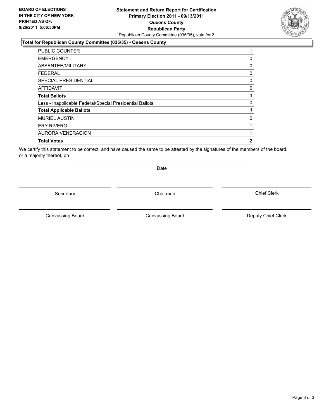### **Statement and Return Report for Certification Primary Election 2011 - 09/13/2011 Queens County Republican Party** Republican County Committee (035/35), vote for 2

#### **Total for Republican County Committee (035/35) - Queens County**

| <b>Total Votes</b>                                       | 2        |
|----------------------------------------------------------|----------|
| <b>AURORA VENERACION</b>                                 |          |
| <b>ERY RIVERO</b>                                        |          |
| <b>MURIEL AUSTIN</b>                                     | 0        |
| <b>Total Applicable Ballots</b>                          |          |
| Less - Inapplicable Federal/Special Presidential Ballots | 0        |
| <b>Total Ballots</b>                                     |          |
| <b>AFFIDAVIT</b>                                         | $\Omega$ |
| <b>SPECIAL PRESIDENTIAL</b>                              | 0        |
| <b>FEDERAL</b>                                           | 0        |
| ABSENTEE/MILITARY                                        | 0        |
| <b>EMERGENCY</b>                                         | 0        |
| <b>PUBLIC COUNTER</b>                                    | 1        |

We certify this statement to be correct, and have caused the same to be attested by the signatures of the members of the board, or a majority thereof, on

Secretary **Chairman** 

Date

Canvassing Board

Canvassing Board **Canvassing Board** Canvassing Board **Deputy Chief Clerk** 

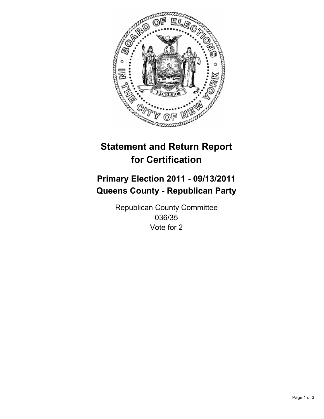

## **Primary Election 2011 - 09/13/2011 Queens County - Republican Party**

Republican County Committee 036/35 Vote for 2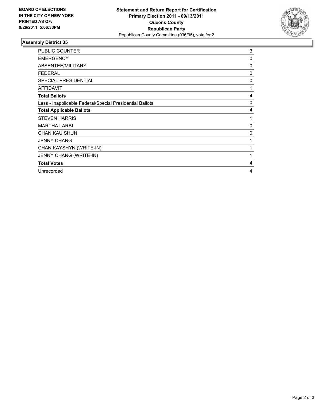

| PUBLIC COUNTER                                           | 3 |
|----------------------------------------------------------|---|
| <b>EMERGENCY</b>                                         | 0 |
| ABSENTEE/MILITARY                                        | 0 |
| <b>FEDERAL</b>                                           | 0 |
| <b>SPECIAL PRESIDENTIAL</b>                              | 0 |
| <b>AFFIDAVIT</b>                                         | 1 |
| <b>Total Ballots</b>                                     | 4 |
| Less - Inapplicable Federal/Special Presidential Ballots | 0 |
| <b>Total Applicable Ballots</b>                          | 4 |
| <b>STEVEN HARRIS</b>                                     | 1 |
| <b>MARTHA LARBI</b>                                      | 0 |
| <b>CHAN KAU SHUN</b>                                     | 0 |
| <b>JENNY CHANG</b>                                       | 1 |
| CHAN KAYSHYN (WRITE-IN)                                  | 1 |
| JENNY CHANG (WRITE-IN)                                   | 1 |
| <b>Total Votes</b>                                       | 4 |
| Unrecorded                                               | 4 |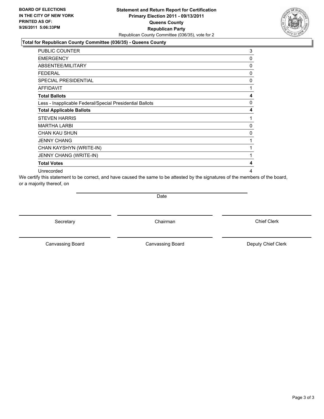### **Statement and Return Report for Certification Primary Election 2011 - 09/13/2011 Queens County Republican Party** Republican County Committee (036/35), vote for 2

#### **Total for Republican County Committee (036/35) - Queens County**

| <b>PUBLIC COUNTER</b>                                    | 3        |
|----------------------------------------------------------|----------|
| <b>EMERGENCY</b>                                         | $\Omega$ |
| ABSENTEE/MILITARY                                        | 0        |
| FEDERAL                                                  | 0        |
| <b>SPECIAL PRESIDENTIAL</b>                              | 0        |
| <b>AFFIDAVIT</b>                                         | 1        |
| <b>Total Ballots</b>                                     | 4        |
| Less - Inapplicable Federal/Special Presidential Ballots | 0        |
| <b>Total Applicable Ballots</b>                          | 4        |
| <b>STEVEN HARRIS</b>                                     | 1        |
| <b>MARTHA LARBI</b>                                      | 0        |
| <b>CHAN KAU SHUN</b>                                     | 0        |
| <b>JENNY CHANG</b>                                       | 1        |
| CHAN KAYSHYN (WRITE-IN)                                  | 1        |
| JENNY CHANG (WRITE-IN)                                   | 1        |
| <b>Total Votes</b>                                       | 4        |
| Unrecorded                                               | 4        |

We certify this statement to be correct, and have caused the same to be attested by the signatures of the members of the board, or a majority thereof, on

**Date** 

Secretary **Chairman** 

Canvassing Board **Canvassing Board** Canvassing Board **Deputy Chief Clerk** 

Canvassing Board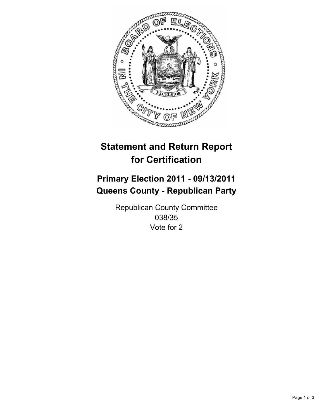

## **Primary Election 2011 - 09/13/2011 Queens County - Republican Party**

Republican County Committee 038/35 Vote for 2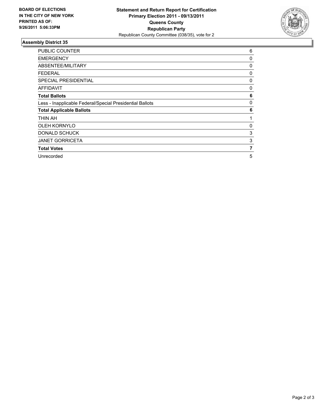

| <b>PUBLIC COUNTER</b>                                    | 6 |
|----------------------------------------------------------|---|
| <b>EMERGENCY</b>                                         | 0 |
| ABSENTEE/MILITARY                                        | 0 |
| FEDERAL                                                  | 0 |
| <b>SPECIAL PRESIDENTIAL</b>                              | 0 |
| <b>AFFIDAVIT</b>                                         | 0 |
| <b>Total Ballots</b>                                     | 6 |
| Less - Inapplicable Federal/Special Presidential Ballots | 0 |
| <b>Total Applicable Ballots</b>                          | 6 |
| THIN AH                                                  | 1 |
| <b>OLEH KORNYLO</b>                                      | 0 |
| <b>DONALD SCHUCK</b>                                     | 3 |
| <b>JANET GORRICETA</b>                                   | 3 |
| <b>Total Votes</b>                                       | 7 |
| Unrecorded                                               | 5 |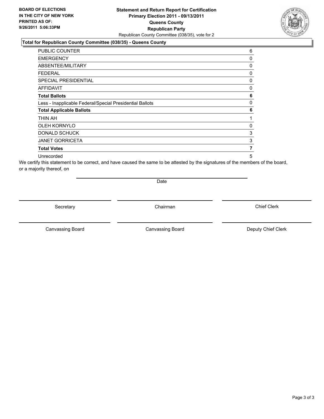### **Statement and Return Report for Certification Primary Election 2011 - 09/13/2011 Queens County Republican Party** Republican County Committee (038/35), vote for 2

#### **Total for Republican County Committee (038/35) - Queens County**

| PUBLIC COUNTER                                           | 6 |
|----------------------------------------------------------|---|
| <b>EMERGENCY</b>                                         | 0 |
| ABSENTEE/MILITARY                                        | 0 |
| FEDERAL                                                  | 0 |
| <b>SPECIAL PRESIDENTIAL</b>                              | 0 |
| <b>AFFIDAVIT</b>                                         | 0 |
| <b>Total Ballots</b>                                     | 6 |
| Less - Inapplicable Federal/Special Presidential Ballots | 0 |
| <b>Total Applicable Ballots</b>                          | 6 |
| THIN AH                                                  | 1 |
| <b>OLEH KORNYLO</b>                                      | 0 |
| <b>DONALD SCHUCK</b>                                     | 3 |
| <b>JANET GORRICETA</b>                                   | 3 |
| <b>Total Votes</b>                                       | 7 |
| Unrecorded                                               | 5 |

We certify this statement to be correct, and have caused the same to be attested by the signatures of the members of the board, or a majority thereof, on

Date

Secretary **Chairman** 

Canvassing Board **Canvassing Board** Canvassing Board **Deputy Chief Clerk** 

Canvassing Board

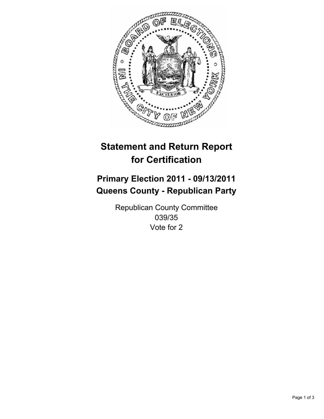

## **Primary Election 2011 - 09/13/2011 Queens County - Republican Party**

Republican County Committee 039/35 Vote for 2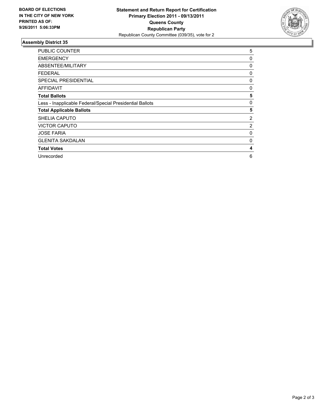

| <b>PUBLIC COUNTER</b>                                    | 5 |
|----------------------------------------------------------|---|
| <b>EMERGENCY</b>                                         | 0 |
| ABSENTEE/MILITARY                                        | 0 |
| <b>FEDERAL</b>                                           | 0 |
| <b>SPECIAL PRESIDENTIAL</b>                              | 0 |
| AFFIDAVIT                                                | 0 |
| <b>Total Ballots</b>                                     | 5 |
| Less - Inapplicable Federal/Special Presidential Ballots | 0 |
| <b>Total Applicable Ballots</b>                          | 5 |
| <b>SHELIA CAPUTO</b>                                     | 2 |
| <b>VICTOR CAPUTO</b>                                     | 2 |
| <b>JOSE FARIA</b>                                        | 0 |
| <b>GLENITA SAKDALAN</b>                                  | 0 |
| <b>Total Votes</b>                                       | 4 |
| Unrecorded                                               | 6 |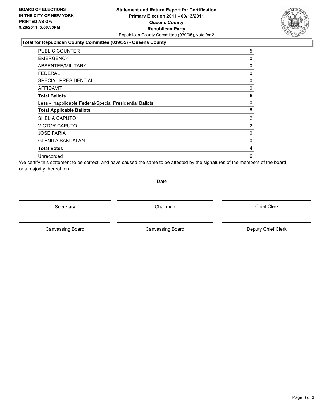### **Statement and Return Report for Certification Primary Election 2011 - 09/13/2011 Queens County Republican Party** Republican County Committee (039/35), vote for 2

### **Total for Republican County Committee (039/35) - Queens County**

| <b>PUBLIC COUNTER</b>                                    | 5 |
|----------------------------------------------------------|---|
| <b>EMERGENCY</b>                                         | 0 |
| ABSENTEE/MILITARY                                        | 0 |
| FEDERAL                                                  | 0 |
| <b>SPECIAL PRESIDENTIAL</b>                              | 0 |
| <b>AFFIDAVIT</b>                                         | 0 |
| <b>Total Ballots</b>                                     | 5 |
| Less - Inapplicable Federal/Special Presidential Ballots | 0 |
| <b>Total Applicable Ballots</b>                          | 5 |
| SHELIA CAPUTO                                            | 2 |
| <b>VICTOR CAPUTO</b>                                     | 2 |
| <b>JOSE FARIA</b>                                        | 0 |
| <b>GLENITA SAKDALAN</b>                                  | 0 |
| <b>Total Votes</b>                                       | 4 |
| Unrecorded                                               | 6 |

We certify this statement to be correct, and have caused the same to be attested by the signatures of the members of the board, or a majority thereof, on

Date

Secretary **Chairman** 

Canvassing Board **Canvassing Board** Canvassing Board **Deputy Chief Clerk** 

Canvassing Board

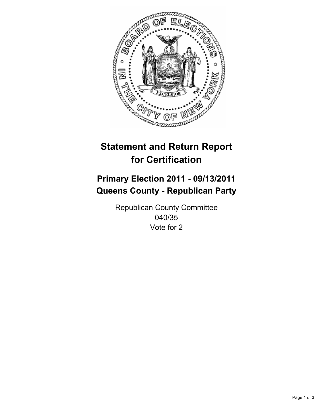

## **Primary Election 2011 - 09/13/2011 Queens County - Republican Party**

Republican County Committee 040/35 Vote for 2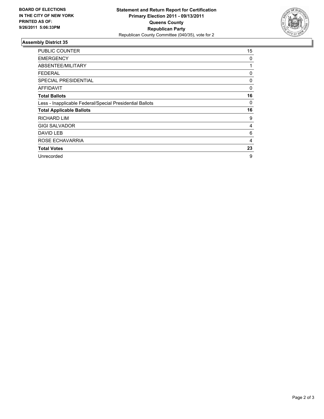

| <b>PUBLIC COUNTER</b>                                    | 15 |
|----------------------------------------------------------|----|
| <b>EMERGENCY</b>                                         | 0  |
| ABSENTEE/MILITARY                                        | 1  |
| FEDERAL                                                  | 0  |
| <b>SPECIAL PRESIDENTIAL</b>                              | 0  |
| AFFIDAVIT                                                | 0  |
| <b>Total Ballots</b>                                     | 16 |
| Less - Inapplicable Federal/Special Presidential Ballots | 0  |
| <b>Total Applicable Ballots</b>                          | 16 |
| <b>RICHARD LIM</b>                                       | 9  |
| <b>GIGI SALVADOR</b>                                     | 4  |
| DAVID LEB                                                | 6  |
| ROSE ECHAVARRIA                                          | 4  |
| <b>Total Votes</b>                                       | 23 |
| Unrecorded                                               | 9  |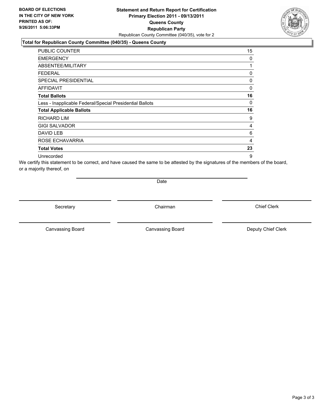### **Statement and Return Report for Certification Primary Election 2011 - 09/13/2011 Queens County Republican Party** Republican County Committee (040/35), vote for 2

#### **Total for Republican County Committee (040/35) - Queens County**

| PUBLIC COUNTER                                           | 15 |
|----------------------------------------------------------|----|
| <b>EMERGENCY</b>                                         | 0  |
| ABSENTEE/MILITARY                                        | 1  |
| <b>FEDERAL</b>                                           | 0  |
| <b>SPECIAL PRESIDENTIAL</b>                              | 0  |
| AFFIDAVIT                                                | 0  |
| <b>Total Ballots</b>                                     | 16 |
| Less - Inapplicable Federal/Special Presidential Ballots | 0  |
| <b>Total Applicable Ballots</b>                          | 16 |
| RICHARD LIM                                              | 9  |
| <b>GIGI SALVADOR</b>                                     | 4  |
| DAVID LEB                                                | 6  |
| ROSE ECHAVARRIA                                          | 4  |
| <b>Total Votes</b>                                       | 23 |
| Unrecorded                                               | 9  |

We certify this statement to be correct, and have caused the same to be attested by the signatures of the members of the board, or a majority thereof, on

Date

Secretary **Chairman** 

Canvassing Board **Canvassing Board** Canvassing Board **Deputy Chief Clerk** 

Canvassing Board

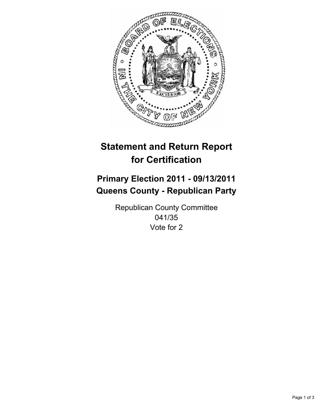

## **Primary Election 2011 - 09/13/2011 Queens County - Republican Party**

Republican County Committee 041/35 Vote for 2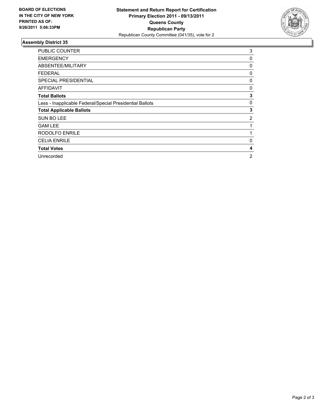

| <b>PUBLIC COUNTER</b>                                    | 3 |
|----------------------------------------------------------|---|
| <b>EMERGENCY</b>                                         | 0 |
| ABSENTEE/MILITARY                                        | 0 |
| FEDERAL                                                  | 0 |
| SPECIAL PRESIDENTIAL                                     | 0 |
| <b>AFFIDAVIT</b>                                         | 0 |
| <b>Total Ballots</b>                                     | 3 |
| Less - Inapplicable Federal/Special Presidential Ballots | 0 |
| <b>Total Applicable Ballots</b>                          | 3 |
| <b>SUN BO LEE</b>                                        | 2 |
| <b>GAM LEE</b>                                           | 1 |
| <b>RODOLFO ENRILE</b>                                    | 1 |
| <b>CELIA ENRILE</b>                                      | 0 |
| <b>Total Votes</b>                                       | 4 |
| Unrecorded                                               | 2 |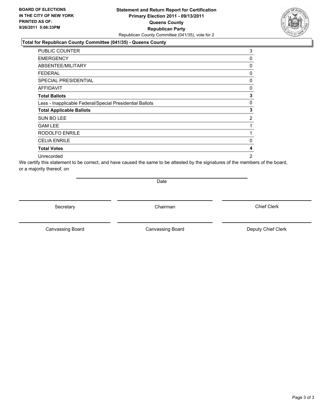### **Statement and Return Report for Certification Primary Election 2011 - 09/13/2011 Queens County Republican Party** Republican County Committee (041/35), vote for 2

### **Total for Republican County Committee (041/35) - Queens County**

| <b>PUBLIC COUNTER</b>                                    | 3              |
|----------------------------------------------------------|----------------|
| <b>EMERGENCY</b>                                         | 0              |
| ABSENTEE/MILITARY                                        | 0              |
| FEDERAL                                                  | 0              |
| <b>SPECIAL PRESIDENTIAL</b>                              | 0              |
| <b>AFFIDAVIT</b>                                         | 0              |
| <b>Total Ballots</b>                                     | 3              |
| Less - Inapplicable Federal/Special Presidential Ballots | 0              |
| <b>Total Applicable Ballots</b>                          | 3              |
| SUN BO LEE                                               | 2              |
| <b>GAM LEE</b>                                           | 1              |
| <b>RODOLFO ENRILE</b>                                    | 1              |
| <b>CELIA ENRILE</b>                                      | 0              |
| <b>Total Votes</b>                                       | 4              |
| Unrecorded                                               | $\overline{2}$ |

We certify this statement to be correct, and have caused the same to be attested by the signatures of the members of the board, or a majority thereof, on

Date

Secretary **Chairman** 

Canvassing Board **Canvassing Board** Canvassing Board **Deputy Chief Clerk** 

Canvassing Board

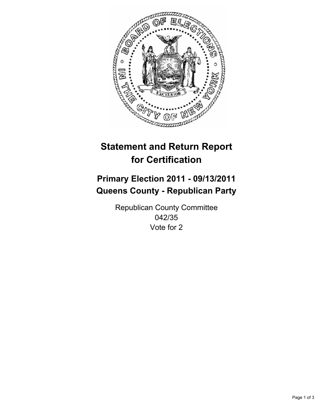

## **Primary Election 2011 - 09/13/2011 Queens County - Republican Party**

Republican County Committee 042/35 Vote for 2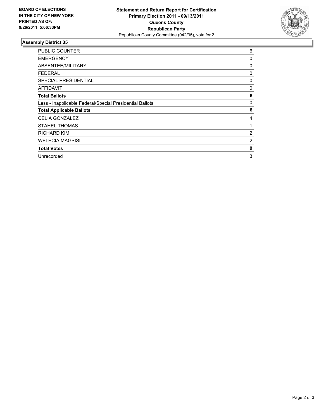

| <b>PUBLIC COUNTER</b>                                    | 6 |
|----------------------------------------------------------|---|
| <b>EMERGENCY</b>                                         | 0 |
| ABSENTEE/MILITARY                                        | 0 |
| FEDERAL                                                  | 0 |
| SPECIAL PRESIDENTIAL                                     | 0 |
| <b>AFFIDAVIT</b>                                         | 0 |
| <b>Total Ballots</b>                                     | 6 |
| Less - Inapplicable Federal/Special Presidential Ballots | 0 |
| <b>Total Applicable Ballots</b>                          | 6 |
| <b>CELIA GONZALEZ</b>                                    | 4 |
| <b>STAHEL THOMAS</b>                                     | 1 |
| <b>RICHARD KIM</b>                                       | 2 |
| <b>WELECIA MAGSISI</b>                                   | 2 |
| <b>Total Votes</b>                                       | 9 |
| Unrecorded                                               | 3 |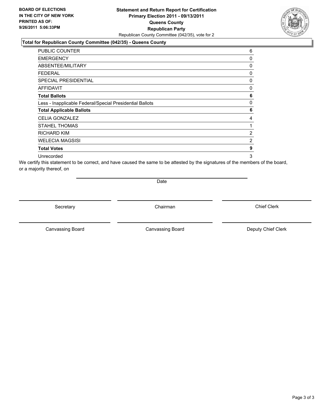### **Statement and Return Report for Certification Primary Election 2011 - 09/13/2011 Queens County Republican Party** Republican County Committee (042/35), vote for 2

#### **Total for Republican County Committee (042/35) - Queens County**

| <b>PUBLIC COUNTER</b>                                    | 6 |
|----------------------------------------------------------|---|
| <b>EMERGENCY</b>                                         | 0 |
| ABSENTEE/MILITARY                                        | 0 |
| <b>FEDERAL</b>                                           | 0 |
| SPECIAL PRESIDENTIAL                                     | 0 |
| AFFIDAVIT                                                | 0 |
| <b>Total Ballots</b>                                     | 6 |
| Less - Inapplicable Federal/Special Presidential Ballots | 0 |
| <b>Total Applicable Ballots</b>                          | 6 |
| <b>CELIA GONZALEZ</b>                                    | 4 |
| <b>STAHEL THOMAS</b>                                     | 1 |
| <b>RICHARD KIM</b>                                       | 2 |
| WELECIA MAGSISI                                          | 2 |
| <b>Total Votes</b>                                       | 9 |
| Unrecorded                                               | 3 |

We certify this statement to be correct, and have caused the same to be attested by the signatures of the members of the board, or a majority thereof, on

Date

Secretary **Chairman** 

Canvassing Board **Canvassing Board** Canvassing Board **Deputy Chief Clerk** 

Canvassing Board

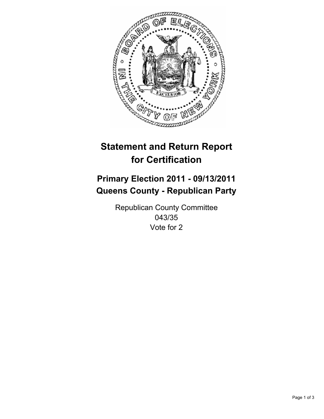

## **Primary Election 2011 - 09/13/2011 Queens County - Republican Party**

Republican County Committee 043/35 Vote for 2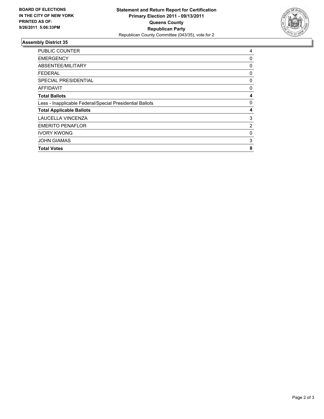

| <b>PUBLIC COUNTER</b>                                    | 4              |
|----------------------------------------------------------|----------------|
| <b>EMERGENCY</b>                                         | 0              |
| ABSENTEE/MILITARY                                        | 0              |
| FEDERAL                                                  | 0              |
| <b>SPECIAL PRESIDENTIAL</b>                              | 0              |
| AFFIDAVIT                                                | 0              |
| <b>Total Ballots</b>                                     | 4              |
| Less - Inapplicable Federal/Special Presidential Ballots | 0              |
| <b>Total Applicable Ballots</b>                          | 4              |
| LAUCELLA VINCENZA                                        | 3              |
| <b>EMERITO PENAFLOR</b>                                  | $\overline{2}$ |
| <b>IVORY KWONG</b>                                       | 0              |
| <b>JOHN GIAMAS</b>                                       | 3              |
| <b>Total Votes</b>                                       | 8              |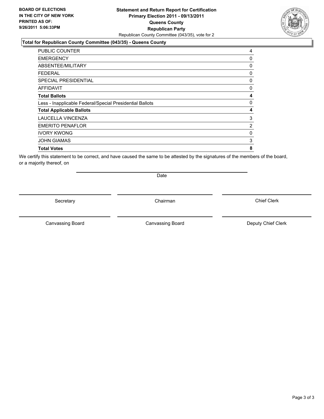### **Statement and Return Report for Certification Primary Election 2011 - 09/13/2011 Queens County Republican Party** Republican County Committee (043/35), vote for 2

#### **Total for Republican County Committee (043/35) - Queens County**

| PUBLIC COUNTER                                           | 4              |
|----------------------------------------------------------|----------------|
| <b>EMERGENCY</b>                                         | 0              |
| ABSENTEE/MILITARY                                        | 0              |
| FEDERAL                                                  | 0              |
| <b>SPECIAL PRESIDENTIAL</b>                              | 0              |
| <b>AFFIDAVIT</b>                                         | 0              |
| <b>Total Ballots</b>                                     | 4              |
| Less - Inapplicable Federal/Special Presidential Ballots | 0              |
| <b>Total Applicable Ballots</b>                          | 4              |
| LAUCELLA VINCENZA                                        | 3              |
| <b>EMERITO PENAFLOR</b>                                  | $\overline{2}$ |
| <b>IVORY KWONG</b>                                       | 0              |
| <b>JOHN GIAMAS</b>                                       | 3              |
| <b>Total Votes</b>                                       | 8              |

We certify this statement to be correct, and have caused the same to be attested by the signatures of the members of the board, or a majority thereof, on

Secretary **Chairman** 

Date

Canvassing Board **Canvassing Board** Canvassing Board **Deputy Chief Clerk** 

Canvassing Board

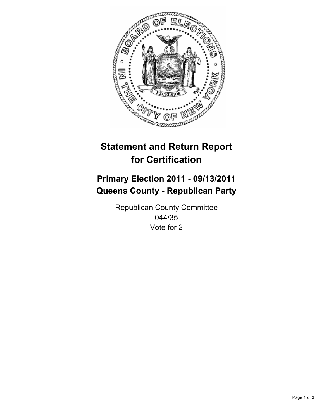

## **Primary Election 2011 - 09/13/2011 Queens County - Republican Party**

Republican County Committee 044/35 Vote for 2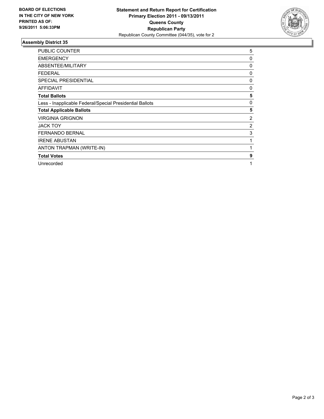

| <b>PUBLIC COUNTER</b>                                    | 5              |
|----------------------------------------------------------|----------------|
| <b>EMERGENCY</b>                                         | 0              |
| ABSENTEE/MILITARY                                        | 0              |
| <b>FEDERAL</b>                                           | 0              |
| <b>SPECIAL PRESIDENTIAL</b>                              | 0              |
| <b>AFFIDAVIT</b>                                         | 0              |
| <b>Total Ballots</b>                                     | 5              |
| Less - Inapplicable Federal/Special Presidential Ballots | 0              |
| <b>Total Applicable Ballots</b>                          | 5              |
| <b>VIRGINIA GRIGNON</b>                                  | $\overline{2}$ |
| <b>JACK TOY</b>                                          | $\overline{2}$ |
| <b>FERNANDO BERNAL</b>                                   | 3              |
| <b>IRENE ABUSTAN</b>                                     | 1              |
| ANTON TRAPMAN (WRITE-IN)                                 | 1              |
| <b>Total Votes</b>                                       | 9              |
| Unrecorded                                               | 1              |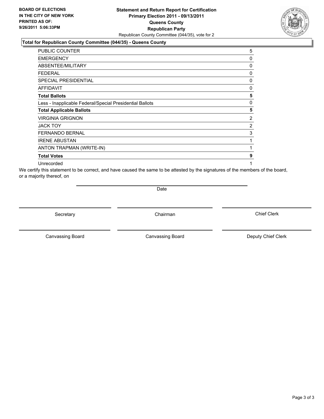### **Statement and Return Report for Certification Primary Election 2011 - 09/13/2011 Queens County Republican Party** Republican County Committee (044/35), vote for 2

#### **Total for Republican County Committee (044/35) - Queens County**

| <b>PUBLIC COUNTER</b>                                    | 5              |
|----------------------------------------------------------|----------------|
| <b>EMERGENCY</b>                                         | 0              |
| ABSENTEE/MILITARY                                        | 0              |
| <b>FEDERAL</b>                                           | 0              |
| <b>SPECIAL PRESIDENTIAL</b>                              | 0              |
| AFFIDAVIT                                                | 0              |
| <b>Total Ballots</b>                                     | 5              |
| Less - Inapplicable Federal/Special Presidential Ballots | 0              |
| <b>Total Applicable Ballots</b>                          | 5              |
| <b>VIRGINIA GRIGNON</b>                                  | $\overline{2}$ |
| <b>JACK TOY</b>                                          | 2              |
| <b>FERNANDO BERNAL</b>                                   | 3              |
| <b>IRENE ABUSTAN</b>                                     | 1              |
| ANTON TRAPMAN (WRITE-IN)                                 | 1              |
| <b>Total Votes</b>                                       | 9              |
| Unrecorded                                               | 1              |

We certify this statement to be correct, and have caused the same to be attested by the signatures of the members of the board, or a majority thereof, on

**Date** 

Secretary **Chairman** 

Canvassing Board **Canvassing Board** Canvassing Board **Deputy Chief Clerk** 

Canvassing Board

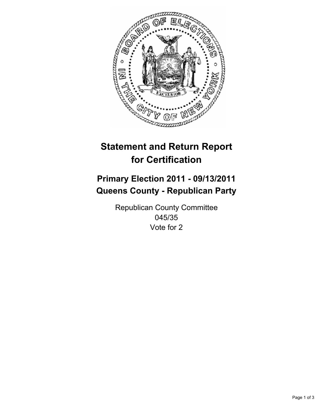

## **Primary Election 2011 - 09/13/2011 Queens County - Republican Party**

Republican County Committee 045/35 Vote for 2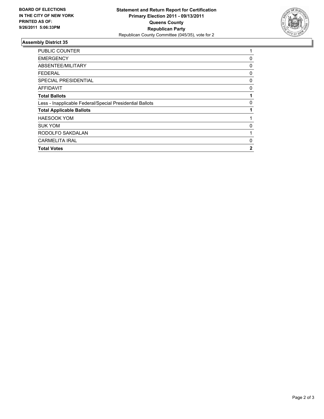

| 1 |
|---|
| 0 |
| 0 |
| 0 |
| 0 |
| 0 |
|   |
| 0 |
|   |
|   |
| 0 |
|   |
| 0 |
| 2 |
|   |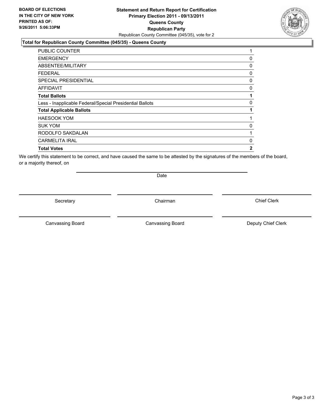### **Statement and Return Report for Certification Primary Election 2011 - 09/13/2011 Queens County Republican Party** Republican County Committee (045/35), vote for 2

### **Total for Republican County Committee (045/35) - Queens County**

| <b>PUBLIC COUNTER</b>                                    |   |
|----------------------------------------------------------|---|
| <b>EMERGENCY</b>                                         | 0 |
| ABSENTEE/MILITARY                                        | 0 |
| <b>FEDERAL</b>                                           | 0 |
| <b>SPECIAL PRESIDENTIAL</b>                              | 0 |
| AFFIDAVIT                                                | 0 |
| <b>Total Ballots</b>                                     | 1 |
| Less - Inapplicable Federal/Special Presidential Ballots | 0 |
| <b>Total Applicable Ballots</b>                          | 1 |
| <b>HAESOOK YOM</b>                                       |   |
| <b>SUK YOM</b>                                           | 0 |
| RODOLFO SAKDALAN                                         |   |
| <b>CARMELITA IRAL</b>                                    | 0 |
| <b>Total Votes</b>                                       | 2 |

We certify this statement to be correct, and have caused the same to be attested by the signatures of the members of the board, or a majority thereof, on

Secretary **Chairman** 

Date

Canvassing Board **Canvassing Board** Canvassing Board **Deputy Chief Clerk** 

Canvassing Board

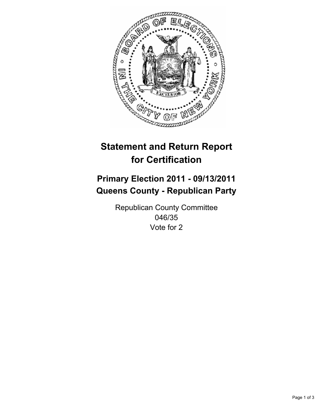

## **Primary Election 2011 - 09/13/2011 Queens County - Republican Party**

Republican County Committee 046/35 Vote for 2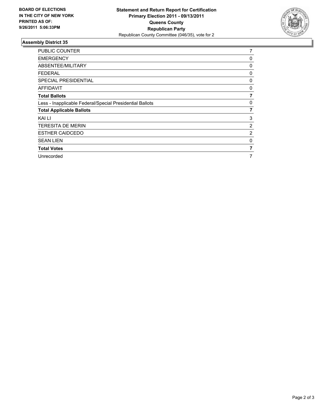

| <b>PUBLIC COUNTER</b>                                    | 7              |
|----------------------------------------------------------|----------------|
| <b>EMERGENCY</b>                                         | 0              |
| ABSENTEE/MILITARY                                        | 0              |
| <b>FEDERAL</b>                                           | 0              |
| <b>SPECIAL PRESIDENTIAL</b>                              | 0              |
| AFFIDAVIT                                                | 0              |
| <b>Total Ballots</b>                                     | 7              |
| Less - Inapplicable Federal/Special Presidential Ballots | 0              |
| <b>Total Applicable Ballots</b>                          | 7              |
| KAI LI                                                   | 3              |
| <b>TERESITA DE MERIN</b>                                 | 2              |
| <b>ESTHER CAIDCEDO</b>                                   | $\overline{2}$ |
| <b>SEAN LIEN</b>                                         | 0              |
| <b>Total Votes</b>                                       | 7              |
| Unrecorded                                               | 7              |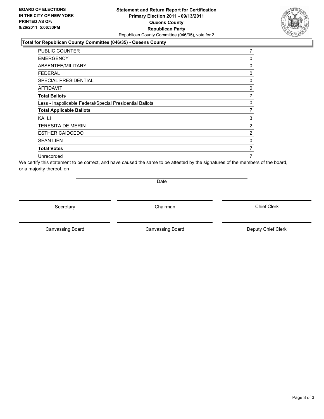### **Statement and Return Report for Certification Primary Election 2011 - 09/13/2011 Queens County Republican Party** Republican County Committee (046/35), vote for 2

### **Total for Republican County Committee (046/35) - Queens County**

| PUBLIC COUNTER                                           | 7              |
|----------------------------------------------------------|----------------|
| <b>EMERGENCY</b>                                         | 0              |
| ABSENTEE/MILITARY                                        | 0              |
| FEDERAL                                                  | 0              |
| <b>SPECIAL PRESIDENTIAL</b>                              | 0              |
| <b>AFFIDAVIT</b>                                         | 0              |
| <b>Total Ballots</b>                                     | 7              |
| Less - Inapplicable Federal/Special Presidential Ballots | 0              |
| <b>Total Applicable Ballots</b>                          | $\overline{7}$ |
| KAI LI                                                   | 3              |
| <b>TERESITA DE MERIN</b>                                 | 2              |
| <b>ESTHER CAIDCEDO</b>                                   | 2              |
| <b>SEAN LIEN</b>                                         | 0              |
| <b>Total Votes</b>                                       | 7              |
| Unrecorded                                               | 7              |

We certify this statement to be correct, and have caused the same to be attested by the signatures of the members of the board, or a majority thereof, on

Date

Secretary **Chairman** 

Canvassing Board

Canvassing Board **Canvassing Board** Canvassing Board **Deputy Chief Clerk** 

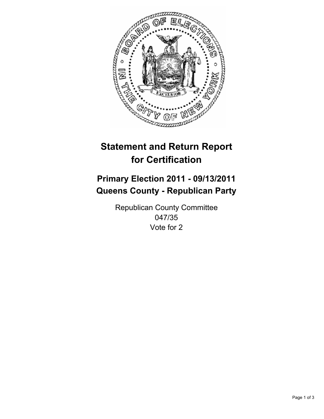

## **Primary Election 2011 - 09/13/2011 Queens County - Republican Party**

Republican County Committee 047/35 Vote for 2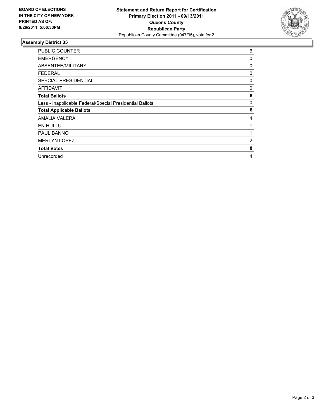

| <b>PUBLIC COUNTER</b>                                    | 6 |
|----------------------------------------------------------|---|
| <b>EMERGENCY</b>                                         | 0 |
| ABSENTEE/MILITARY                                        | 0 |
| <b>FEDERAL</b>                                           | 0 |
| <b>SPECIAL PRESIDENTIAL</b>                              | 0 |
| <b>AFFIDAVIT</b>                                         | 0 |
| <b>Total Ballots</b>                                     | 6 |
| Less - Inapplicable Federal/Special Presidential Ballots | 0 |
| <b>Total Applicable Ballots</b>                          | 6 |
| AMALIA VALERA                                            | 4 |
| EN HUI LU                                                | 1 |
| <b>PAUL BANNO</b>                                        |   |
| <b>MERLYN LOPEZ</b>                                      | 2 |
| <b>Total Votes</b>                                       | 8 |
| Unrecorded                                               | 4 |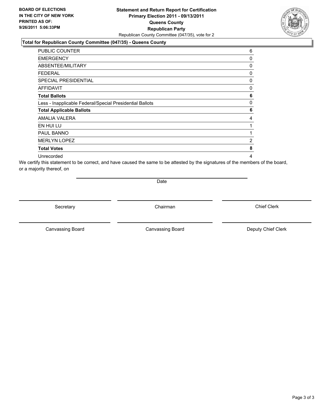### **Statement and Return Report for Certification Primary Election 2011 - 09/13/2011 Queens County Republican Party** Republican County Committee (047/35), vote for 2

### **Total for Republican County Committee (047/35) - Queens County**

| <b>PUBLIC COUNTER</b>                                    | 6 |
|----------------------------------------------------------|---|
| <b>EMERGENCY</b>                                         | 0 |
| ABSENTEE/MILITARY                                        | 0 |
| <b>FEDERAL</b>                                           | 0 |
| SPECIAL PRESIDENTIAL                                     | 0 |
| AFFIDAVIT                                                | 0 |
| <b>Total Ballots</b>                                     | 6 |
| Less - Inapplicable Federal/Special Presidential Ballots | 0 |
| <b>Total Applicable Ballots</b>                          | 6 |
| AMALIA VALERA                                            | 4 |
| EN HUI LU                                                | 1 |
| PAUL BANNO                                               | 1 |
| <b>MERLYN LOPEZ</b>                                      | 2 |
| <b>Total Votes</b>                                       | 8 |
| Unrecorded                                               | 4 |

We certify this statement to be correct, and have caused the same to be attested by the signatures of the members of the board, or a majority thereof, on

Date

Secretary **Chairman** 

Canvassing Board **Canvassing Board** Canvassing Board **Deputy Chief Clerk** 

Canvassing Board

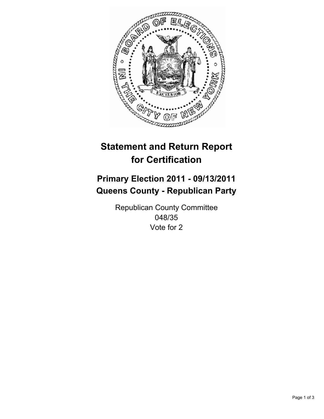

## **Primary Election 2011 - 09/13/2011 Queens County - Republican Party**

Republican County Committee 048/35 Vote for 2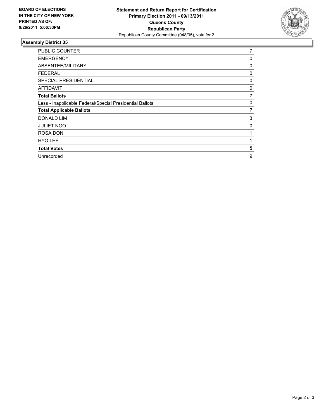

| PUBLIC COUNTER                                           | 7 |
|----------------------------------------------------------|---|
| <b>EMERGENCY</b>                                         | 0 |
| ABSENTEE/MILITARY                                        | 0 |
| <b>FEDERAL</b>                                           | 0 |
| <b>SPECIAL PRESIDENTIAL</b>                              | 0 |
| <b>AFFIDAVIT</b>                                         | 0 |
| <b>Total Ballots</b>                                     | 7 |
| Less - Inapplicable Federal/Special Presidential Ballots | 0 |
| <b>Total Applicable Ballots</b>                          | 7 |
| <b>DONALD LIM</b>                                        | 3 |
| <b>JULIET NGO</b>                                        | 0 |
| <b>ROSA DON</b>                                          |   |
| <b>HYO LEE</b>                                           |   |
| <b>Total Votes</b>                                       | 5 |
| Unrecorded                                               | 9 |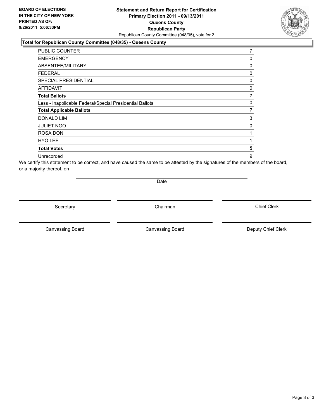### **Statement and Return Report for Certification Primary Election 2011 - 09/13/2011 Queens County Republican Party** Republican County Committee (048/35), vote for 2

### **Total for Republican County Committee (048/35) - Queens County**

| <b>PUBLIC COUNTER</b>                                    | 7 |
|----------------------------------------------------------|---|
| <b>EMERGENCY</b>                                         | 0 |
| ABSENTEE/MILITARY                                        | 0 |
| <b>FEDERAL</b>                                           | 0 |
| <b>SPECIAL PRESIDENTIAL</b>                              | 0 |
| <b>AFFIDAVIT</b>                                         | 0 |
| <b>Total Ballots</b>                                     | 7 |
| Less - Inapplicable Federal/Special Presidential Ballots | 0 |
| <b>Total Applicable Ballots</b>                          | 7 |
| <b>DONALD LIM</b>                                        | 3 |
| <b>JULIET NGO</b>                                        | 0 |
| ROSA DON                                                 | 1 |
| <b>HYO LEE</b>                                           | 1 |
| <b>Total Votes</b>                                       | 5 |
| Unrecorded                                               | 9 |

We certify this statement to be correct, and have caused the same to be attested by the signatures of the members of the board, or a majority thereof, on

Date

Secretary **Chairman** 

Canvassing Board **Canvassing Board** Canvassing Board **Deputy Chief Clerk** 

Canvassing Board

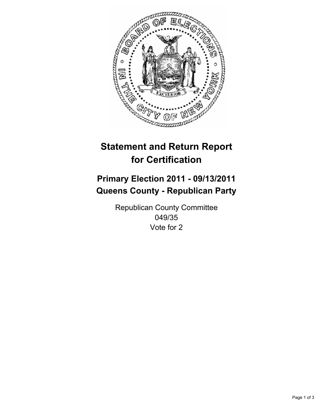

## **Primary Election 2011 - 09/13/2011 Queens County - Republican Party**

Republican County Committee 049/35 Vote for 2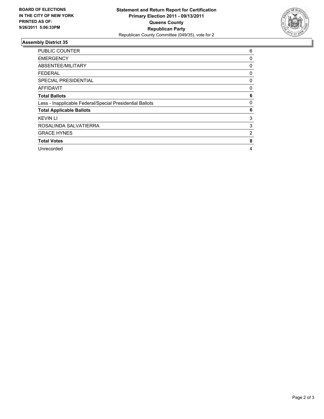

| <b>PUBLIC COUNTER</b>                                    | 6 |
|----------------------------------------------------------|---|
| <b>EMERGENCY</b>                                         | 0 |
| ABSENTEE/MILITARY                                        | 0 |
| <b>FEDERAL</b>                                           | 0 |
| <b>SPECIAL PRESIDENTIAL</b>                              | 0 |
| <b>AFFIDAVIT</b>                                         | 0 |
| <b>Total Ballots</b>                                     | 6 |
| Less - Inapplicable Federal/Special Presidential Ballots | 0 |
| <b>Total Applicable Ballots</b>                          | 6 |
| <b>KEVIN LI</b>                                          | 3 |
| ROSALINDA SALVATIERRA                                    | 3 |
| <b>GRACE HYNES</b>                                       | 2 |
| <b>Total Votes</b>                                       | 8 |
| Unrecorded                                               | 4 |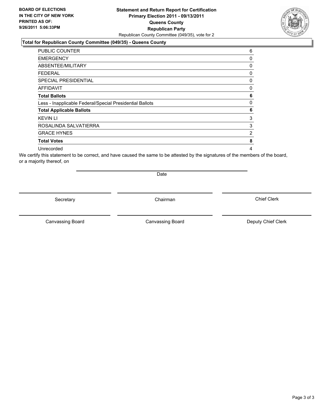### **Statement and Return Report for Certification Primary Election 2011 - 09/13/2011 Queens County Republican Party** Republican County Committee (049/35), vote for 2

#### **Total for Republican County Committee (049/35) - Queens County**

| <b>PUBLIC COUNTER</b>                                    | 6              |
|----------------------------------------------------------|----------------|
| <b>EMERGENCY</b>                                         | 0              |
| ABSENTEE/MILITARY                                        | 0              |
| FEDERAL                                                  | 0              |
| SPECIAL PRESIDENTIAL                                     | 0              |
| <b>AFFIDAVIT</b>                                         | 0              |
| <b>Total Ballots</b>                                     | 6              |
| Less - Inapplicable Federal/Special Presidential Ballots | 0              |
| <b>Total Applicable Ballots</b>                          | 6              |
| <b>KEVIN LI</b>                                          | 3              |
| ROSALINDA SALVATIERRA                                    | 3              |
| <b>GRACE HYNES</b>                                       | $\overline{2}$ |
| <b>Total Votes</b>                                       | 8              |
| Unrecorded                                               | 4              |

We certify this statement to be correct, and have caused the same to be attested by the signatures of the members of the board, or a majority thereof, on

Secretary **Chairman** 

Date

Canvassing Board **Canvassing Board** Canvassing Board **Deputy Chief Clerk** 

Canvassing Board

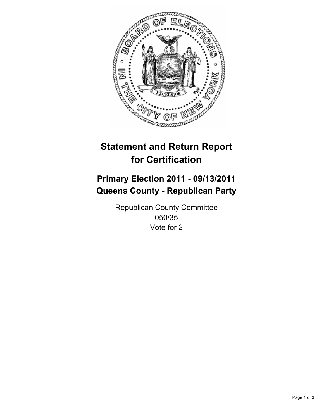

## **Primary Election 2011 - 09/13/2011 Queens County - Republican Party**

Republican County Committee 050/35 Vote for 2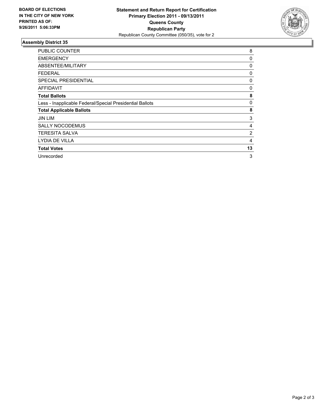

| <b>PUBLIC COUNTER</b>                                    | 8  |
|----------------------------------------------------------|----|
| <b>EMERGENCY</b>                                         | 0  |
| ABSENTEE/MILITARY                                        | 0  |
| FEDERAL                                                  | 0  |
| SPECIAL PRESIDENTIAL                                     | 0  |
| <b>AFFIDAVIT</b>                                         | 0  |
| <b>Total Ballots</b>                                     | 8  |
| Less - Inapplicable Federal/Special Presidential Ballots | 0  |
| <b>Total Applicable Ballots</b>                          | 8  |
| <b>JIN LIM</b>                                           | 3  |
| <b>SALLY NOCODEMUS</b>                                   | 4  |
| <b>TERESITA SALVA</b>                                    | 2  |
| <b>LYDIA DE VILLA</b>                                    | 4  |
| <b>Total Votes</b>                                       | 13 |
| Unrecorded                                               | 3  |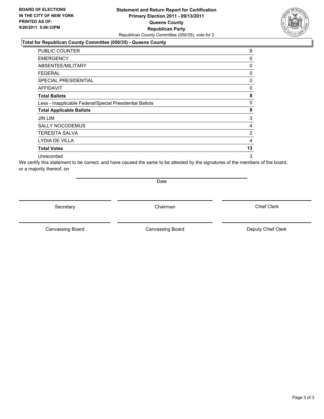### **Statement and Return Report for Certification Primary Election 2011 - 09/13/2011 Queens County Republican Party** Republican County Committee (050/35), vote for 2

### **Total for Republican County Committee (050/35) - Queens County**

| <b>PUBLIC COUNTER</b>                                    | 8              |
|----------------------------------------------------------|----------------|
| <b>EMERGENCY</b>                                         | 0              |
| ABSENTEE/MILITARY                                        | 0              |
| <b>FEDERAL</b>                                           | 0              |
| <b>SPECIAL PRESIDENTIAL</b>                              | 0              |
| AFFIDAVIT                                                | 0              |
| <b>Total Ballots</b>                                     | 8              |
| Less - Inapplicable Federal/Special Presidential Ballots | 0              |
| <b>Total Applicable Ballots</b>                          | 8              |
| JIN LIM                                                  | 3              |
| <b>SALLY NOCODEMUS</b>                                   | 4              |
| <b>TERESITA SALVA</b>                                    | $\overline{2}$ |
| LYDIA DE VILLA                                           | 4              |
| <b>Total Votes</b>                                       | 13             |
| Unrecorded                                               | 3              |

We certify this statement to be correct, and have caused the same to be attested by the signatures of the members of the board, or a majority thereof, on

Date

Secretary **Chairman** 

Canvassing Board **Canvassing Board** Canvassing Board **Deputy Chief Clerk** 

Canvassing Board

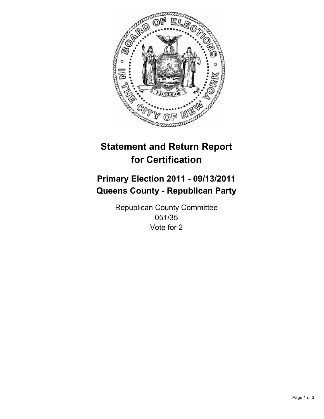

## **Primary Election 2011 - 09/13/2011 Queens County - Republican Party**

Republican County Committee 051/35 Vote for 2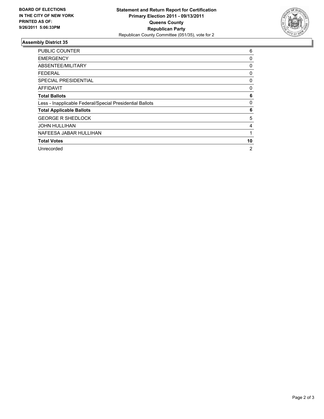

| <b>PUBLIC COUNTER</b>                                    | 6              |
|----------------------------------------------------------|----------------|
| <b>EMERGENCY</b>                                         | 0              |
| ABSENTEE/MILITARY                                        | 0              |
| FEDERAL                                                  | 0              |
| <b>SPECIAL PRESIDENTIAL</b>                              | 0              |
| <b>AFFIDAVIT</b>                                         | 0              |
| <b>Total Ballots</b>                                     | 6              |
| Less - Inapplicable Federal/Special Presidential Ballots | 0              |
| <b>Total Applicable Ballots</b>                          | 6              |
| <b>GEORGE R SHEDLOCK</b>                                 | 5              |
| <b>JOHN HULLIHAN</b>                                     | 4              |
| NAFEESA JABAR HULLIHAN                                   | 1              |
| <b>Total Votes</b>                                       | 10             |
| Unrecorded                                               | $\overline{2}$ |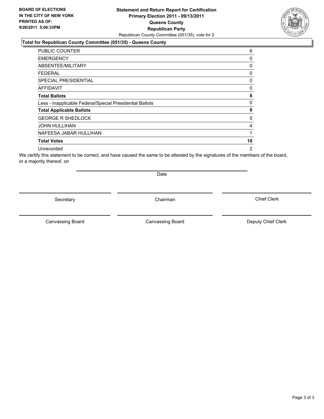### **Statement and Return Report for Certification Primary Election 2011 - 09/13/2011 Queens County Republican Party** Republican County Committee (051/35), vote for 2

### **Total for Republican County Committee (051/35) - Queens County**

| <b>PUBLIC COUNTER</b>                                    | 6        |
|----------------------------------------------------------|----------|
| <b>EMERGENCY</b>                                         | 0        |
| ABSENTEE/MILITARY                                        | 0        |
| FEDERAL                                                  | $\Omega$ |
| <b>SPECIAL PRESIDENTIAL</b>                              | 0        |
| <b>AFFIDAVIT</b>                                         | 0        |
| <b>Total Ballots</b>                                     | 6        |
| Less - Inapplicable Federal/Special Presidential Ballots | 0        |
| <b>Total Applicable Ballots</b>                          | 6        |
| <b>GEORGE R SHEDLOCK</b>                                 | 5        |
| <b>JOHN HULLIHAN</b>                                     | 4        |
| NAFEESA JABAR HULLIHAN                                   |          |
| <b>Total Votes</b>                                       | 10       |
| Unrecorded                                               | 2        |

We certify this statement to be correct, and have caused the same to be attested by the signatures of the members of the board, or a majority thereof, on

Secretary **Chairman** 

Date

Canvassing Board

Canvassing Board **Canvassing Board** Canvassing Board **Deputy Chief Clerk**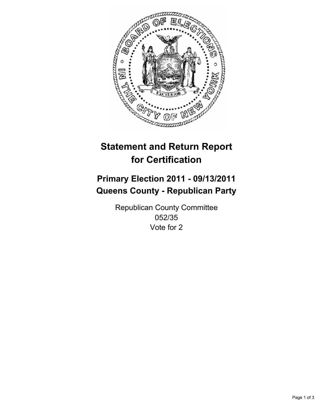

## **Primary Election 2011 - 09/13/2011 Queens County - Republican Party**

Republican County Committee 052/35 Vote for 2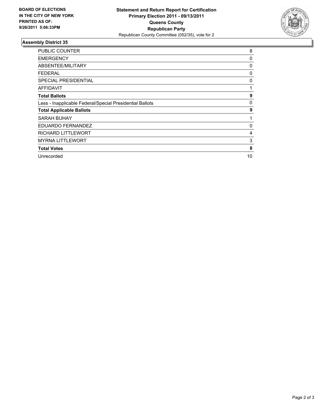

| <b>PUBLIC COUNTER</b>                                    | 8  |
|----------------------------------------------------------|----|
| <b>EMERGENCY</b>                                         | 0  |
| ABSENTEE/MILITARY                                        | 0  |
| <b>FEDERAL</b>                                           | 0  |
| <b>SPECIAL PRESIDENTIAL</b>                              | 0  |
| AFFIDAVIT                                                | 1  |
| <b>Total Ballots</b>                                     | 9  |
| Less - Inapplicable Federal/Special Presidential Ballots | 0  |
| <b>Total Applicable Ballots</b>                          | 9  |
| SARAH BUHAY                                              |    |
| EDUARDO FERNANDEZ                                        | 0  |
| <b>RICHARD LITTLEWORT</b>                                | 4  |
| <b>MYRNA LITTLEWORT</b>                                  | 3  |
| <b>Total Votes</b>                                       | 8  |
| Unrecorded                                               | 10 |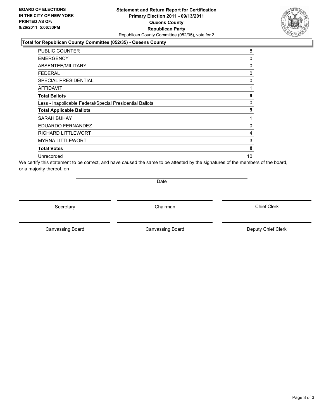### **Statement and Return Report for Certification Primary Election 2011 - 09/13/2011 Queens County Republican Party** Republican County Committee (052/35), vote for 2

### **Total for Republican County Committee (052/35) - Queens County**

| <b>PUBLIC COUNTER</b>                                    | 8  |
|----------------------------------------------------------|----|
| <b>EMERGENCY</b>                                         | 0  |
| ABSENTEE/MILITARY                                        | 0  |
| FEDERAL                                                  | 0  |
| <b>SPECIAL PRESIDENTIAL</b>                              | 0  |
| <b>AFFIDAVIT</b>                                         | 1  |
| <b>Total Ballots</b>                                     | 9  |
| Less - Inapplicable Federal/Special Presidential Ballots | 0  |
| <b>Total Applicable Ballots</b>                          | 9  |
| SARAH BUHAY                                              |    |
| EDUARDO FERNANDEZ                                        | 0  |
| RICHARD LITTLEWORT                                       | 4  |
| <b>MYRNA LITTLEWORT</b>                                  | 3  |
| <b>Total Votes</b>                                       | 8  |
| Unrecorded                                               | 10 |

We certify this statement to be correct, and have caused the same to be attested by the signatures of the members of the board, or a majority thereof, on

Date

Secretary **Chairman** 

Canvassing Board **Canvassing Board** Canvassing Board **Deputy Chief Clerk** 

Canvassing Board

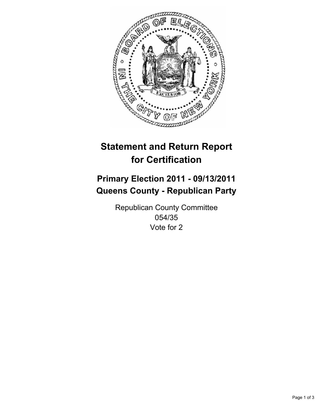

## **Primary Election 2011 - 09/13/2011 Queens County - Republican Party**

Republican County Committee 054/35 Vote for 2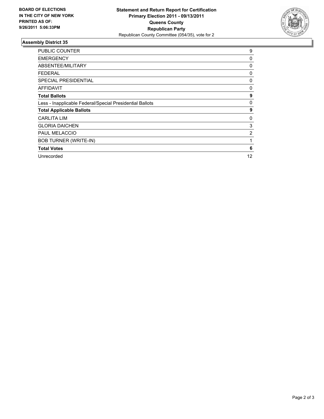

| <b>PUBLIC COUNTER</b>                                    | 9  |
|----------------------------------------------------------|----|
| <b>EMERGENCY</b>                                         | 0  |
| ABSENTEE/MILITARY                                        | 0  |
| <b>FEDERAL</b>                                           | 0  |
| <b>SPECIAL PRESIDENTIAL</b>                              | 0  |
| <b>AFFIDAVIT</b>                                         | 0  |
| <b>Total Ballots</b>                                     | 9  |
| Less - Inapplicable Federal/Special Presidential Ballots | 0  |
| <b>Total Applicable Ballots</b>                          | 9  |
| <b>CARLITA LIM</b>                                       | 0  |
| <b>GLORIA DAICHEN</b>                                    | 3  |
| <b>PAUL MELACCIO</b>                                     | 2  |
| <b>BOB TURNER (WRITE-IN)</b>                             |    |
| <b>Total Votes</b>                                       | 6  |
| Unrecorded                                               | 12 |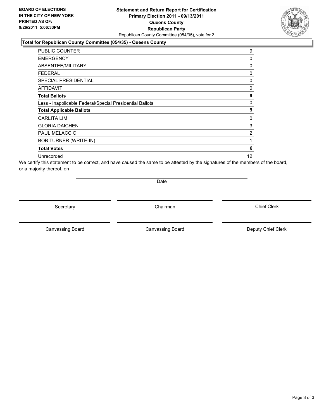### **Statement and Return Report for Certification Primary Election 2011 - 09/13/2011 Queens County Republican Party** Republican County Committee (054/35), vote for 2

### **Total for Republican County Committee (054/35) - Queens County**

| <b>PUBLIC COUNTER</b>                                    | 9  |
|----------------------------------------------------------|----|
| <b>EMERGENCY</b>                                         | 0  |
| ABSENTEE/MILITARY                                        | 0  |
| <b>FEDERAL</b>                                           | 0  |
| <b>SPECIAL PRESIDENTIAL</b>                              | 0  |
| <b>AFFIDAVIT</b>                                         | 0  |
| <b>Total Ballots</b>                                     | 9  |
| Less - Inapplicable Federal/Special Presidential Ballots | 0  |
| <b>Total Applicable Ballots</b>                          | 9  |
| <b>CARLITA LIM</b>                                       | 0  |
| <b>GLORIA DAICHEN</b>                                    | 3  |
| <b>PAUL MELACCIO</b>                                     | 2  |
| <b>BOB TURNER (WRITE-IN)</b>                             |    |
| <b>Total Votes</b>                                       | 6  |
| Unrecorded                                               | 12 |

We certify this statement to be correct, and have caused the same to be attested by the signatures of the members of the board, or a majority thereof, on

Date

Secretary **Chairman** 

Canvassing Board **Canvassing Board** Canvassing Board **Deputy Chief Clerk** 

Canvassing Board

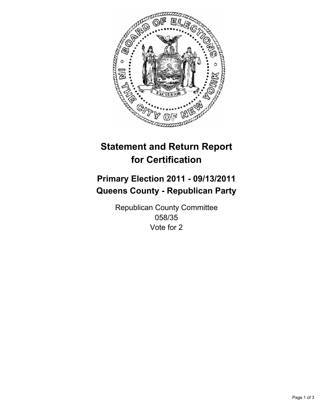

## **Primary Election 2011 - 09/13/2011 Queens County - Republican Party**

Republican County Committee 058/35 Vote for 2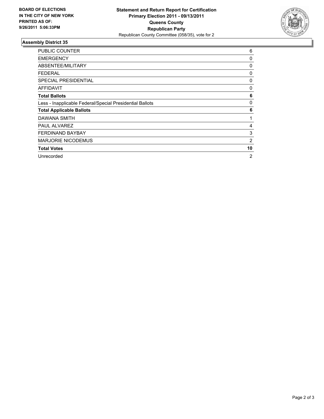

| <b>PUBLIC COUNTER</b>                                    | 6  |
|----------------------------------------------------------|----|
| <b>EMERGENCY</b>                                         | 0  |
| ABSENTEE/MILITARY                                        | 0  |
| <b>FEDERAL</b>                                           | 0  |
| <b>SPECIAL PRESIDENTIAL</b>                              | 0  |
| AFFIDAVIT                                                | 0  |
| <b>Total Ballots</b>                                     | 6  |
| Less - Inapplicable Federal/Special Presidential Ballots | 0  |
| <b>Total Applicable Ballots</b>                          | 6  |
| DAWANA SMITH                                             |    |
| <b>PAUL ALVAREZ</b>                                      | 4  |
| <b>FERDINAND BAYBAY</b>                                  | 3  |
| <b>MARJORIE NICODEMUS</b>                                | 2  |
| <b>Total Votes</b>                                       | 10 |
| Unrecorded                                               | 2  |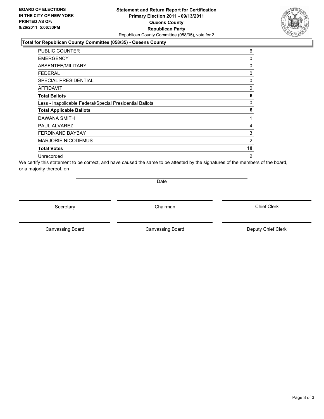### **Statement and Return Report for Certification Primary Election 2011 - 09/13/2011 Queens County Republican Party** Republican County Committee (058/35), vote for 2

### **Total for Republican County Committee (058/35) - Queens County**

| <b>PUBLIC COUNTER</b>                                    | 6              |
|----------------------------------------------------------|----------------|
| <b>EMERGENCY</b>                                         | 0              |
| ABSENTEE/MILITARY                                        | 0              |
| FEDERAL                                                  | 0              |
| SPECIAL PRESIDENTIAL                                     | 0              |
| <b>AFFIDAVIT</b>                                         | 0              |
| <b>Total Ballots</b>                                     | 6              |
| Less - Inapplicable Federal/Special Presidential Ballots | 0              |
| <b>Total Applicable Ballots</b>                          | 6              |
| DAWANA SMITH                                             | 1              |
| PAUL ALVAREZ                                             | 4              |
| <b>FERDINAND BAYBAY</b>                                  | 3              |
| <b>MARJORIE NICODEMUS</b>                                | 2              |
| <b>Total Votes</b>                                       | 10             |
| Unrecorded                                               | $\overline{2}$ |

We certify this statement to be correct, and have caused the same to be attested by the signatures of the members of the board, or a majority thereof, on

Date

Secretary **Chairman** 

Canvassing Board **Canvassing Board** Canvassing Board **Deputy Chief Clerk** 

Canvassing Board

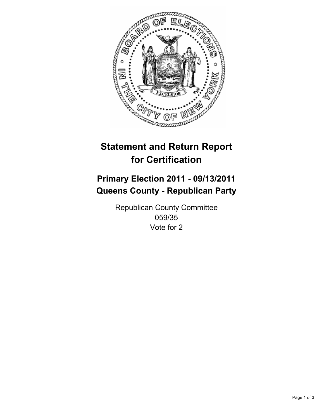

## **Primary Election 2011 - 09/13/2011 Queens County - Republican Party**

Republican County Committee 059/35 Vote for 2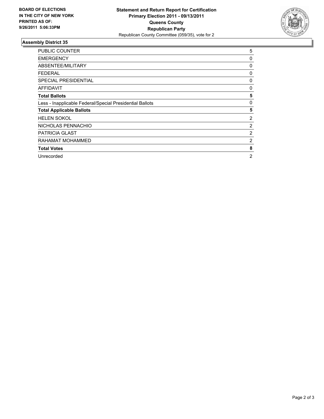

| PUBLIC COUNTER                                           | 5 |
|----------------------------------------------------------|---|
| <b>EMERGENCY</b>                                         | 0 |
| ABSENTEE/MILITARY                                        | 0 |
| <b>FEDERAL</b>                                           | 0 |
| <b>SPECIAL PRESIDENTIAL</b>                              | 0 |
| <b>AFFIDAVIT</b>                                         | 0 |
| <b>Total Ballots</b>                                     | 5 |
| Less - Inapplicable Federal/Special Presidential Ballots | 0 |
| <b>Total Applicable Ballots</b>                          | 5 |
| <b>HELEN SOKOL</b>                                       | 2 |
| NICHOLAS PENNACHIO                                       | 2 |
| <b>PATRICIA GLAST</b>                                    | 2 |
| RAHAMAT MOHAMMED                                         | 2 |
| <b>Total Votes</b>                                       | 8 |
| Unrecorded                                               | 2 |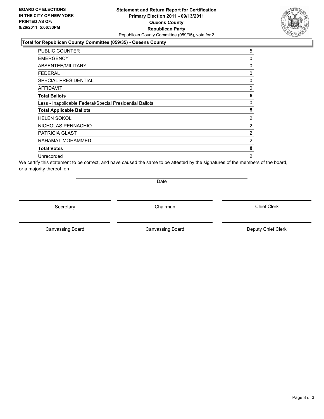### **Statement and Return Report for Certification Primary Election 2011 - 09/13/2011 Queens County Republican Party** Republican County Committee (059/35), vote for 2

### **Total for Republican County Committee (059/35) - Queens County**

| PUBLIC COUNTER                                           | 5              |
|----------------------------------------------------------|----------------|
| <b>EMERGENCY</b>                                         | 0              |
| ABSENTEE/MILITARY                                        | 0              |
| FEDERAL                                                  | 0              |
| SPECIAL PRESIDENTIAL                                     | 0              |
| <b>AFFIDAVIT</b>                                         | 0              |
| <b>Total Ballots</b>                                     | 5              |
| Less - Inapplicable Federal/Special Presidential Ballots | 0              |
| <b>Total Applicable Ballots</b>                          | 5              |
| <b>HELEN SOKOL</b>                                       | 2              |
| NICHOLAS PENNACHIO                                       | 2              |
| <b>PATRICIA GLAST</b>                                    | 2              |
| RAHAMAT MOHAMMED                                         | 2              |
| <b>Total Votes</b>                                       | 8              |
| Unrecorded                                               | $\overline{2}$ |

We certify this statement to be correct, and have caused the same to be attested by the signatures of the members of the board, or a majority thereof, on

Date

Secretary **Chairman** 

Canvassing Board **Canvassing Board** Canvassing Board **Deputy Chief Clerk** 

Canvassing Board

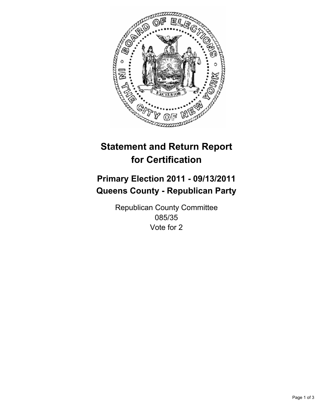

## **Primary Election 2011 - 09/13/2011 Queens County - Republican Party**

Republican County Committee 085/35 Vote for 2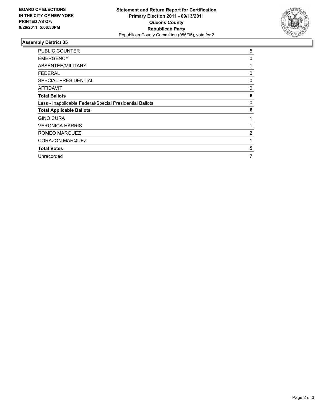

| <b>PUBLIC COUNTER</b>                                    | 5 |
|----------------------------------------------------------|---|
| <b>EMERGENCY</b>                                         | 0 |
| ABSENTEE/MILITARY                                        | 1 |
| FEDERAL                                                  | 0 |
| <b>SPECIAL PRESIDENTIAL</b>                              | 0 |
| AFFIDAVIT                                                | 0 |
| <b>Total Ballots</b>                                     | 6 |
| Less - Inapplicable Federal/Special Presidential Ballots | 0 |
| <b>Total Applicable Ballots</b>                          | 6 |
| <b>GINO CURA</b>                                         |   |
| <b>VERONICA HARRIS</b>                                   |   |
| ROMEO MARQUEZ                                            | 2 |
| CORAZON MARQUEZ                                          |   |
| <b>Total Votes</b>                                       | 5 |
| Unrecorded                                               | 7 |